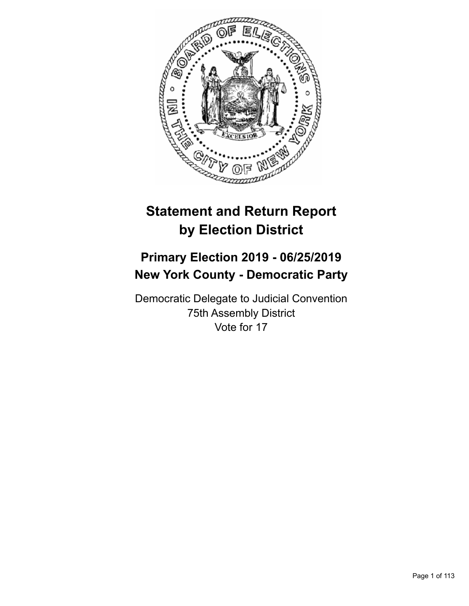

# **Statement and Return Report by Election District**

## **Primary Election 2019 - 06/25/2019 New York County - Democratic Party**

Democratic Delegate to Judicial Convention 75th Assembly District Vote for 17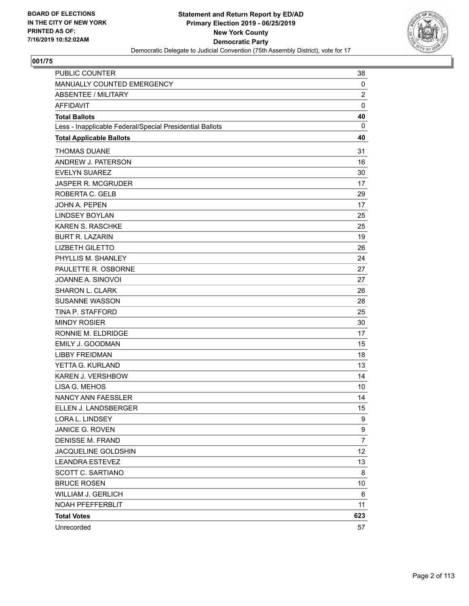

| PUBLIC COUNTER                                           | 38             |
|----------------------------------------------------------|----------------|
| MANUALLY COUNTED EMERGENCY                               | $\mathbf 0$    |
| <b>ABSENTEE / MILITARY</b>                               | $\overline{2}$ |
| <b>AFFIDAVIT</b>                                         | $\mathbf 0$    |
| <b>Total Ballots</b>                                     | 40             |
| Less - Inapplicable Federal/Special Presidential Ballots | 0              |
| <b>Total Applicable Ballots</b>                          | 40             |
| <b>THOMAS DUANE</b>                                      | 31             |
| ANDREW J. PATERSON                                       | 16             |
| <b>EVELYN SUAREZ</b>                                     | 30             |
| <b>JASPER R. MCGRUDER</b>                                | 17             |
| ROBERTA C. GELB                                          | 29             |
| <b>JOHN A. PEPEN</b>                                     | 17             |
| <b>LINDSEY BOYLAN</b>                                    | 25             |
| <b>KAREN S. RASCHKE</b>                                  | 25             |
| <b>BURT R. LAZARIN</b>                                   | 19             |
| <b>LIZBETH GILETTO</b>                                   | 26             |
| PHYLLIS M. SHANLEY                                       | 24             |
| PAULETTE R. OSBORNE                                      | 27             |
| JOANNE A. SINOVOI                                        | 27             |
| SHARON L. CLARK                                          | 26             |
| <b>SUSANNE WASSON</b>                                    | 28             |
| <b>TINA P. STAFFORD</b>                                  | 25             |
| <b>MINDY ROSIER</b>                                      | 30             |
| RONNIE M. ELDRIDGE                                       | 17             |
| <b>EMILY J. GOODMAN</b>                                  | 15             |
| <b>LIBBY FREIDMAN</b>                                    | 18             |
| YETTA G. KURLAND                                         | 13             |
| <b>KAREN J. VERSHBOW</b>                                 | 14             |
| LISA G. MEHOS                                            | 10             |
| <b>NANCY ANN FAESSLER</b>                                | 14             |
| ELLEN J. LANDSBERGER                                     | 15             |
| LORA L. LINDSEY                                          | 9              |
| JANICE G. ROVEN                                          | 9              |
| <b>DENISSE M. FRAND</b>                                  | $\overline{7}$ |
| JACQUELINE GOLDSHIN                                      | 12             |
| <b>LEANDRA ESTEVEZ</b>                                   | 13             |
| <b>SCOTT C. SARTIANO</b>                                 | 8              |
| <b>BRUCE ROSEN</b>                                       | 10             |
| <b>WILLIAM J. GERLICH</b>                                | 6              |
| NOAH PFEFFERBLIT                                         | 11             |
| <b>Total Votes</b>                                       | 623            |
| Unrecorded                                               | 57             |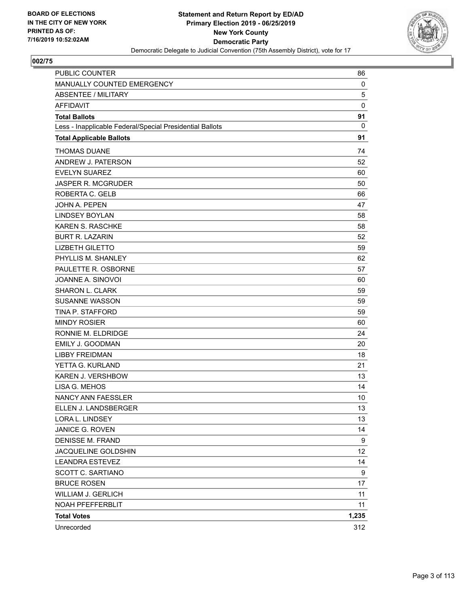

| <b>PUBLIC COUNTER</b>                                    | 86           |
|----------------------------------------------------------|--------------|
| MANUALLY COUNTED EMERGENCY                               | 0            |
| ABSENTEE / MILITARY                                      | 5            |
| <b>AFFIDAVIT</b>                                         | 0            |
| <b>Total Ballots</b>                                     | 91           |
| Less - Inapplicable Federal/Special Presidential Ballots | $\mathbf{0}$ |
| <b>Total Applicable Ballots</b>                          | 91           |
| <b>THOMAS DUANE</b>                                      | 74           |
| ANDREW J. PATERSON                                       | 52           |
| <b>EVELYN SUAREZ</b>                                     | 60           |
| <b>JASPER R. MCGRUDER</b>                                | 50           |
| ROBERTA C. GELB                                          | 66           |
| JOHN A. PEPEN                                            | 47           |
| <b>LINDSEY BOYLAN</b>                                    | 58           |
| <b>KAREN S. RASCHKE</b>                                  | 58           |
| <b>BURT R. LAZARIN</b>                                   | 52           |
| <b>LIZBETH GILETTO</b>                                   | 59           |
| PHYLLIS M. SHANLEY                                       | 62           |
| PAULETTE R. OSBORNE                                      | 57           |
| JOANNE A. SINOVOI                                        | 60           |
| <b>SHARON L. CLARK</b>                                   | 59           |
| <b>SUSANNE WASSON</b>                                    | 59           |
| <b>TINA P. STAFFORD</b>                                  | 59           |
| <b>MINDY ROSIER</b>                                      | 60           |
| RONNIE M. ELDRIDGE                                       | 24           |
| <b>EMILY J. GOODMAN</b>                                  | 20           |
| <b>LIBBY FREIDMAN</b>                                    | 18           |
| YETTA G. KURLAND                                         | 21           |
| <b>KAREN J. VERSHBOW</b>                                 | 13           |
| LISA G. MEHOS                                            | 14           |
| <b>NANCY ANN FAESSLER</b>                                | 10           |
| ELLEN J. LANDSBERGER                                     | 13           |
| LORA L. LINDSEY                                          | 13           |
| JANICE G. ROVEN                                          | 14           |
| DENISSE M. FRAND                                         | 9            |
| JACQUELINE GOLDSHIN                                      | 12           |
| <b>LEANDRA ESTEVEZ</b>                                   | 14           |
| SCOTT C. SARTIANO                                        | 9            |
| <b>BRUCE ROSEN</b>                                       | 17           |
| <b>WILLIAM J. GERLICH</b>                                | 11           |
| NOAH PFEFFERBLIT                                         | 11           |
| <b>Total Votes</b>                                       | 1,235        |
| Unrecorded                                               | 312          |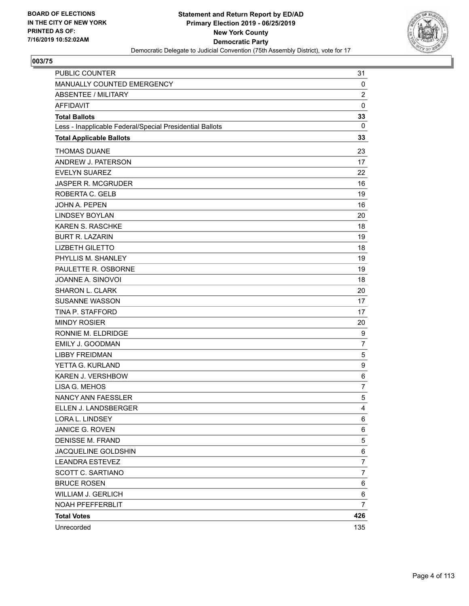

| PUBLIC COUNTER                                           | 31             |
|----------------------------------------------------------|----------------|
| MANUALLY COUNTED EMERGENCY                               | 0              |
| <b>ABSENTEE / MILITARY</b>                               | $\overline{2}$ |
| <b>AFFIDAVIT</b>                                         | 0              |
| <b>Total Ballots</b>                                     | 33             |
| Less - Inapplicable Federal/Special Presidential Ballots | 0              |
| <b>Total Applicable Ballots</b>                          | 33             |
| <b>THOMAS DUANE</b>                                      | 23             |
| ANDREW J. PATERSON                                       | 17             |
| <b>EVELYN SUAREZ</b>                                     | 22             |
| <b>JASPER R. MCGRUDER</b>                                | 16             |
| ROBERTA C. GELB                                          | 19             |
| <b>JOHN A. PEPEN</b>                                     | 16             |
| <b>LINDSEY BOYLAN</b>                                    | 20             |
| <b>KAREN S. RASCHKE</b>                                  | 18             |
| <b>BURT R. LAZARIN</b>                                   | 19             |
| <b>LIZBETH GILETTO</b>                                   | 18             |
| PHYLLIS M. SHANLEY                                       | 19             |
| PAULETTE R. OSBORNE                                      | 19             |
| JOANNE A. SINOVOI                                        | 18             |
| SHARON L. CLARK                                          | 20             |
| <b>SUSANNE WASSON</b>                                    | 17             |
| <b>TINA P. STAFFORD</b>                                  | 17             |
| <b>MINDY ROSIER</b>                                      | 20             |
| RONNIE M. ELDRIDGE                                       | 9              |
| <b>EMILY J. GOODMAN</b>                                  | $\overline{7}$ |
| <b>LIBBY FREIDMAN</b>                                    | 5              |
| YETTA G. KURLAND                                         | 9              |
| KAREN J. VERSHBOW                                        | 6              |
| LISA G. MEHOS                                            | 7              |
| NANCY ANN FAESSLER                                       | 5              |
| ELLEN J. LANDSBERGER                                     | $\overline{4}$ |
| LORA L. LINDSEY                                          | 6              |
| JANICE G. ROVEN                                          | 6              |
| <b>DENISSE M. FRAND</b>                                  | 5              |
| JACQUELINE GOLDSHIN                                      | 6              |
| <b>LEANDRA ESTEVEZ</b>                                   | 7              |
| SCOTT C. SARTIANO                                        | 7              |
| <b>BRUCE ROSEN</b>                                       | 6              |
| <b>WILLIAM J. GERLICH</b>                                | 6              |
| NOAH PFEFFERBLIT                                         | $\overline{7}$ |
| <b>Total Votes</b>                                       | 426            |
| Unrecorded                                               | 135            |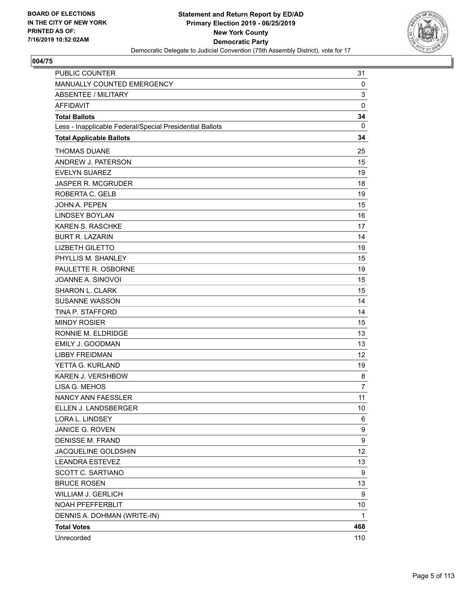

| PUBLIC COUNTER                                           | 31             |
|----------------------------------------------------------|----------------|
| MANUALLY COUNTED EMERGENCY                               | 0              |
| <b>ABSENTEE / MILITARY</b>                               | 3              |
| <b>AFFIDAVIT</b>                                         | $\mathbf 0$    |
| <b>Total Ballots</b>                                     | 34             |
| Less - Inapplicable Federal/Special Presidential Ballots | $\mathbf{0}$   |
| <b>Total Applicable Ballots</b>                          | 34             |
| <b>THOMAS DUANE</b>                                      | 25             |
| ANDREW J. PATERSON                                       | 15             |
| <b>EVELYN SUAREZ</b>                                     | 19             |
| <b>JASPER R. MCGRUDER</b>                                | 18             |
| ROBERTA C. GELB                                          | 19             |
| <b>JOHN A. PEPEN</b>                                     | 15             |
| <b>LINDSEY BOYLAN</b>                                    | 16             |
| <b>KAREN S. RASCHKE</b>                                  | 17             |
| <b>BURT R. LAZARIN</b>                                   | 14             |
| <b>LIZBETH GILETTO</b>                                   | 19             |
| PHYLLIS M. SHANLEY                                       | 15             |
| PAULETTE R. OSBORNE                                      | 19             |
| JOANNE A. SINOVOI                                        | 15             |
| <b>SHARON L. CLARK</b>                                   | 15             |
| <b>SUSANNE WASSON</b>                                    | 14             |
| TINA P. STAFFORD                                         | 14             |
| <b>MINDY ROSIER</b>                                      | 15             |
| RONNIE M. ELDRIDGE                                       | 13             |
| <b>EMILY J. GOODMAN</b>                                  | 13             |
| <b>LIBBY FREIDMAN</b>                                    | 12             |
| YETTA G. KURLAND                                         | 19             |
| KAREN J. VERSHBOW                                        | 8              |
| LISA G. MEHOS                                            | $\overline{7}$ |
| NANCY ANN FAESSLER                                       | 11             |
| ELLEN J. LANDSBERGER                                     | 10             |
| LORA L. LINDSEY                                          | 6              |
| JANICE G. ROVEN                                          | 9              |
| <b>DENISSE M. FRAND</b>                                  | 9              |
| JACQUELINE GOLDSHIN                                      | 12             |
| <b>LEANDRA ESTEVEZ</b>                                   | 13             |
| SCOTT C. SARTIANO                                        | 9              |
| <b>BRUCE ROSEN</b>                                       | 13             |
| WILLIAM J. GERLICH                                       | 9              |
| NOAH PFEFFERBLIT                                         | 10             |
| DENNIS A. DOHMAN (WRITE-IN)                              | 1              |
| <b>Total Votes</b>                                       | 468            |
| Unrecorded                                               | 110            |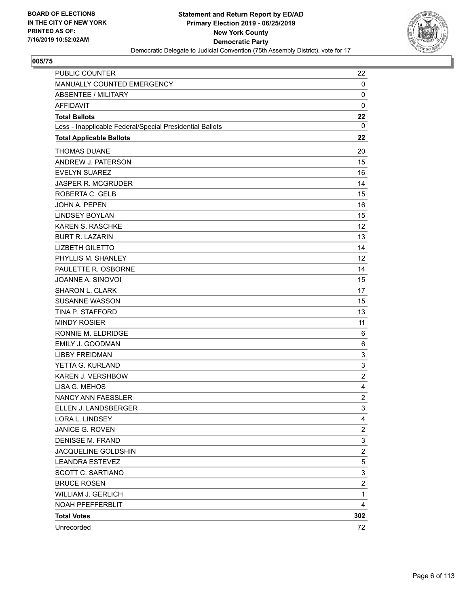

| PUBLIC COUNTER                                           | 22             |
|----------------------------------------------------------|----------------|
| MANUALLY COUNTED EMERGENCY                               | 0              |
| ABSENTEE / MILITARY                                      | 0              |
| <b>AFFIDAVIT</b>                                         | 0              |
| <b>Total Ballots</b>                                     | 22             |
| Less - Inapplicable Federal/Special Presidential Ballots | 0              |
| <b>Total Applicable Ballots</b>                          | 22             |
| <b>THOMAS DUANE</b>                                      | 20             |
| ANDREW J. PATERSON                                       | 15             |
| <b>EVELYN SUAREZ</b>                                     | 16             |
| <b>JASPER R. MCGRUDER</b>                                | 14             |
| ROBERTA C. GELB                                          | 15             |
| <b>JOHN A. PEPEN</b>                                     | 16             |
| <b>LINDSEY BOYLAN</b>                                    | 15             |
| <b>KAREN S. RASCHKE</b>                                  | 12             |
| <b>BURT R. LAZARIN</b>                                   | 13             |
| <b>LIZBETH GILETTO</b>                                   | 14             |
| PHYLLIS M. SHANLEY                                       | 12             |
| PAULETTE R. OSBORNE                                      | 14             |
| JOANNE A. SINOVOI                                        | 15             |
| SHARON L. CLARK                                          | 17             |
| <b>SUSANNE WASSON</b>                                    | 15             |
| TINA P. STAFFORD                                         | 13             |
| <b>MINDY ROSIER</b>                                      | 11             |
| RONNIE M. ELDRIDGE                                       | 6              |
| <b>EMILY J. GOODMAN</b>                                  | 6              |
| <b>LIBBY FREIDMAN</b>                                    | 3              |
| YETTA G. KURLAND                                         | 3              |
| KAREN J. VERSHBOW                                        | $\overline{2}$ |
| LISA G. MEHOS                                            | 4              |
| NANCY ANN FAESSLER                                       | $\overline{c}$ |
| ELLEN J. LANDSBERGER                                     | 3              |
| LORA L. LINDSEY                                          | 4              |
| JANICE G. ROVEN                                          | 2              |
| <b>DENISSE M. FRAND</b>                                  | 3              |
| JACQUELINE GOLDSHIN                                      | $\overline{c}$ |
| <b>LEANDRA ESTEVEZ</b>                                   | 5              |
| SCOTT C. SARTIANO                                        | 3              |
| <b>BRUCE ROSEN</b>                                       | $\overline{c}$ |
| <b>WILLIAM J. GERLICH</b>                                | $\mathbf 1$    |
| NOAH PFEFFERBLIT                                         | 4              |
| <b>Total Votes</b>                                       | 302            |
| Unrecorded                                               | 72             |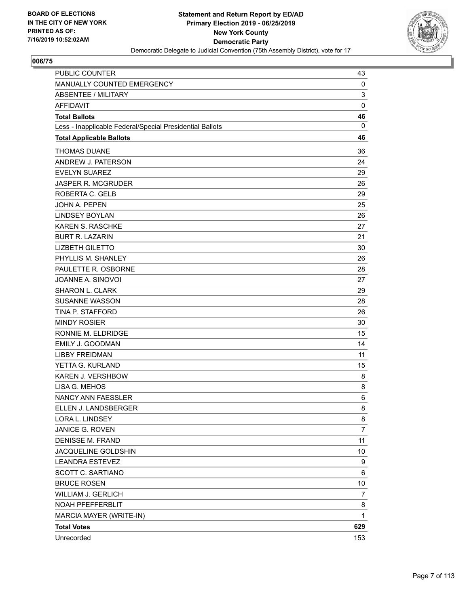

| <b>PUBLIC COUNTER</b>                                    | 43           |
|----------------------------------------------------------|--------------|
| MANUALLY COUNTED EMERGENCY                               | 0            |
| <b>ABSENTEE / MILITARY</b>                               | 3            |
| <b>AFFIDAVIT</b>                                         | $\pmb{0}$    |
| <b>Total Ballots</b>                                     | 46           |
| Less - Inapplicable Federal/Special Presidential Ballots | 0            |
| <b>Total Applicable Ballots</b>                          | 46           |
| <b>THOMAS DUANE</b>                                      | 36           |
| ANDREW J. PATERSON                                       | 24           |
| <b>EVELYN SUAREZ</b>                                     | 29           |
| <b>JASPER R. MCGRUDER</b>                                | 26           |
| ROBERTA C. GELB                                          | 29           |
| <b>JOHN A. PEPEN</b>                                     | 25           |
| <b>LINDSEY BOYLAN</b>                                    | 26           |
| KAREN S. RASCHKE                                         | 27           |
| <b>BURT R. LAZARIN</b>                                   | 21           |
| <b>LIZBETH GILETTO</b>                                   | 30           |
| PHYLLIS M. SHANLEY                                       | 26           |
| PAULETTE R. OSBORNE                                      | 28           |
| JOANNE A. SINOVOI                                        | 27           |
| <b>SHARON L. CLARK</b>                                   | 29           |
| <b>SUSANNE WASSON</b>                                    | 28           |
| TINA P. STAFFORD                                         | 26           |
| <b>MINDY ROSIER</b>                                      | 30           |
| RONNIE M. ELDRIDGE                                       | 15           |
| EMILY J. GOODMAN                                         | 14           |
| <b>LIBBY FREIDMAN</b>                                    | 11           |
| YETTA G. KURLAND                                         | 15           |
| KAREN J. VERSHBOW                                        | 8            |
| LISA G. MEHOS                                            | 8            |
| NANCY ANN FAESSLER                                       | 6            |
| ELLEN J. LANDSBERGER                                     | 8            |
| LORA L. LINDSEY                                          | 8            |
| JANICE G. ROVEN                                          | 7            |
| <b>DENISSE M. FRAND</b>                                  | 11           |
| JACQUELINE GOLDSHIN                                      | 10           |
| <b>LEANDRA ESTEVEZ</b>                                   | 9            |
| <b>SCOTT C. SARTIANO</b>                                 | 6            |
| <b>BRUCE ROSEN</b>                                       | 10           |
| WILLIAM J. GERLICH                                       | 7            |
| NOAH PFEFFERBLIT                                         | 8            |
| MARCIA MAYER (WRITE-IN)                                  | $\mathbf{1}$ |
| <b>Total Votes</b>                                       | 629          |
| Unrecorded                                               | 153          |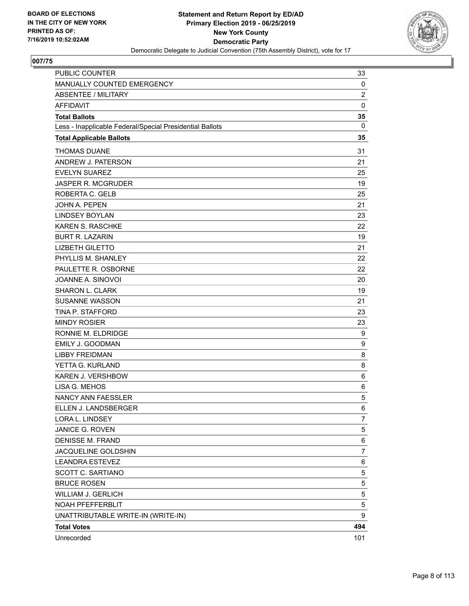

| PUBLIC COUNTER                                           | 33             |
|----------------------------------------------------------|----------------|
| MANUALLY COUNTED EMERGENCY                               | 0              |
| <b>ABSENTEE / MILITARY</b>                               | $\overline{2}$ |
| <b>AFFIDAVIT</b>                                         | $\mathbf 0$    |
| <b>Total Ballots</b>                                     | 35             |
| Less - Inapplicable Federal/Special Presidential Ballots | 0              |
| <b>Total Applicable Ballots</b>                          | 35             |
| <b>THOMAS DUANE</b>                                      | 31             |
| ANDREW J. PATERSON                                       | 21             |
| <b>EVELYN SUAREZ</b>                                     | 25             |
| JASPER R. MCGRUDER                                       | 19             |
| ROBERTA C. GELB                                          | 25             |
| JOHN A. PEPEN                                            | 21             |
| <b>LINDSEY BOYLAN</b>                                    | 23             |
| KAREN S. RASCHKE                                         | 22             |
| <b>BURT R. LAZARIN</b>                                   | 19             |
| <b>LIZBETH GILETTO</b>                                   | 21             |
| PHYLLIS M. SHANLEY                                       | 22             |
| PAULETTE R. OSBORNE                                      | 22             |
| JOANNE A. SINOVOI                                        | 20             |
| <b>SHARON L. CLARK</b>                                   | 19             |
| <b>SUSANNE WASSON</b>                                    | 21             |
| TINA P. STAFFORD                                         | 23             |
| <b>MINDY ROSIER</b>                                      | 23             |
| RONNIE M. ELDRIDGE                                       | 9              |
| <b>EMILY J. GOODMAN</b>                                  | 9              |
| <b>LIBBY FREIDMAN</b>                                    | 8              |
| YETTA G. KURLAND                                         | 8              |
| <b>KAREN J. VERSHBOW</b>                                 | 6              |
| LISA G. MEHOS                                            | 6              |
| <b>NANCY ANN FAESSLER</b>                                | 5              |
| ELLEN J. LANDSBERGER                                     | 6              |
| LORA L. LINDSEY                                          | 7              |
| JANICE G. ROVEN                                          | 5              |
| DENISSE M. FRAND                                         | 6              |
| JACQUELINE GOLDSHIN                                      | 7              |
| <b>LEANDRA ESTEVEZ</b>                                   | 6              |
| <b>SCOTT C. SARTIANO</b>                                 | 5              |
| <b>BRUCE ROSEN</b>                                       | 5              |
| WILLIAM J. GERLICH                                       | 5              |
| NOAH PFEFFERBLIT                                         | 5              |
| UNATTRIBUTABLE WRITE-IN (WRITE-IN)                       | 9              |
| <b>Total Votes</b>                                       | 494            |
| Unrecorded                                               | 101            |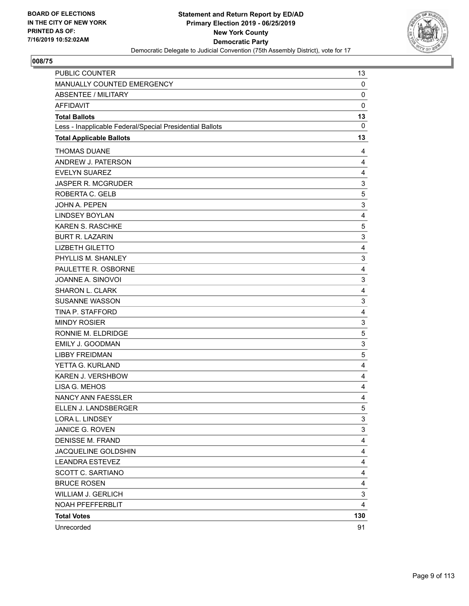

| PUBLIC COUNTER                                           | 13          |
|----------------------------------------------------------|-------------|
| MANUALLY COUNTED EMERGENCY                               | 0           |
| <b>ABSENTEE / MILITARY</b>                               | 0           |
| <b>AFFIDAVIT</b>                                         | $\mathbf 0$ |
| <b>Total Ballots</b>                                     | 13          |
| Less - Inapplicable Federal/Special Presidential Ballots | $\mathbf 0$ |
| <b>Total Applicable Ballots</b>                          | 13          |
| <b>THOMAS DUANE</b>                                      | 4           |
| ANDREW J. PATERSON                                       | 4           |
| <b>EVELYN SUAREZ</b>                                     | 4           |
| <b>JASPER R. MCGRUDER</b>                                | 3           |
| ROBERTA C. GELB                                          | 5           |
| <b>JOHN A. PEPEN</b>                                     | 3           |
| <b>LINDSEY BOYLAN</b>                                    | 4           |
| KAREN S. RASCHKE                                         | 5           |
| <b>BURT R. LAZARIN</b>                                   | 3           |
| <b>LIZBETH GILETTO</b>                                   | 4           |
| PHYLLIS M. SHANLEY                                       | 3           |
| PAULETTE R. OSBORNE                                      | 4           |
| JOANNE A. SINOVOI                                        | 3           |
| <b>SHARON L. CLARK</b>                                   | 4           |
| <b>SUSANNE WASSON</b>                                    | 3           |
| TINA P. STAFFORD                                         | 4           |
| <b>MINDY ROSIER</b>                                      | 3           |
| RONNIE M. ELDRIDGE                                       | 5           |
| EMILY J. GOODMAN                                         | 3           |
| <b>LIBBY FREIDMAN</b>                                    | 5           |
| YETTA G. KURLAND                                         | 4           |
| KAREN J. VERSHBOW                                        | 4           |
| LISA G. MEHOS                                            | 4           |
| NANCY ANN FAESSLER                                       | 4           |
| ELLEN J. LANDSBERGER                                     | 5           |
| LORA L. LINDSEY                                          | 3           |
| JANICE G. ROVEN                                          | 3           |
| <b>DENISSE M. FRAND</b>                                  | 4           |
| JACQUELINE GOLDSHIN                                      | 4           |
| <b>LEANDRA ESTEVEZ</b>                                   | 4           |
| SCOTT C. SARTIANO                                        | 4           |
| <b>BRUCE ROSEN</b>                                       | 4           |
| <b>WILLIAM J. GERLICH</b>                                | 3           |
| NOAH PFEFFERBLIT                                         | 4           |
| <b>Total Votes</b>                                       | 130         |
| Unrecorded                                               | 91          |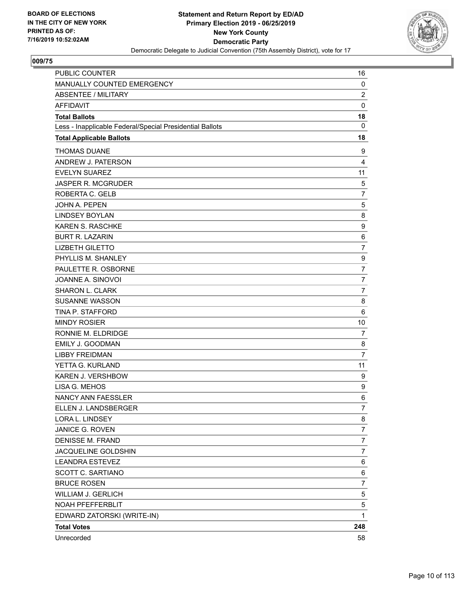

| <b>PUBLIC COUNTER</b>                                    | 16               |
|----------------------------------------------------------|------------------|
| MANUALLY COUNTED EMERGENCY                               | $\mathbf 0$      |
| <b>ABSENTEE / MILITARY</b>                               | $\overline{2}$   |
| <b>AFFIDAVIT</b>                                         | $\mathbf 0$      |
| <b>Total Ballots</b>                                     | 18               |
| Less - Inapplicable Federal/Special Presidential Ballots | 0                |
| <b>Total Applicable Ballots</b>                          | 18               |
| <b>THOMAS DUANE</b>                                      | 9                |
| ANDREW J. PATERSON                                       | 4                |
| <b>EVELYN SUAREZ</b>                                     | 11               |
| <b>JASPER R. MCGRUDER</b>                                | 5                |
| ROBERTA C. GELB                                          | 7                |
| <b>JOHN A. PEPEN</b>                                     | 5                |
| <b>LINDSEY BOYLAN</b>                                    | 8                |
| <b>KAREN S. RASCHKE</b>                                  | $\boldsymbol{9}$ |
| <b>BURT R. LAZARIN</b>                                   | 6                |
| <b>LIZBETH GILETTO</b>                                   | $\overline{7}$   |
| PHYLLIS M. SHANLEY                                       | $\boldsymbol{9}$ |
| PAULETTE R. OSBORNE                                      | $\overline{7}$   |
| JOANNE A. SINOVOI                                        | $\overline{7}$   |
| SHARON L. CLARK                                          | $\overline{7}$   |
| <b>SUSANNE WASSON</b>                                    | 8                |
| TINA P. STAFFORD                                         | 6                |
| <b>MINDY ROSIER</b>                                      | 10               |
| RONNIE M. ELDRIDGE                                       | 7                |
| <b>EMILY J. GOODMAN</b>                                  | 8                |
| <b>LIBBY FREIDMAN</b>                                    | $\overline{7}$   |
| YETTA G. KURLAND                                         | 11               |
| <b>KAREN J. VERSHBOW</b>                                 | 9                |
| LISA G. MEHOS                                            | 9                |
| <b>NANCY ANN FAESSLER</b>                                | 6                |
| ELLEN J. LANDSBERGER                                     | $\overline{7}$   |
| LORA L. LINDSEY                                          | 8                |
| JANICE G. ROVEN                                          | 7                |
| <b>DENISSE M. FRAND</b>                                  | $\boldsymbol{7}$ |
| JACQUELINE GOLDSHIN                                      | 7                |
| <b>LEANDRA ESTEVEZ</b>                                   | 6                |
| SCOTT C. SARTIANO                                        | 6                |
| <b>BRUCE ROSEN</b>                                       | $\overline{7}$   |
| WILLIAM J. GERLICH                                       | 5                |
| NOAH PFEFFERBLIT                                         | 5                |
| EDWARD ZATORSKI (WRITE-IN)                               | 1                |
| <b>Total Votes</b>                                       | 248              |
| Unrecorded                                               | 58               |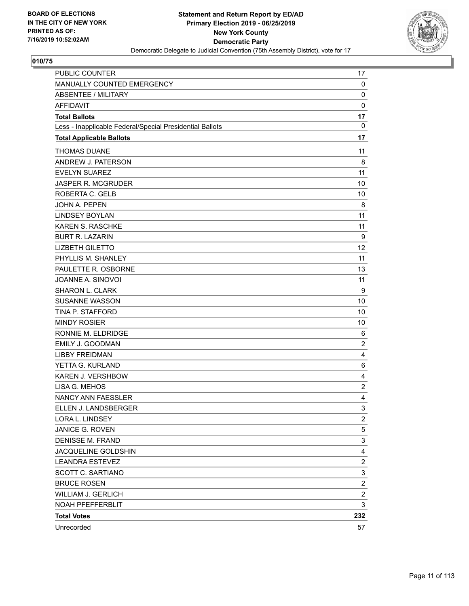

| PUBLIC COUNTER                                           | 17               |
|----------------------------------------------------------|------------------|
| MANUALLY COUNTED EMERGENCY                               | $\mathbf 0$      |
| ABSENTEE / MILITARY                                      | 0                |
| <b>AFFIDAVIT</b>                                         | $\mathbf 0$      |
| <b>Total Ballots</b>                                     | 17               |
| Less - Inapplicable Federal/Special Presidential Ballots | 0                |
| <b>Total Applicable Ballots</b>                          | 17               |
| <b>THOMAS DUANE</b>                                      | 11               |
| ANDREW J. PATERSON                                       | 8                |
| <b>EVELYN SUAREZ</b>                                     | 11               |
| <b>JASPER R. MCGRUDER</b>                                | 10               |
| ROBERTA C. GELB                                          | 10               |
| <b>JOHN A. PEPEN</b>                                     | 8                |
| <b>LINDSEY BOYLAN</b>                                    | 11               |
| <b>KAREN S. RASCHKE</b>                                  | 11               |
| <b>BURT R. LAZARIN</b>                                   | 9                |
| <b>LIZBETH GILETTO</b>                                   | 12               |
| PHYLLIS M. SHANLEY                                       | 11               |
| PAULETTE R. OSBORNE                                      | 13               |
| JOANNE A. SINOVOI                                        | 11               |
| SHARON L. CLARK                                          | 9                |
| <b>SUSANNE WASSON</b>                                    | 10               |
| TINA P. STAFFORD                                         | 10               |
| <b>MINDY ROSIER</b>                                      | 10               |
| RONNIE M. ELDRIDGE                                       | 6                |
| <b>EMILY J. GOODMAN</b>                                  | $\overline{2}$   |
| <b>LIBBY FREIDMAN</b>                                    | 4                |
| YETTA G. KURLAND                                         | 6                |
| <b>KAREN J. VERSHBOW</b>                                 | 4                |
| LISA G. MEHOS                                            | $\overline{2}$   |
| <b>NANCY ANN FAESSLER</b>                                | 4                |
| ELLEN J. LANDSBERGER                                     | 3                |
| LORA L. LINDSEY                                          | $\overline{c}$   |
| JANICE G. ROVEN                                          | 5                |
| <b>DENISSE M. FRAND</b>                                  | 3                |
| JACQUELINE GOLDSHIN                                      | 4                |
| <b>LEANDRA ESTEVEZ</b>                                   | $\overline{c}$   |
| SCOTT C. SARTIANO                                        | 3                |
| <b>BRUCE ROSEN</b>                                       | $\boldsymbol{2}$ |
| <b>WILLIAM J. GERLICH</b>                                | $\overline{c}$   |
| NOAH PFEFFERBLIT                                         | 3                |
| <b>Total Votes</b>                                       | 232              |
| Unrecorded                                               | 57               |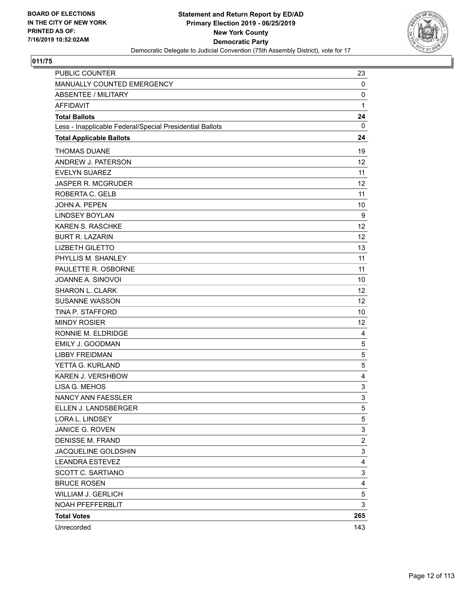

| PUBLIC COUNTER                                           | 23                      |
|----------------------------------------------------------|-------------------------|
| MANUALLY COUNTED EMERGENCY                               | $\mathbf 0$             |
| <b>ABSENTEE / MILITARY</b>                               | 0                       |
| <b>AFFIDAVIT</b>                                         | $\mathbf{1}$            |
| <b>Total Ballots</b>                                     | 24                      |
| Less - Inapplicable Federal/Special Presidential Ballots | 0                       |
| <b>Total Applicable Ballots</b>                          | 24                      |
| <b>THOMAS DUANE</b>                                      | 19                      |
| ANDREW J. PATERSON                                       | 12                      |
| <b>EVELYN SUAREZ</b>                                     | 11                      |
| JASPER R. MCGRUDER                                       | 12                      |
| ROBERTA C. GELB                                          | 11                      |
| JOHN A. PEPEN                                            | 10                      |
| <b>LINDSEY BOYLAN</b>                                    | 9                       |
| KAREN S. RASCHKE                                         | 12                      |
| <b>BURT R. LAZARIN</b>                                   | 12                      |
| <b>LIZBETH GILETTO</b>                                   | 13                      |
| PHYLLIS M. SHANLEY                                       | 11                      |
| PAULETTE R. OSBORNE                                      | 11                      |
| JOANNE A. SINOVOI                                        | 10                      |
| SHARON L. CLARK                                          | 12                      |
| <b>SUSANNE WASSON</b>                                    | 12                      |
| TINA P. STAFFORD                                         | 10                      |
| <b>MINDY ROSIER</b>                                      | 12                      |
| RONNIE M. ELDRIDGE                                       | 4                       |
| EMILY J. GOODMAN                                         | 5                       |
| <b>LIBBY FREIDMAN</b>                                    | 5                       |
| YETTA G. KURLAND                                         | 5                       |
| KAREN J. VERSHBOW                                        | 4                       |
| LISA G. MEHOS                                            | 3                       |
| NANCY ANN FAESSLER                                       | 3                       |
| ELLEN J. LANDSBERGER                                     | 5                       |
| LORA L. LINDSEY                                          | 5                       |
| <b>JANICE G. ROVEN</b>                                   | 3                       |
| <b>DENISSE M. FRAND</b>                                  | $\overline{\mathbf{c}}$ |
| JACQUELINE GOLDSHIN                                      | 3                       |
| <b>LEANDRA ESTEVEZ</b>                                   | 4                       |
| SCOTT C. SARTIANO                                        | 3                       |
| <b>BRUCE ROSEN</b>                                       | 4                       |
| <b>WILLIAM J. GERLICH</b>                                | 5                       |
| NOAH PFEFFERBLIT                                         | 3                       |
| <b>Total Votes</b>                                       | 265                     |
| Unrecorded                                               | 143                     |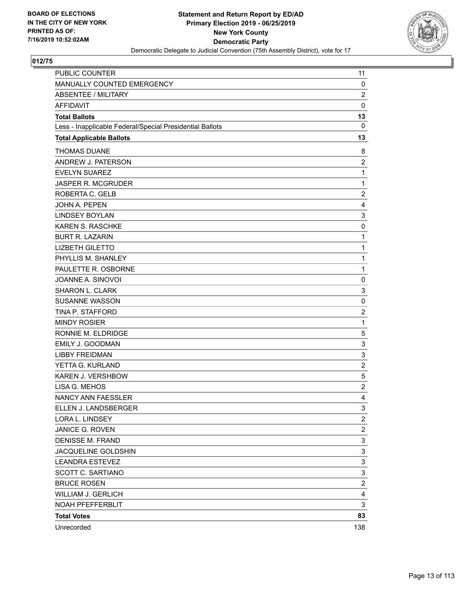

| PUBLIC COUNTER                                           | 11                      |
|----------------------------------------------------------|-------------------------|
| MANUALLY COUNTED EMERGENCY                               | 0                       |
| <b>ABSENTEE / MILITARY</b>                               | $\overline{\mathbf{c}}$ |
| <b>AFFIDAVIT</b>                                         | $\mathbf 0$             |
| <b>Total Ballots</b>                                     | 13                      |
| Less - Inapplicable Federal/Special Presidential Ballots | $\mathbf{0}$            |
| <b>Total Applicable Ballots</b>                          | 13                      |
| <b>THOMAS DUANE</b>                                      | 8                       |
| ANDREW J. PATERSON                                       | $\overline{c}$          |
| <b>EVELYN SUAREZ</b>                                     | $\mathbf{1}$            |
| JASPER R. MCGRUDER                                       | $\mathbf{1}$            |
| ROBERTA C. GELB                                          | $\overline{c}$          |
| JOHN A. PEPEN                                            | 4                       |
| <b>LINDSEY BOYLAN</b>                                    | 3                       |
| <b>KAREN S. RASCHKE</b>                                  | 0                       |
| <b>BURT R. LAZARIN</b>                                   | $\mathbf{1}$            |
| <b>LIZBETH GILETTO</b>                                   | $\mathbf{1}$            |
| PHYLLIS M. SHANLEY                                       | $\mathbf{1}$            |
| PAULETTE R. OSBORNE                                      | $\mathbf{1}$            |
| JOANNE A. SINOVOI                                        | 0                       |
| <b>SHARON L. CLARK</b>                                   | 3                       |
| <b>SUSANNE WASSON</b>                                    | 0                       |
| TINA P. STAFFORD                                         | $\overline{c}$          |
| <b>MINDY ROSIER</b>                                      | $\mathbf{1}$            |
| RONNIE M. ELDRIDGE                                       | 5                       |
| EMILY J. GOODMAN                                         | 3                       |
| <b>LIBBY FREIDMAN</b>                                    | 3                       |
| YETTA G. KURLAND                                         | $\overline{\mathbf{c}}$ |
| KAREN J. VERSHBOW                                        | 5                       |
| LISA G. MEHOS                                            | $\overline{c}$          |
| NANCY ANN FAESSLER                                       | 4                       |
| ELLEN J. LANDSBERGER                                     | 3                       |
| LORA L. LINDSEY                                          | $\overline{\mathbf{c}}$ |
| JANICE G. ROVEN                                          | $\overline{\mathbf{c}}$ |
| <b>DENISSE M. FRAND</b>                                  | 3                       |
| JACQUELINE GOLDSHIN                                      | 3                       |
| <b>LEANDRA ESTEVEZ</b>                                   | 3                       |
| SCOTT C. SARTIANO                                        | 3                       |
| <b>BRUCE ROSEN</b>                                       | $\overline{c}$          |
| <b>WILLIAM J. GERLICH</b>                                | 4                       |
| NOAH PFEFFERBLIT                                         | 3                       |
| <b>Total Votes</b>                                       | 83                      |
| Unrecorded                                               | 138                     |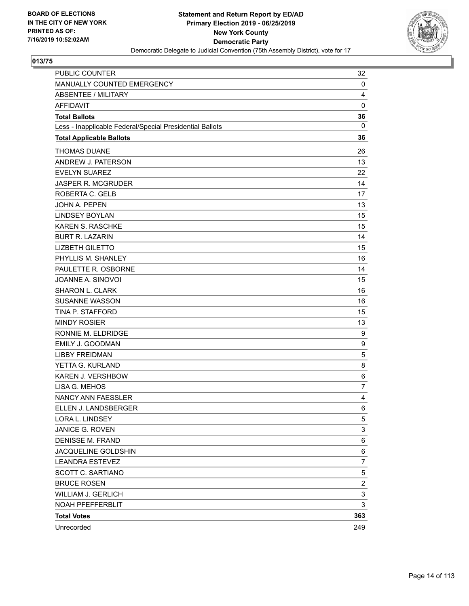

| <b>PUBLIC COUNTER</b>                                    | 32                      |
|----------------------------------------------------------|-------------------------|
| MANUALLY COUNTED EMERGENCY                               | 0                       |
| <b>ABSENTEE / MILITARY</b>                               | 4                       |
| <b>AFFIDAVIT</b>                                         | 0                       |
| <b>Total Ballots</b>                                     | 36                      |
| Less - Inapplicable Federal/Special Presidential Ballots | 0                       |
| <b>Total Applicable Ballots</b>                          | 36                      |
| <b>THOMAS DUANE</b>                                      | 26                      |
| ANDREW J. PATERSON                                       | 13                      |
| <b>EVELYN SUAREZ</b>                                     | 22                      |
| <b>JASPER R. MCGRUDER</b>                                | 14                      |
| ROBERTA C. GELB                                          | 17                      |
| <b>JOHN A. PEPEN</b>                                     | 13                      |
| <b>LINDSEY BOYLAN</b>                                    | 15                      |
| <b>KAREN S. RASCHKE</b>                                  | 15                      |
| <b>BURT R. LAZARIN</b>                                   | 14                      |
| <b>LIZBETH GILETTO</b>                                   | 15                      |
| PHYLLIS M. SHANLEY                                       | 16                      |
| PAULETTE R. OSBORNE                                      | 14                      |
| JOANNE A. SINOVOI                                        | 15                      |
| <b>SHARON L. CLARK</b>                                   | 16                      |
| <b>SUSANNE WASSON</b>                                    | 16                      |
| TINA P. STAFFORD                                         | 15                      |
| <b>MINDY ROSIER</b>                                      | 13                      |
| RONNIE M. ELDRIDGE                                       | 9                       |
| EMILY J. GOODMAN                                         | 9                       |
| <b>LIBBY FREIDMAN</b>                                    | 5                       |
| YETTA G. KURLAND                                         | 8                       |
| KAREN J. VERSHBOW                                        | 6                       |
| LISA G. MEHOS                                            | $\overline{7}$          |
| <b>NANCY ANN FAESSLER</b>                                | 4                       |
| ELLEN J. LANDSBERGER                                     | 6                       |
| LORA L. LINDSEY                                          | 5                       |
| JANICE G. ROVEN                                          | 3                       |
| <b>DENISSE M. FRAND</b>                                  | 6                       |
| JACQUELINE GOLDSHIN                                      | 6                       |
| <b>LEANDRA ESTEVEZ</b>                                   | $\overline{7}$          |
| SCOTT C. SARTIANO                                        | 5                       |
| <b>BRUCE ROSEN</b>                                       | $\overline{\mathbf{c}}$ |
| WILLIAM J. GERLICH                                       | 3                       |
| NOAH PFEFFERBLIT                                         | 3                       |
| <b>Total Votes</b>                                       | 363                     |
| Unrecorded                                               | 249                     |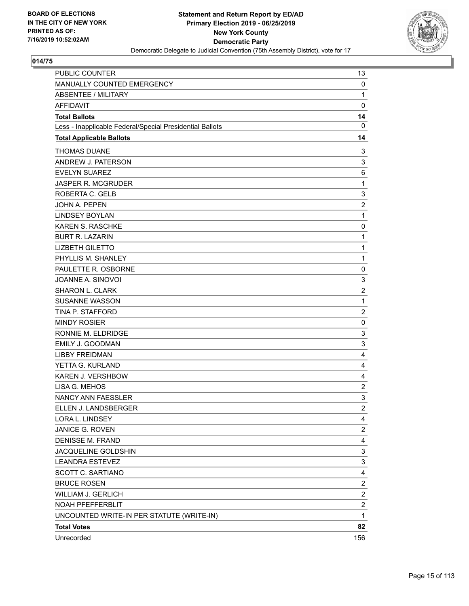

| PUBLIC COUNTER                                           | 13                      |
|----------------------------------------------------------|-------------------------|
| MANUALLY COUNTED EMERGENCY                               | 0                       |
| <b>ABSENTEE / MILITARY</b>                               | $\mathbf{1}$            |
| <b>AFFIDAVIT</b>                                         | $\mathbf 0$             |
| <b>Total Ballots</b>                                     | 14                      |
| Less - Inapplicable Federal/Special Presidential Ballots | $\mathbf 0$             |
| <b>Total Applicable Ballots</b>                          | 14                      |
| <b>THOMAS DUANE</b>                                      | 3                       |
| ANDREW J. PATERSON                                       | 3                       |
| <b>EVELYN SUAREZ</b>                                     | 6                       |
| JASPER R. MCGRUDER                                       | $\mathbf{1}$            |
| ROBERTA C. GELB                                          | 3                       |
| JOHN A. PEPEN                                            | $\overline{\mathbf{c}}$ |
| <b>LINDSEY BOYLAN</b>                                    | $\mathbf{1}$            |
| <b>KAREN S. RASCHKE</b>                                  | 0                       |
| <b>BURT R. LAZARIN</b>                                   | $\mathbf{1}$            |
| <b>LIZBETH GILETTO</b>                                   | $\mathbf{1}$            |
| PHYLLIS M. SHANLEY                                       | $\mathbf{1}$            |
| PAULETTE R. OSBORNE                                      | 0                       |
| JOANNE A. SINOVOI                                        | 3                       |
| <b>SHARON L. CLARK</b>                                   | $\overline{c}$          |
| <b>SUSANNE WASSON</b>                                    | $\mathbf{1}$            |
| TINA P. STAFFORD                                         | $\overline{c}$          |
| <b>MINDY ROSIER</b>                                      | 0                       |
| RONNIE M. ELDRIDGE                                       | 3                       |
| EMILY J. GOODMAN                                         | 3                       |
| <b>LIBBY FREIDMAN</b>                                    | 4                       |
| YETTA G. KURLAND                                         | 4                       |
| KAREN J. VERSHBOW                                        | 4                       |
| LISA G. MEHOS                                            | $\overline{c}$          |
| NANCY ANN FAESSLER                                       | 3                       |
| ELLEN J. LANDSBERGER                                     | $\overline{2}$          |
| LORA L. LINDSEY                                          | 4                       |
| JANICE G. ROVEN                                          | 2                       |
| <b>DENISSE M. FRAND</b>                                  | 4                       |
| JACQUELINE GOLDSHIN                                      | 3                       |
| <b>LEANDRA ESTEVEZ</b>                                   | 3                       |
| <b>SCOTT C. SARTIANO</b>                                 | 4                       |
| <b>BRUCE ROSEN</b>                                       | $\overline{\mathbf{c}}$ |
| <b>WILLIAM J. GERLICH</b>                                | $\overline{\mathbf{c}}$ |
| NOAH PFEFFERBLIT                                         | $\overline{c}$          |
| UNCOUNTED WRITE-IN PER STATUTE (WRITE-IN)                | $\mathbf{1}$            |
| <b>Total Votes</b>                                       | 82                      |
| Unrecorded                                               | 156                     |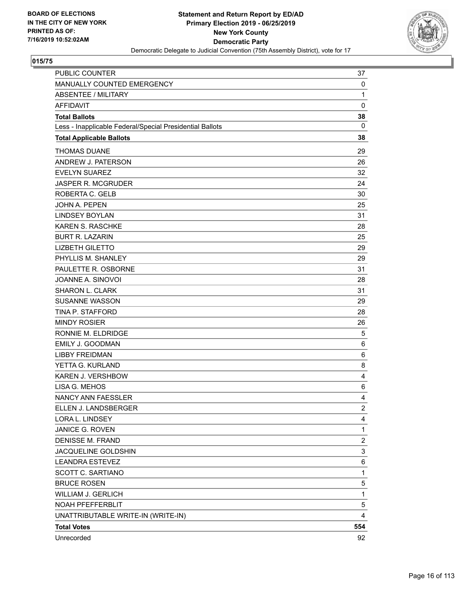

| <b>PUBLIC COUNTER</b>                                    | 37             |
|----------------------------------------------------------|----------------|
| MANUALLY COUNTED EMERGENCY                               | 0              |
| <b>ABSENTEE / MILITARY</b>                               | 1              |
| <b>AFFIDAVIT</b>                                         | 0              |
| <b>Total Ballots</b>                                     | 38             |
| Less - Inapplicable Federal/Special Presidential Ballots | 0              |
| <b>Total Applicable Ballots</b>                          | 38             |
| <b>THOMAS DUANE</b>                                      | 29             |
| ANDREW J. PATERSON                                       | 26             |
| <b>EVELYN SUAREZ</b>                                     | 32             |
| <b>JASPER R. MCGRUDER</b>                                | 24             |
| ROBERTA C. GELB                                          | 30             |
| JOHN A. PEPEN                                            | 25             |
| <b>LINDSEY BOYLAN</b>                                    | 31             |
| <b>KAREN S. RASCHKE</b>                                  | 28             |
| <b>BURT R. LAZARIN</b>                                   | 25             |
| <b>LIZBETH GILETTO</b>                                   | 29             |
| PHYLLIS M. SHANLEY                                       | 29             |
| PAULETTE R. OSBORNE                                      | 31             |
| JOANNE A. SINOVOI                                        | 28             |
| <b>SHARON L. CLARK</b>                                   | 31             |
| <b>SUSANNE WASSON</b>                                    | 29             |
| TINA P. STAFFORD                                         | 28             |
| <b>MINDY ROSIER</b>                                      | 26             |
| RONNIE M. ELDRIDGE                                       | 5              |
| EMILY J. GOODMAN                                         | 6              |
| <b>LIBBY FREIDMAN</b>                                    | 6              |
| YETTA G. KURLAND                                         | 8              |
| KAREN J. VERSHBOW                                        | 4              |
| LISA G. MEHOS                                            | 6              |
| <b>NANCY ANN FAESSLER</b>                                | 4              |
| ELLEN J. LANDSBERGER                                     | $\overline{2}$ |
| LORA L. LINDSEY                                          | 4              |
| JANICE G. ROVEN                                          | 1              |
| <b>DENISSE M. FRAND</b>                                  | $\overline{c}$ |
| JACQUELINE GOLDSHIN                                      | 3              |
| <b>LEANDRA ESTEVEZ</b>                                   | 6              |
| <b>SCOTT C. SARTIANO</b>                                 | $\mathbf{1}$   |
| <b>BRUCE ROSEN</b>                                       | 5              |
| WILLIAM J. GERLICH                                       | 1              |
| NOAH PFEFFERBLIT                                         | 5              |
| UNATTRIBUTABLE WRITE-IN (WRITE-IN)                       | 4              |
| <b>Total Votes</b>                                       | 554            |
| Unrecorded                                               | 92             |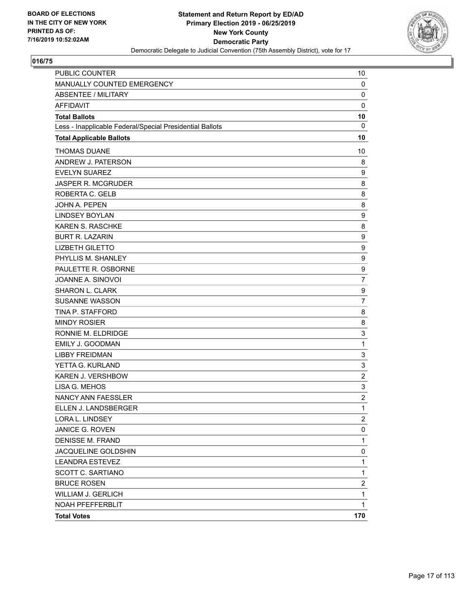

| <b>PUBLIC COUNTER</b>                                    | 10               |
|----------------------------------------------------------|------------------|
| MANUALLY COUNTED EMERGENCY                               | 0                |
| <b>ABSENTEE / MILITARY</b>                               | 0                |
| <b>AFFIDAVIT</b>                                         | $\mathbf 0$      |
| <b>Total Ballots</b>                                     | 10               |
| Less - Inapplicable Federal/Special Presidential Ballots | $\mathbf 0$      |
| <b>Total Applicable Ballots</b>                          | 10               |
| <b>THOMAS DUANE</b>                                      | 10               |
| ANDREW J. PATERSON                                       | 8                |
| <b>EVELYN SUAREZ</b>                                     | 9                |
| <b>JASPER R. MCGRUDER</b>                                | 8                |
| ROBERTA C. GELB                                          | 8                |
| <b>JOHN A. PEPEN</b>                                     | 8                |
| <b>LINDSEY BOYLAN</b>                                    | 9                |
| KAREN S. RASCHKE                                         | 8                |
| <b>BURT R. LAZARIN</b>                                   | 9                |
| <b>LIZBETH GILETTO</b>                                   | 9                |
| PHYLLIS M. SHANLEY                                       | $\boldsymbol{9}$ |
| PAULETTE R. OSBORNE                                      | 9                |
| JOANNE A. SINOVOI                                        | $\overline{7}$   |
| SHARON L. CLARK                                          | 9                |
| <b>SUSANNE WASSON</b>                                    | $\overline{7}$   |
| TINA P. STAFFORD                                         | 8                |
| <b>MINDY ROSIER</b>                                      | 8                |
| RONNIE M. ELDRIDGE                                       | 3                |
| <b>EMILY J. GOODMAN</b>                                  | $\mathbf{1}$     |
| <b>LIBBY FREIDMAN</b>                                    | 3                |
| YETTA G. KURLAND                                         | 3                |
| KAREN J. VERSHBOW                                        | $\boldsymbol{2}$ |
| LISA G. MEHOS                                            | 3                |
| NANCY ANN FAESSLER                                       | $\overline{c}$   |
| ELLEN J. LANDSBERGER                                     | 1                |
| LORA L. LINDSEY                                          | $\overline{2}$   |
| JANICE G. ROVEN                                          | 0                |
| <b>DENISSE M. FRAND</b>                                  | $\mathbf{1}$     |
| JACQUELINE GOLDSHIN                                      | 0                |
| <b>LEANDRA ESTEVEZ</b>                                   | $\mathbf{1}$     |
| SCOTT C. SARTIANO                                        | $\mathbf{1}$     |
| <b>BRUCE ROSEN</b>                                       | $\overline{2}$   |
| <b>WILLIAM J. GERLICH</b>                                | 1                |
| NOAH PFEFFERBLIT                                         | $\mathbf{1}$     |
| <b>Total Votes</b>                                       | 170              |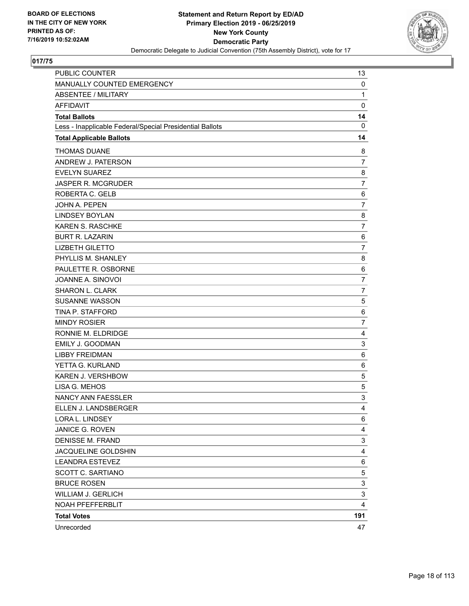

| PUBLIC COUNTER                                           | 13             |
|----------------------------------------------------------|----------------|
| MANUALLY COUNTED EMERGENCY                               | 0              |
| <b>ABSENTEE / MILITARY</b>                               | $\mathbf{1}$   |
| <b>AFFIDAVIT</b>                                         | $\mathbf 0$    |
| <b>Total Ballots</b>                                     | 14             |
| Less - Inapplicable Federal/Special Presidential Ballots | $\mathbf{0}$   |
| <b>Total Applicable Ballots</b>                          | 14             |
| <b>THOMAS DUANE</b>                                      | 8              |
| ANDREW J. PATERSON                                       | 7              |
| <b>EVELYN SUAREZ</b>                                     | 8              |
| <b>JASPER R. MCGRUDER</b>                                | $\overline{7}$ |
| ROBERTA C. GELB                                          | 6              |
| JOHN A. PEPEN                                            | $\overline{7}$ |
| <b>LINDSEY BOYLAN</b>                                    | 8              |
| <b>KAREN S. RASCHKE</b>                                  | $\overline{7}$ |
| <b>BURT R. LAZARIN</b>                                   | 6              |
| <b>LIZBETH GILETTO</b>                                   | $\overline{7}$ |
| PHYLLIS M. SHANLEY                                       | 8              |
| PAULETTE R. OSBORNE                                      | 6              |
| JOANNE A. SINOVOI                                        | $\overline{7}$ |
| <b>SHARON L. CLARK</b>                                   | $\overline{7}$ |
| <b>SUSANNE WASSON</b>                                    | 5              |
| TINA P. STAFFORD                                         | 6              |
| <b>MINDY ROSIER</b>                                      | $\overline{7}$ |
| RONNIE M. ELDRIDGE                                       | 4              |
| EMILY J. GOODMAN                                         | 3              |
| <b>LIBBY FREIDMAN</b>                                    | 6              |
| YETTA G. KURLAND                                         | 6              |
| KAREN J. VERSHBOW                                        | 5              |
| LISA G. MEHOS                                            | 5              |
| NANCY ANN FAESSLER                                       | 3              |
| ELLEN J. LANDSBERGER                                     | $\overline{4}$ |
| LORA L. LINDSEY                                          | 6              |
| JANICE G. ROVEN                                          | 4              |
| <b>DENISSE M. FRAND</b>                                  | 3              |
| JACQUELINE GOLDSHIN                                      | 4              |
| <b>LEANDRA ESTEVEZ</b>                                   | 6              |
| <b>SCOTT C. SARTIANO</b>                                 | 5              |
| <b>BRUCE ROSEN</b>                                       | 3              |
| <b>WILLIAM J. GERLICH</b>                                | 3              |
| NOAH PFEFFERBLIT                                         | 4              |
| <b>Total Votes</b>                                       | 191            |
| Unrecorded                                               | 47             |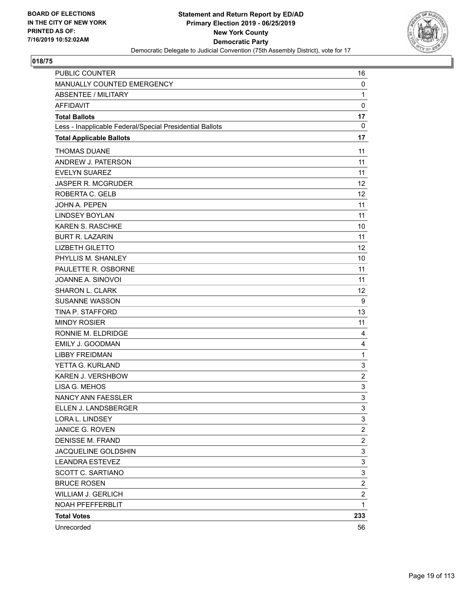

| <b>PUBLIC COUNTER</b>                                    | 16                      |
|----------------------------------------------------------|-------------------------|
| MANUALLY COUNTED EMERGENCY                               | $\mathbf 0$             |
| <b>ABSENTEE / MILITARY</b>                               | $\mathbf{1}$            |
| <b>AFFIDAVIT</b>                                         | $\mathbf 0$             |
| <b>Total Ballots</b>                                     | 17                      |
| Less - Inapplicable Federal/Special Presidential Ballots | 0                       |
| <b>Total Applicable Ballots</b>                          | 17                      |
| <b>THOMAS DUANE</b>                                      | 11                      |
| ANDREW J. PATERSON                                       | 11                      |
| <b>EVELYN SUAREZ</b>                                     | 11                      |
| <b>JASPER R. MCGRUDER</b>                                | 12                      |
| ROBERTA C. GELB                                          | 12                      |
| <b>JOHN A. PEPEN</b>                                     | 11                      |
| <b>LINDSEY BOYLAN</b>                                    | 11                      |
| <b>KAREN S. RASCHKE</b>                                  | 10                      |
| <b>BURT R. LAZARIN</b>                                   | 11                      |
| <b>LIZBETH GILETTO</b>                                   | 12                      |
| PHYLLIS M. SHANLEY                                       | 10                      |
| PAULETTE R. OSBORNE                                      | 11                      |
| JOANNE A. SINOVOI                                        | 11                      |
| SHARON L. CLARK                                          | 12                      |
| <b>SUSANNE WASSON</b>                                    | 9                       |
| TINA P. STAFFORD                                         | 13                      |
| <b>MINDY ROSIER</b>                                      | 11                      |
| RONNIE M. ELDRIDGE                                       | 4                       |
| <b>EMILY J. GOODMAN</b>                                  | $\overline{4}$          |
| <b>LIBBY FREIDMAN</b>                                    | $\mathbf{1}$            |
| YETTA G. KURLAND                                         | 3                       |
| <b>KAREN J. VERSHBOW</b>                                 | $\overline{2}$          |
| LISA G. MEHOS                                            | 3                       |
| <b>NANCY ANN FAESSLER</b>                                | 3                       |
| ELLEN J. LANDSBERGER                                     | 3                       |
| LORA L. LINDSEY                                          | 3                       |
| JANICE G. ROVEN                                          | 2                       |
| <b>DENISSE M. FRAND</b>                                  | $\overline{c}$          |
| JACQUELINE GOLDSHIN                                      | 3                       |
| <b>LEANDRA ESTEVEZ</b>                                   | 3                       |
| SCOTT C. SARTIANO                                        | 3                       |
| <b>BRUCE ROSEN</b>                                       | $\overline{\mathbf{c}}$ |
| <b>WILLIAM J. GERLICH</b>                                | 2                       |
| NOAH PFEFFERBLIT                                         | 1                       |
| <b>Total Votes</b>                                       | 233                     |
| Unrecorded                                               | 56                      |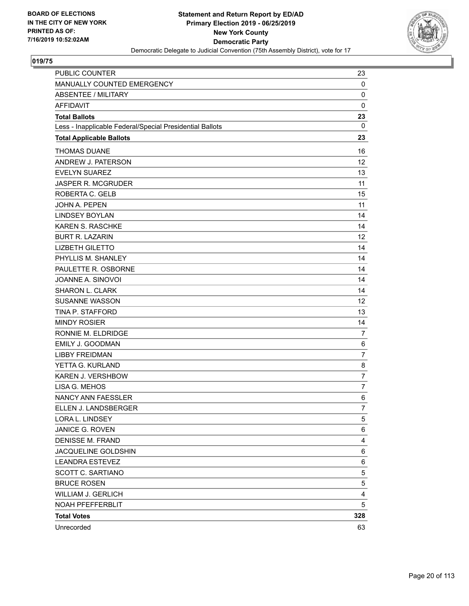

| PUBLIC COUNTER                                           | 23             |
|----------------------------------------------------------|----------------|
| MANUALLY COUNTED EMERGENCY                               | 0              |
| <b>ABSENTEE / MILITARY</b>                               | 0              |
| <b>AFFIDAVIT</b>                                         | $\mathbf 0$    |
| <b>Total Ballots</b>                                     | 23             |
| Less - Inapplicable Federal/Special Presidential Ballots | 0              |
| <b>Total Applicable Ballots</b>                          | 23             |
| <b>THOMAS DUANE</b>                                      | 16             |
| ANDREW J. PATERSON                                       | 12             |
| <b>EVELYN SUAREZ</b>                                     | 13             |
| <b>JASPER R. MCGRUDER</b>                                | 11             |
| ROBERTA C. GELB                                          | 15             |
| <b>JOHN A. PEPEN</b>                                     | 11             |
| <b>LINDSEY BOYLAN</b>                                    | 14             |
| <b>KAREN S. RASCHKE</b>                                  | 14             |
| <b>BURT R. LAZARIN</b>                                   | 12             |
| <b>LIZBETH GILETTO</b>                                   | 14             |
| PHYLLIS M. SHANLEY                                       | 14             |
| PAULETTE R. OSBORNE                                      | 14             |
| JOANNE A. SINOVOI                                        | 14             |
| <b>SHARON L. CLARK</b>                                   | 14             |
| <b>SUSANNE WASSON</b>                                    | 12             |
| TINA P. STAFFORD                                         | 13             |
| <b>MINDY ROSIER</b>                                      | 14             |
| RONNIE M. ELDRIDGE                                       | 7              |
| EMILY J. GOODMAN                                         | 6              |
| <b>LIBBY FREIDMAN</b>                                    | $\overline{7}$ |
| YETTA G. KURLAND                                         | 8              |
| KAREN J. VERSHBOW                                        | $\overline{7}$ |
| LISA G. MEHOS                                            | $\overline{7}$ |
| NANCY ANN FAESSLER                                       | 6              |
| ELLEN J. LANDSBERGER                                     | $\overline{7}$ |
| LORA L. LINDSEY                                          | 5              |
| JANICE G. ROVEN                                          | 6              |
| <b>DENISSE M. FRAND</b>                                  | 4              |
| JACQUELINE GOLDSHIN                                      | 6              |
| <b>LEANDRA ESTEVEZ</b>                                   | 6              |
| <b>SCOTT C. SARTIANO</b>                                 | 5              |
| <b>BRUCE ROSEN</b>                                       | 5              |
| WILLIAM J. GERLICH                                       | 4              |
| NOAH PFEFFERBLIT                                         | 5              |
| <b>Total Votes</b>                                       | 328            |
| Unrecorded                                               | 63             |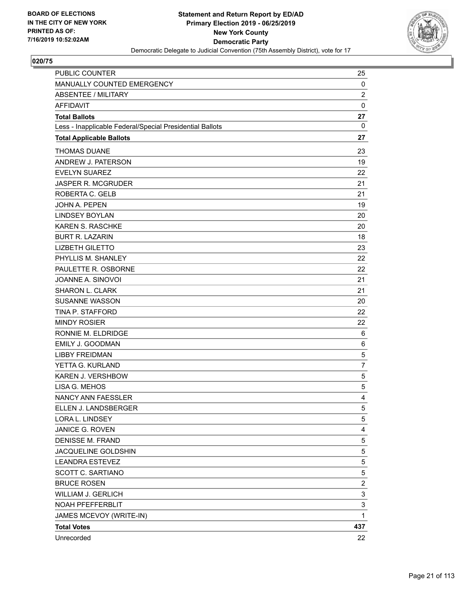

| <b>PUBLIC COUNTER</b>                                    | 25             |
|----------------------------------------------------------|----------------|
| MANUALLY COUNTED EMERGENCY                               | 0              |
| <b>ABSENTEE / MILITARY</b>                               | $\overline{c}$ |
| <b>AFFIDAVIT</b>                                         | $\mathbf 0$    |
| <b>Total Ballots</b>                                     | 27             |
| Less - Inapplicable Federal/Special Presidential Ballots | 0              |
| <b>Total Applicable Ballots</b>                          | 27             |
| <b>THOMAS DUANE</b>                                      | 23             |
| ANDREW J. PATERSON                                       | 19             |
| <b>EVELYN SUAREZ</b>                                     | 22             |
| <b>JASPER R. MCGRUDER</b>                                | 21             |
| ROBERTA C. GELB                                          | 21             |
| <b>JOHN A. PEPEN</b>                                     | 19             |
| <b>LINDSEY BOYLAN</b>                                    | 20             |
| <b>KAREN S. RASCHKE</b>                                  | 20             |
| <b>BURT R. LAZARIN</b>                                   | 18             |
| <b>LIZBETH GILETTO</b>                                   | 23             |
| PHYLLIS M. SHANLEY                                       | 22             |
| PAULETTE R. OSBORNE                                      | 22             |
| JOANNE A. SINOVOI                                        | 21             |
| SHARON L. CLARK                                          | 21             |
| <b>SUSANNE WASSON</b>                                    | 20             |
| TINA P. STAFFORD                                         | 22             |
| <b>MINDY ROSIER</b>                                      | 22             |
| RONNIE M. ELDRIDGE                                       | 6              |
| <b>EMILY J. GOODMAN</b>                                  | 6              |
| <b>LIBBY FREIDMAN</b>                                    | 5              |
| YETTA G. KURLAND                                         | $\overline{7}$ |
| <b>KAREN J. VERSHBOW</b>                                 | 5              |
| LISA G. MEHOS                                            | 5              |
| NANCY ANN FAESSLER                                       | 4              |
| ELLEN J. LANDSBERGER                                     | 5              |
| LORA L. LINDSEY                                          | 5              |
| JANICE G. ROVEN                                          | 4              |
| <b>DENISSE M. FRAND</b>                                  | 5              |
| JACQUELINE GOLDSHIN                                      | 5              |
| <b>LEANDRA ESTEVEZ</b>                                   | 5              |
| <b>SCOTT C. SARTIANO</b>                                 | 5              |
| <b>BRUCE ROSEN</b>                                       | $\overline{c}$ |
| <b>WILLIAM J. GERLICH</b>                                | 3              |
| NOAH PFEFFERBLIT                                         | 3              |
| JAMES MCEVOY (WRITE-IN)                                  | 1              |
| <b>Total Votes</b>                                       | 437            |
| Unrecorded                                               | 22             |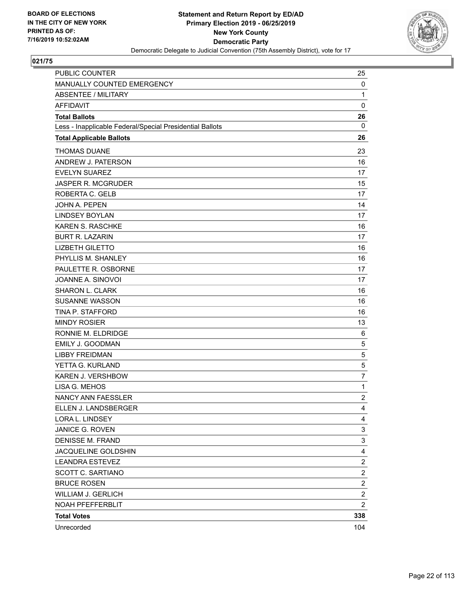

| PUBLIC COUNTER                                           | 25                      |
|----------------------------------------------------------|-------------------------|
| MANUALLY COUNTED EMERGENCY                               | 0                       |
| <b>ABSENTEE / MILITARY</b>                               | 1                       |
| <b>AFFIDAVIT</b>                                         | $\mathbf 0$             |
| <b>Total Ballots</b>                                     | 26                      |
| Less - Inapplicable Federal/Special Presidential Ballots | 0                       |
| <b>Total Applicable Ballots</b>                          | 26                      |
| <b>THOMAS DUANE</b>                                      | 23                      |
| ANDREW J. PATERSON                                       | 16                      |
| <b>EVELYN SUAREZ</b>                                     | 17                      |
| <b>JASPER R. MCGRUDER</b>                                | 15                      |
| ROBERTA C. GELB                                          | 17                      |
| JOHN A. PEPEN                                            | 14                      |
| <b>LINDSEY BOYLAN</b>                                    | 17                      |
| <b>KAREN S. RASCHKE</b>                                  | 16                      |
| <b>BURT R. LAZARIN</b>                                   | 17                      |
| <b>LIZBETH GILETTO</b>                                   | 16                      |
| PHYLLIS M. SHANLEY                                       | 16                      |
| PAULETTE R. OSBORNE                                      | 17                      |
| JOANNE A. SINOVOI                                        | 17                      |
| <b>SHARON L. CLARK</b>                                   | 16                      |
| <b>SUSANNE WASSON</b>                                    | 16                      |
| TINA P. STAFFORD                                         | 16                      |
| <b>MINDY ROSIER</b>                                      | 13                      |
| RONNIE M. ELDRIDGE                                       | 6                       |
| EMILY J. GOODMAN                                         | 5                       |
| <b>LIBBY FREIDMAN</b>                                    | 5                       |
| YETTA G. KURLAND                                         | 5                       |
| KAREN J. VERSHBOW                                        | $\overline{7}$          |
| LISA G. MEHOS                                            | $\mathbf{1}$            |
| NANCY ANN FAESSLER                                       | $\overline{c}$          |
| ELLEN J. LANDSBERGER                                     | $\overline{4}$          |
| LORA L. LINDSEY                                          | 4                       |
| JANICE G. ROVEN                                          | 3                       |
| <b>DENISSE M. FRAND</b>                                  | 3                       |
| JACQUELINE GOLDSHIN                                      | 4                       |
| <b>LEANDRA ESTEVEZ</b>                                   | $\overline{2}$          |
| SCOTT C. SARTIANO                                        | $\overline{c}$          |
| <b>BRUCE ROSEN</b>                                       | $\overline{\mathbf{c}}$ |
| <b>WILLIAM J. GERLICH</b>                                | $\overline{c}$          |
| NOAH PFEFFERBLIT                                         | $\overline{c}$          |
| <b>Total Votes</b>                                       | 338                     |
| Unrecorded                                               | 104                     |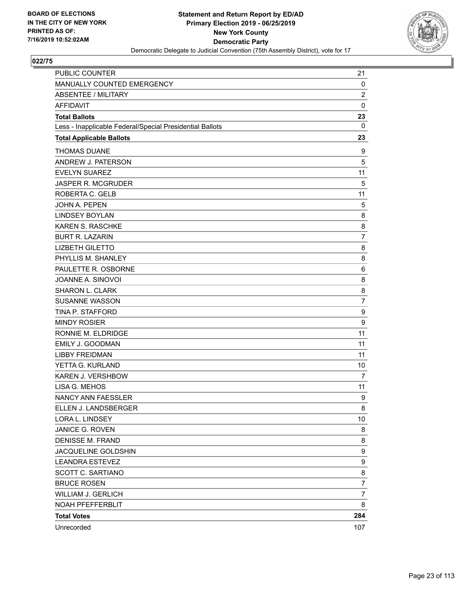

| PUBLIC COUNTER                                           | 21               |
|----------------------------------------------------------|------------------|
| MANUALLY COUNTED EMERGENCY                               | 0                |
| <b>ABSENTEE / MILITARY</b>                               | $\boldsymbol{2}$ |
| <b>AFFIDAVIT</b>                                         | $\mathbf 0$      |
| <b>Total Ballots</b>                                     | 23               |
| Less - Inapplicable Federal/Special Presidential Ballots | $\mathbf{0}$     |
| <b>Total Applicable Ballots</b>                          | 23               |
| <b>THOMAS DUANE</b>                                      | 9                |
| ANDREW J. PATERSON                                       | 5                |
| <b>EVELYN SUAREZ</b>                                     | 11               |
| <b>JASPER R. MCGRUDER</b>                                | 5                |
| ROBERTA C. GELB                                          | 11               |
| <b>JOHN A. PEPEN</b>                                     | 5                |
| <b>LINDSEY BOYLAN</b>                                    | 8                |
| <b>KAREN S. RASCHKE</b>                                  | 8                |
| <b>BURT R. LAZARIN</b>                                   | $\overline{7}$   |
| <b>LIZBETH GILETTO</b>                                   | 8                |
| PHYLLIS M. SHANLEY                                       | 8                |
| PAULETTE R. OSBORNE                                      | 6                |
| JOANNE A. SINOVOI                                        | 8                |
| <b>SHARON L. CLARK</b>                                   | 8                |
| <b>SUSANNE WASSON</b>                                    | $\overline{7}$   |
| TINA P. STAFFORD                                         | 9                |
| <b>MINDY ROSIER</b>                                      | 9                |
| RONNIE M. ELDRIDGE                                       | 11               |
| EMILY J. GOODMAN                                         | 11               |
| <b>LIBBY FREIDMAN</b>                                    | 11               |
| YETTA G. KURLAND                                         | 10               |
| KAREN J. VERSHBOW                                        | 7                |
| LISA G. MEHOS                                            | 11               |
| NANCY ANN FAESSLER                                       | 9                |
| ELLEN J. LANDSBERGER                                     | 8                |
| LORA L. LINDSEY                                          | 10               |
| JANICE G. ROVEN                                          | 8                |
| <b>DENISSE M. FRAND</b>                                  | 8                |
| JACQUELINE GOLDSHIN                                      | 9                |
| <b>LEANDRA ESTEVEZ</b>                                   | 9                |
| SCOTT C. SARTIANO                                        | 8                |
| <b>BRUCE ROSEN</b>                                       | $\overline{7}$   |
| <b>WILLIAM J. GERLICH</b>                                | 7                |
| NOAH PFEFFERBLIT                                         | 8                |
| <b>Total Votes</b>                                       | 284              |
| Unrecorded                                               | 107              |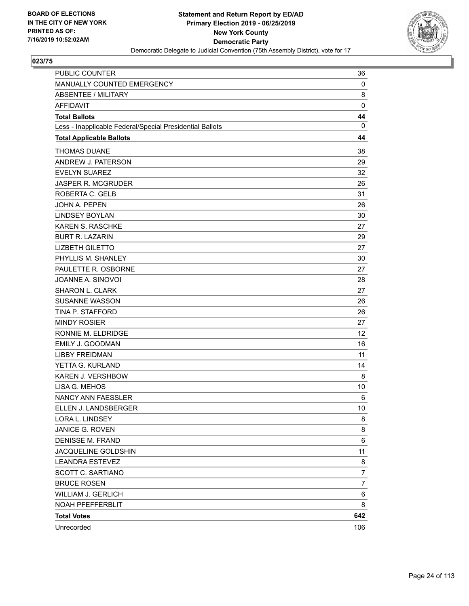

| <b>PUBLIC COUNTER</b>                                    | 36             |
|----------------------------------------------------------|----------------|
| MANUALLY COUNTED EMERGENCY                               | 0              |
| <b>ABSENTEE / MILITARY</b>                               | 8              |
| <b>AFFIDAVIT</b>                                         | $\mathbf 0$    |
| <b>Total Ballots</b>                                     | 44             |
| Less - Inapplicable Federal/Special Presidential Ballots | $\mathbf{0}$   |
| <b>Total Applicable Ballots</b>                          | 44             |
| <b>THOMAS DUANE</b>                                      | 38             |
| ANDREW J. PATERSON                                       | 29             |
| <b>EVELYN SUAREZ</b>                                     | 32             |
| <b>JASPER R. MCGRUDER</b>                                | 26             |
| ROBERTA C. GELB                                          | 31             |
| <b>JOHN A. PEPEN</b>                                     | 26             |
| <b>LINDSEY BOYLAN</b>                                    | 30             |
| <b>KAREN S. RASCHKE</b>                                  | 27             |
| <b>BURT R. LAZARIN</b>                                   | 29             |
| <b>LIZBETH GILETTO</b>                                   | 27             |
| PHYLLIS M. SHANLEY                                       | 30             |
| PAULETTE R. OSBORNE                                      | 27             |
| JOANNE A. SINOVOI                                        | 28             |
| <b>SHARON L. CLARK</b>                                   | 27             |
| <b>SUSANNE WASSON</b>                                    | 26             |
| TINA P. STAFFORD                                         | 26             |
| <b>MINDY ROSIER</b>                                      | 27             |
| RONNIE M. ELDRIDGE                                       | 12             |
| <b>EMILY J. GOODMAN</b>                                  | 16             |
| <b>LIBBY FREIDMAN</b>                                    | 11             |
| YETTA G. KURLAND                                         | 14             |
| KAREN J. VERSHBOW                                        | 8              |
| LISA G. MEHOS                                            | 10             |
| <b>NANCY ANN FAESSLER</b>                                | 6              |
| ELLEN J. LANDSBERGER                                     | 10             |
| LORA L. LINDSEY                                          | 8              |
| JANICE G. ROVEN                                          | 8              |
| <b>DENISSE M. FRAND</b>                                  | 6              |
| JACQUELINE GOLDSHIN                                      | 11             |
| <b>LEANDRA ESTEVEZ</b>                                   | 8              |
| SCOTT C. SARTIANO                                        | 7              |
| <b>BRUCE ROSEN</b>                                       | $\overline{7}$ |
| WILLIAM J. GERLICH                                       | 6              |
| NOAH PFEFFERBLIT                                         | 8              |
| <b>Total Votes</b>                                       | 642            |
| Unrecorded                                               | 106            |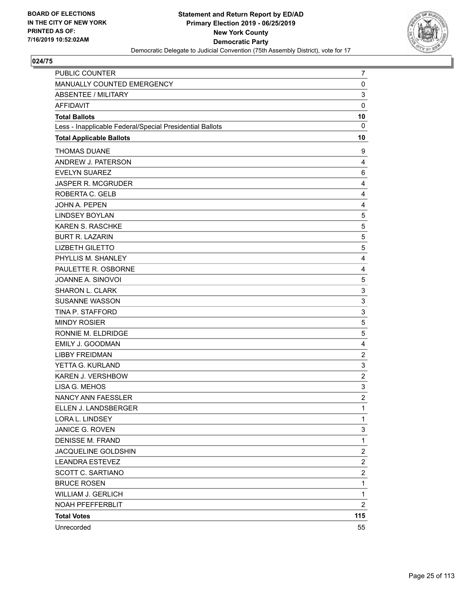

| PUBLIC COUNTER                                           | 7                       |
|----------------------------------------------------------|-------------------------|
| MANUALLY COUNTED EMERGENCY                               | 0                       |
| <b>ABSENTEE / MILITARY</b>                               | 3                       |
| <b>AFFIDAVIT</b>                                         | $\mathbf 0$             |
| <b>Total Ballots</b>                                     | 10                      |
| Less - Inapplicable Federal/Special Presidential Ballots | 0                       |
| <b>Total Applicable Ballots</b>                          | 10                      |
| <b>THOMAS DUANE</b>                                      | 9                       |
| ANDREW J. PATERSON                                       | 4                       |
| <b>EVELYN SUAREZ</b>                                     | 6                       |
| JASPER R. MCGRUDER                                       | 4                       |
| ROBERTA C. GELB                                          | 4                       |
| JOHN A. PEPEN                                            | 4                       |
| <b>LINDSEY BOYLAN</b>                                    | 5                       |
| KAREN S. RASCHKE                                         | 5                       |
| <b>BURT R. LAZARIN</b>                                   | 5                       |
| <b>LIZBETH GILETTO</b>                                   | 5                       |
| PHYLLIS M. SHANLEY                                       | 4                       |
| PAULETTE R. OSBORNE                                      | 4                       |
| JOANNE A. SINOVOI                                        | 5                       |
| SHARON L. CLARK                                          | 3                       |
| <b>SUSANNE WASSON</b>                                    | 3                       |
| TINA P. STAFFORD                                         | 3                       |
| <b>MINDY ROSIER</b>                                      | 5                       |
| RONNIE M. ELDRIDGE                                       | 5                       |
| EMILY J. GOODMAN                                         | 4                       |
| <b>LIBBY FREIDMAN</b>                                    | $\overline{c}$          |
| YETTA G. KURLAND                                         | 3                       |
| KAREN J. VERSHBOW                                        | $\overline{c}$          |
| LISA G. MEHOS                                            | 3                       |
| <b>NANCY ANN FAESSLER</b>                                | $\overline{c}$          |
| ELLEN J. LANDSBERGER                                     | 1                       |
| LORA L. LINDSEY                                          | 1                       |
| <b>JANICE G. ROVEN</b>                                   | 3                       |
| <b>DENISSE M. FRAND</b>                                  | 1                       |
| JACQUELINE GOLDSHIN                                      | $\overline{c}$          |
| <b>LEANDRA ESTEVEZ</b>                                   | $\overline{c}$          |
| <b>SCOTT C. SARTIANO</b>                                 | $\overline{\mathbf{c}}$ |
| <b>BRUCE ROSEN</b>                                       | 1                       |
| <b>WILLIAM J. GERLICH</b>                                | 1                       |
| NOAH PFEFFERBLIT                                         | $\overline{c}$          |
| <b>Total Votes</b>                                       | 115                     |
| Unrecorded                                               | 55                      |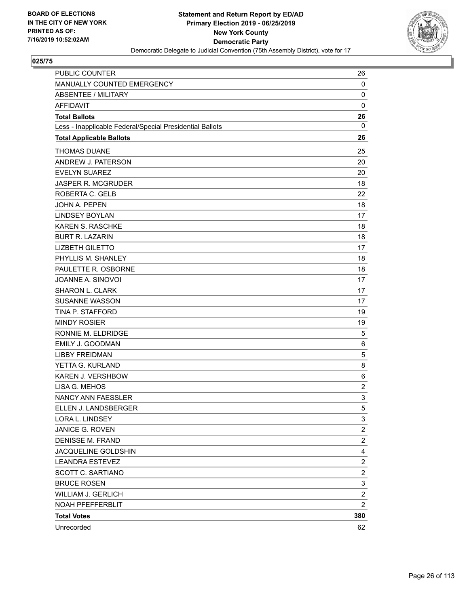

| <b>PUBLIC COUNTER</b>                                    | 26                      |
|----------------------------------------------------------|-------------------------|
| MANUALLY COUNTED EMERGENCY                               | 0                       |
| <b>ABSENTEE / MILITARY</b>                               | 0                       |
| <b>AFFIDAVIT</b>                                         | 0                       |
| <b>Total Ballots</b>                                     | 26                      |
| Less - Inapplicable Federal/Special Presidential Ballots | 0                       |
| <b>Total Applicable Ballots</b>                          | 26                      |
| <b>THOMAS DUANE</b>                                      | 25                      |
| ANDREW J. PATERSON                                       | 20                      |
| <b>EVELYN SUAREZ</b>                                     | 20                      |
| JASPER R. MCGRUDER                                       | 18                      |
| ROBERTA C. GELB                                          | 22                      |
| <b>JOHN A. PEPEN</b>                                     | 18                      |
| <b>LINDSEY BOYLAN</b>                                    | 17                      |
| KAREN S. RASCHKE                                         | 18                      |
| <b>BURT R. LAZARIN</b>                                   | 18                      |
| <b>LIZBETH GILETTO</b>                                   | 17                      |
| PHYLLIS M. SHANLEY                                       | 18                      |
| PAULETTE R. OSBORNE                                      | 18                      |
| JOANNE A. SINOVOI                                        | 17                      |
| <b>SHARON L. CLARK</b>                                   | 17                      |
| <b>SUSANNE WASSON</b>                                    | 17                      |
| TINA P. STAFFORD                                         | 19                      |
| <b>MINDY ROSIER</b>                                      | 19                      |
| RONNIE M. ELDRIDGE                                       | 5                       |
| EMILY J. GOODMAN                                         | 6                       |
| <b>LIBBY FREIDMAN</b>                                    | 5                       |
| YETTA G. KURLAND                                         | 8                       |
| KAREN J. VERSHBOW                                        | 6                       |
| LISA G. MEHOS                                            | $\overline{c}$          |
| NANCY ANN FAESSLER                                       | 3                       |
| ELLEN J. LANDSBERGER                                     | 5                       |
| LORA L. LINDSEY                                          | 3                       |
| JANICE G. ROVEN                                          | 2                       |
| <b>DENISSE M. FRAND</b>                                  | $\overline{c}$          |
| JACQUELINE GOLDSHIN                                      | 4                       |
| <b>LEANDRA ESTEVEZ</b>                                   | $\overline{\mathbf{c}}$ |
| <b>SCOTT C. SARTIANO</b>                                 | $\overline{c}$          |
| <b>BRUCE ROSEN</b>                                       | 3                       |
| WILLIAM J. GERLICH                                       | $\overline{\mathbf{c}}$ |
| NOAH PFEFFERBLIT                                         | $\overline{2}$          |
| <b>Total Votes</b>                                       | 380                     |
| Unrecorded                                               | 62                      |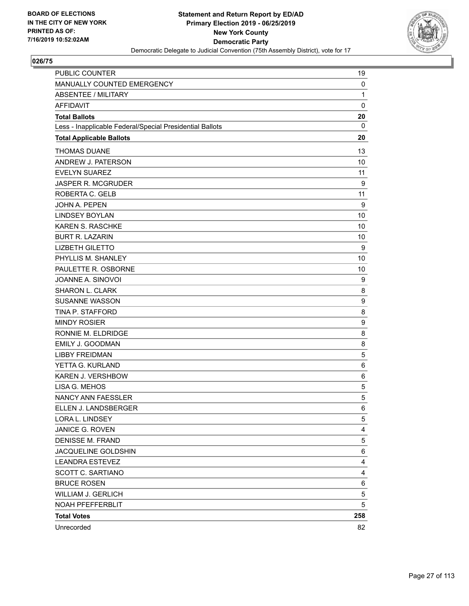

| PUBLIC COUNTER                                           | 19           |
|----------------------------------------------------------|--------------|
| MANUALLY COUNTED EMERGENCY                               | $\mathbf 0$  |
| ABSENTEE / MILITARY                                      | $\mathbf{1}$ |
| <b>AFFIDAVIT</b>                                         | $\mathbf 0$  |
| <b>Total Ballots</b>                                     | 20           |
| Less - Inapplicable Federal/Special Presidential Ballots | 0            |
| <b>Total Applicable Ballots</b>                          | 20           |
| <b>THOMAS DUANE</b>                                      | 13           |
| ANDREW J. PATERSON                                       | 10           |
| <b>EVELYN SUAREZ</b>                                     | 11           |
| <b>JASPER R. MCGRUDER</b>                                | 9            |
| ROBERTA C. GELB                                          | 11           |
| <b>JOHN A. PEPEN</b>                                     | 9            |
| <b>LINDSEY BOYLAN</b>                                    | 10           |
| <b>KAREN S. RASCHKE</b>                                  | 10           |
| <b>BURT R. LAZARIN</b>                                   | 10           |
| <b>LIZBETH GILETTO</b>                                   | 9            |
| PHYLLIS M. SHANLEY                                       | 10           |
| PAULETTE R. OSBORNE                                      | 10           |
| JOANNE A. SINOVOI                                        | 9            |
| SHARON L. CLARK                                          | 8            |
| <b>SUSANNE WASSON</b>                                    | 9            |
| TINA P. STAFFORD                                         | 8            |
| <b>MINDY ROSIER</b>                                      | 9            |
| RONNIE M. ELDRIDGE                                       | 8            |
| <b>EMILY J. GOODMAN</b>                                  | 8            |
| <b>LIBBY FREIDMAN</b>                                    | 5            |
| YETTA G. KURLAND                                         | 6            |
| KAREN J. VERSHBOW                                        | 6            |
| LISA G. MEHOS                                            | 5            |
| NANCY ANN FAESSLER                                       | 5            |
| ELLEN J. LANDSBERGER                                     | 6            |
| LORA L. LINDSEY                                          | 5            |
| JANICE G. ROVEN                                          | 4            |
| <b>DENISSE M. FRAND</b>                                  | 5            |
| JACQUELINE GOLDSHIN                                      | 6            |
| <b>LEANDRA ESTEVEZ</b>                                   | 4            |
| SCOTT C. SARTIANO                                        | 4            |
| <b>BRUCE ROSEN</b>                                       | 6            |
| <b>WILLIAM J. GERLICH</b>                                | 5            |
| NOAH PFEFFERBLIT                                         | 5            |
| <b>Total Votes</b>                                       | 258          |
| Unrecorded                                               | 82           |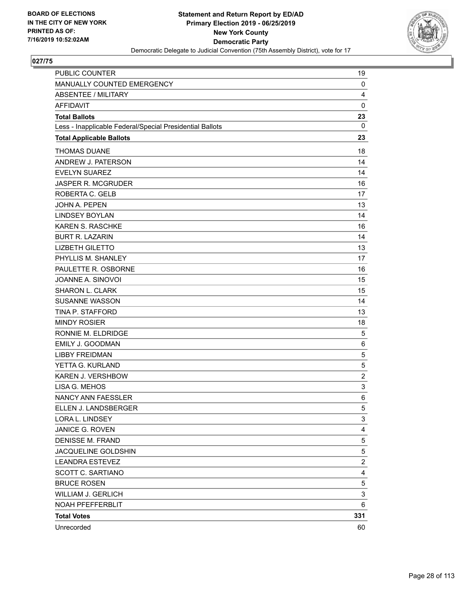

| PUBLIC COUNTER                                           | 19             |
|----------------------------------------------------------|----------------|
| MANUALLY COUNTED EMERGENCY                               | 0              |
| <b>ABSENTEE / MILITARY</b>                               | 4              |
| <b>AFFIDAVIT</b>                                         | $\mathbf 0$    |
| <b>Total Ballots</b>                                     | 23             |
| Less - Inapplicable Federal/Special Presidential Ballots | 0              |
| <b>Total Applicable Ballots</b>                          | 23             |
| <b>THOMAS DUANE</b>                                      | 18             |
| ANDREW J. PATERSON                                       | 14             |
| <b>EVELYN SUAREZ</b>                                     | 14             |
| JASPER R. MCGRUDER                                       | 16             |
| ROBERTA C. GELB                                          | 17             |
| <b>JOHN A. PEPEN</b>                                     | 13             |
| <b>LINDSEY BOYLAN</b>                                    | 14             |
| KAREN S. RASCHKE                                         | 16             |
| <b>BURT R. LAZARIN</b>                                   | 14             |
| <b>LIZBETH GILETTO</b>                                   | 13             |
| PHYLLIS M. SHANLEY                                       | 17             |
| PAULETTE R. OSBORNE                                      | 16             |
| JOANNE A. SINOVOI                                        | 15             |
| <b>SHARON L. CLARK</b>                                   | 15             |
| <b>SUSANNE WASSON</b>                                    | 14             |
| TINA P. STAFFORD                                         | 13             |
| <b>MINDY ROSIER</b>                                      | 18             |
| RONNIE M. ELDRIDGE                                       | 5              |
| EMILY J. GOODMAN                                         | 6              |
| <b>LIBBY FREIDMAN</b>                                    | 5              |
| YETTA G. KURLAND                                         | 5              |
| KAREN J. VERSHBOW                                        | $\overline{c}$ |
| LISA G. MEHOS                                            | 3              |
| NANCY ANN FAESSLER                                       | 6              |
| ELLEN J. LANDSBERGER                                     | 5              |
| LORA L. LINDSEY                                          | 3              |
| JANICE G. ROVEN                                          | 4              |
| <b>DENISSE M. FRAND</b>                                  | 5              |
| JACQUELINE GOLDSHIN                                      | 5              |
| <b>LEANDRA ESTEVEZ</b>                                   | 2              |
| <b>SCOTT C. SARTIANO</b>                                 | 4              |
| <b>BRUCE ROSEN</b>                                       | 5              |
| <b>WILLIAM J. GERLICH</b>                                | 3              |
| NOAH PFEFFERBLIT                                         | 6              |
| <b>Total Votes</b>                                       | 331            |
| Unrecorded                                               | 60             |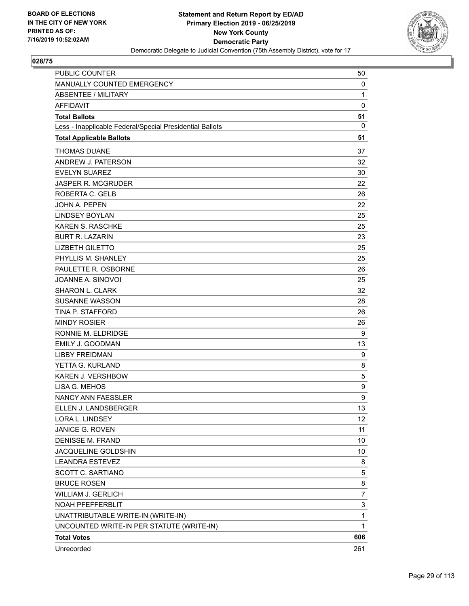

| <b>PUBLIC COUNTER</b>                                    | 50             |
|----------------------------------------------------------|----------------|
| MANUALLY COUNTED EMERGENCY                               | 0              |
| <b>ABSENTEE / MILITARY</b>                               | $\mathbf{1}$   |
| <b>AFFIDAVIT</b>                                         | 0              |
| <b>Total Ballots</b>                                     | 51             |
| Less - Inapplicable Federal/Special Presidential Ballots | 0              |
| <b>Total Applicable Ballots</b>                          | 51             |
| <b>THOMAS DUANE</b>                                      | 37             |
| ANDREW J. PATERSON                                       | 32             |
| <b>EVELYN SUAREZ</b>                                     | 30             |
| <b>JASPER R. MCGRUDER</b>                                | 22             |
| ROBERTA C. GELB                                          | 26             |
| <b>JOHN A. PEPEN</b>                                     | 22             |
| <b>LINDSEY BOYLAN</b>                                    | 25             |
| <b>KAREN S. RASCHKE</b>                                  | 25             |
| <b>BURT R. LAZARIN</b>                                   | 23             |
| <b>LIZBETH GILETTO</b>                                   | 25             |
| PHYLLIS M. SHANLEY                                       | 25             |
| PAULETTE R. OSBORNE                                      | 26             |
| JOANNE A. SINOVOI                                        | 25             |
| <b>SHARON L. CLARK</b>                                   | 32             |
| <b>SUSANNE WASSON</b>                                    | 28             |
| TINA P. STAFFORD                                         | 26             |
| <b>MINDY ROSIER</b>                                      | 26             |
| RONNIE M. ELDRIDGE                                       | 9              |
| <b>EMILY J. GOODMAN</b>                                  | 13             |
| <b>LIBBY FREIDMAN</b>                                    | 9              |
| YETTA G. KURLAND                                         | 8              |
| <b>KAREN J. VERSHBOW</b>                                 | 5              |
| LISA G. MEHOS                                            | 9              |
| NANCY ANN FAESSLER                                       | 9              |
| ELLEN J. LANDSBERGER                                     | 13             |
| LORA L. LINDSEY                                          | 12             |
| JANICE G. ROVEN                                          | 11             |
| <b>DENISSE M. FRAND</b>                                  | 10             |
| JACQUELINE GOLDSHIN                                      | 10             |
| <b>LEANDRA ESTEVEZ</b>                                   | 8              |
| SCOTT C. SARTIANO                                        | 5              |
| <b>BRUCE ROSEN</b>                                       | 8              |
| WILLIAM J. GERLICH                                       | $\overline{7}$ |
| NOAH PFEFFERBLIT                                         | 3              |
| UNATTRIBUTABLE WRITE-IN (WRITE-IN)                       | $\mathbf 1$    |
| UNCOUNTED WRITE-IN PER STATUTE (WRITE-IN)                | 1              |
| <b>Total Votes</b>                                       | 606            |
| Unrecorded                                               | 261            |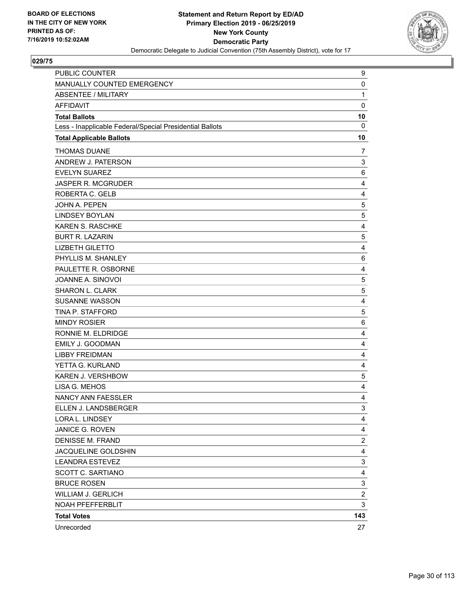

| PUBLIC COUNTER                                           | 9              |
|----------------------------------------------------------|----------------|
| MANUALLY COUNTED EMERGENCY                               | 0              |
| <b>ABSENTEE / MILITARY</b>                               | $\mathbf{1}$   |
| <b>AFFIDAVIT</b>                                         | $\mathbf 0$    |
| <b>Total Ballots</b>                                     | 10             |
| Less - Inapplicable Federal/Special Presidential Ballots | $\mathbf 0$    |
| <b>Total Applicable Ballots</b>                          | 10             |
| <b>THOMAS DUANE</b>                                      | 7              |
| ANDREW J. PATERSON                                       | 3              |
| <b>EVELYN SUAREZ</b>                                     | 6              |
| <b>JASPER R. MCGRUDER</b>                                | 4              |
| ROBERTA C. GELB                                          | 4              |
| <b>JOHN A. PEPEN</b>                                     | 5              |
| <b>LINDSEY BOYLAN</b>                                    | 5              |
| KAREN S. RASCHKE                                         | 4              |
| <b>BURT R. LAZARIN</b>                                   | 5              |
| <b>LIZBETH GILETTO</b>                                   | 4              |
| PHYLLIS M. SHANLEY                                       | 6              |
| PAULETTE R. OSBORNE                                      | 4              |
| JOANNE A. SINOVOI                                        | $\mathbf 5$    |
| <b>SHARON L. CLARK</b>                                   | 5              |
| <b>SUSANNE WASSON</b>                                    | 4              |
| TINA P. STAFFORD                                         | 5              |
| <b>MINDY ROSIER</b>                                      | $\,6$          |
| RONNIE M. ELDRIDGE                                       | 4              |
| EMILY J. GOODMAN                                         | 4              |
| <b>LIBBY FREIDMAN</b>                                    | 4              |
| YETTA G. KURLAND                                         | 4              |
| KAREN J. VERSHBOW                                        | 5              |
| LISA G. MEHOS                                            | 4              |
| NANCY ANN FAESSLER                                       | 4              |
| ELLEN J. LANDSBERGER                                     | 3              |
| LORA L. LINDSEY                                          | 4              |
| JANICE G. ROVEN                                          | 4              |
| <b>DENISSE M. FRAND</b>                                  | $\overline{c}$ |
| JACQUELINE GOLDSHIN                                      | 4              |
| <b>LEANDRA ESTEVEZ</b>                                   | 3              |
| SCOTT C. SARTIANO                                        | 4              |
| <b>BRUCE ROSEN</b>                                       | 3              |
| <b>WILLIAM J. GERLICH</b>                                | $\overline{c}$ |
| NOAH PFEFFERBLIT                                         | 3              |
| <b>Total Votes</b>                                       | 143            |
| Unrecorded                                               | 27             |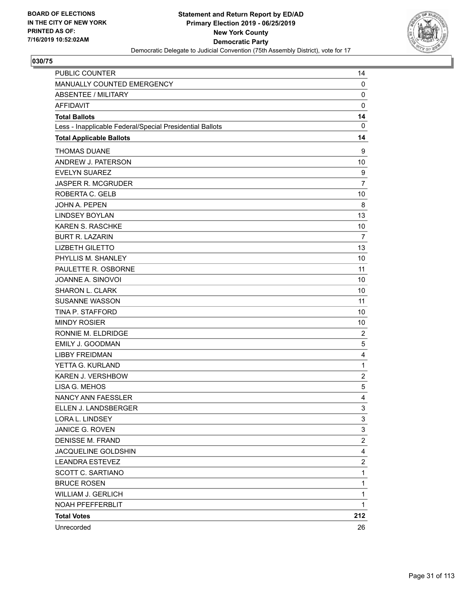

| <b>PUBLIC COUNTER</b>                                    | 14                      |
|----------------------------------------------------------|-------------------------|
| MANUALLY COUNTED EMERGENCY                               | 0                       |
| <b>ABSENTEE / MILITARY</b>                               | 0                       |
| <b>AFFIDAVIT</b>                                         | $\mathbf 0$             |
| <b>Total Ballots</b>                                     | 14                      |
| Less - Inapplicable Federal/Special Presidential Ballots | 0                       |
| <b>Total Applicable Ballots</b>                          | 14                      |
| <b>THOMAS DUANE</b>                                      | 9                       |
| ANDREW J. PATERSON                                       | 10                      |
| <b>EVELYN SUAREZ</b>                                     | 9                       |
| <b>JASPER R. MCGRUDER</b>                                | $\overline{7}$          |
| ROBERTA C. GELB                                          | 10                      |
| <b>JOHN A. PEPEN</b>                                     | 8                       |
| <b>LINDSEY BOYLAN</b>                                    | 13                      |
| <b>KAREN S. RASCHKE</b>                                  | 10                      |
| <b>BURT R. LAZARIN</b>                                   | 7                       |
| <b>LIZBETH GILETTO</b>                                   | 13                      |
| PHYLLIS M. SHANLEY                                       | 10                      |
| PAULETTE R. OSBORNE                                      | 11                      |
| JOANNE A. SINOVOI                                        | 10                      |
| <b>SHARON L. CLARK</b>                                   | 10                      |
| <b>SUSANNE WASSON</b>                                    | 11                      |
| TINA P. STAFFORD                                         | 10                      |
| <b>MINDY ROSIER</b>                                      | 10                      |
| RONNIE M. ELDRIDGE                                       | $\overline{c}$          |
| <b>EMILY J. GOODMAN</b>                                  | 5                       |
| <b>LIBBY FREIDMAN</b>                                    | 4                       |
| YETTA G. KURLAND                                         | $\mathbf{1}$            |
| KAREN J. VERSHBOW                                        | $\overline{c}$          |
| LISA G. MEHOS                                            | 5                       |
| NANCY ANN FAESSLER                                       | 4                       |
| ELLEN J. LANDSBERGER                                     | 3                       |
| LORA L. LINDSEY                                          | 3                       |
| JANICE G. ROVEN                                          | 3                       |
| <b>DENISSE M. FRAND</b>                                  | $\overline{c}$          |
| JACQUELINE GOLDSHIN                                      | 4                       |
| <b>LEANDRA ESTEVEZ</b>                                   | $\overline{\mathbf{c}}$ |
| SCOTT C. SARTIANO                                        | $\mathbf{1}$            |
| <b>BRUCE ROSEN</b>                                       | $\mathbf{1}$            |
| <b>WILLIAM J. GERLICH</b>                                | 1                       |
| NOAH PFEFFERBLIT                                         | $\mathbf{1}$            |
| <b>Total Votes</b>                                       | 212                     |
| Unrecorded                                               | 26                      |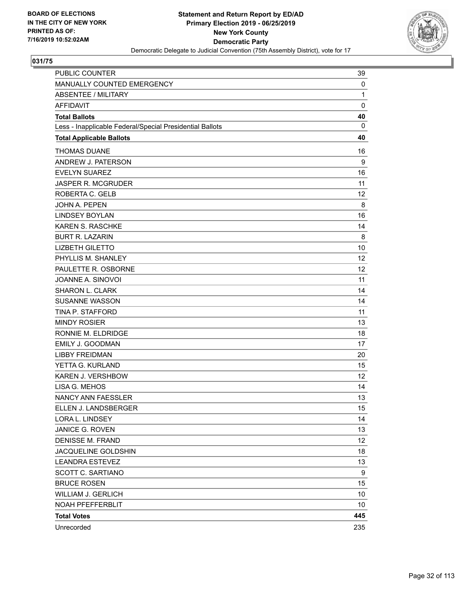

| <b>PUBLIC COUNTER</b>                                    | 39           |
|----------------------------------------------------------|--------------|
| MANUALLY COUNTED EMERGENCY                               | 0            |
| <b>ABSENTEE / MILITARY</b>                               | $\mathbf{1}$ |
| <b>AFFIDAVIT</b>                                         | 0            |
| <b>Total Ballots</b>                                     | 40           |
| Less - Inapplicable Federal/Special Presidential Ballots | 0            |
| <b>Total Applicable Ballots</b>                          | 40           |
| <b>THOMAS DUANE</b>                                      | 16           |
| ANDREW J. PATERSON                                       | 9            |
| <b>EVELYN SUAREZ</b>                                     | 16           |
| JASPER R. MCGRUDER                                       | 11           |
| ROBERTA C. GELB                                          | 12           |
| <b>JOHN A. PEPEN</b>                                     | 8            |
| <b>LINDSEY BOYLAN</b>                                    | 16           |
| <b>KAREN S. RASCHKE</b>                                  | 14           |
| <b>BURT R. LAZARIN</b>                                   | 8            |
| <b>LIZBETH GILETTO</b>                                   | 10           |
| PHYLLIS M. SHANLEY                                       | 12           |
| PAULETTE R. OSBORNE                                      | 12           |
| JOANNE A. SINOVOI                                        | 11           |
| <b>SHARON L. CLARK</b>                                   | 14           |
| <b>SUSANNE WASSON</b>                                    | 14           |
| TINA P. STAFFORD                                         | 11           |
| <b>MINDY ROSIER</b>                                      | 13           |
| RONNIE M. ELDRIDGE                                       | 18           |
| <b>EMILY J. GOODMAN</b>                                  | 17           |
| <b>LIBBY FREIDMAN</b>                                    | 20           |
| YETTA G. KURLAND                                         | 15           |
| KAREN J. VERSHBOW                                        | 12           |
| LISA G. MEHOS                                            | 14           |
| NANCY ANN FAESSLER                                       | 13           |
| ELLEN J. LANDSBERGER                                     | 15           |
| LORA L. LINDSEY                                          | 14           |
| JANICE G. ROVEN                                          | 13           |
| <b>DENISSE M. FRAND</b>                                  | 12           |
| JACQUELINE GOLDSHIN                                      | 18           |
| <b>LEANDRA ESTEVEZ</b>                                   | 13           |
| SCOTT C. SARTIANO                                        | 9            |
| <b>BRUCE ROSEN</b>                                       | 15           |
| <b>WILLIAM J. GERLICH</b>                                | 10           |
| NOAH PFEFFERBLIT                                         | 10           |
| <b>Total Votes</b>                                       | 445          |
| Unrecorded                                               | 235          |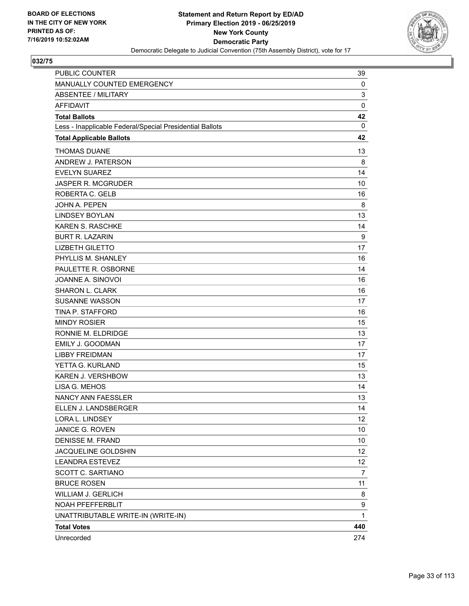

| <b>PUBLIC COUNTER</b>                                    | 39           |
|----------------------------------------------------------|--------------|
| MANUALLY COUNTED EMERGENCY                               | 0            |
| <b>ABSENTEE / MILITARY</b>                               | 3            |
| <b>AFFIDAVIT</b>                                         | 0            |
| <b>Total Ballots</b>                                     | 42           |
| Less - Inapplicable Federal/Special Presidential Ballots | 0            |
| <b>Total Applicable Ballots</b>                          | 42           |
| <b>THOMAS DUANE</b>                                      | 13           |
| ANDREW J. PATERSON                                       | 8            |
| <b>EVELYN SUAREZ</b>                                     | 14           |
| <b>JASPER R. MCGRUDER</b>                                | 10           |
| ROBERTA C. GELB                                          | 16           |
| <b>JOHN A. PEPEN</b>                                     | 8            |
| <b>LINDSEY BOYLAN</b>                                    | 13           |
| <b>KAREN S. RASCHKE</b>                                  | 14           |
| <b>BURT R. LAZARIN</b>                                   | 9            |
| <b>LIZBETH GILETTO</b>                                   | 17           |
| PHYLLIS M. SHANLEY                                       | 16           |
| PAULETTE R. OSBORNE                                      | 14           |
| JOANNE A. SINOVOI                                        | 16           |
| <b>SHARON L. CLARK</b>                                   | 16           |
| <b>SUSANNE WASSON</b>                                    | 17           |
| TINA P. STAFFORD                                         | 16           |
| <b>MINDY ROSIER</b>                                      | 15           |
| RONNIE M. ELDRIDGE                                       | 13           |
| EMILY J. GOODMAN                                         | 17           |
| <b>LIBBY FREIDMAN</b>                                    | 17           |
| YETTA G. KURLAND                                         | 15           |
| KAREN J. VERSHBOW                                        | 13           |
| LISA G. MEHOS                                            | 14           |
| NANCY ANN FAESSLER                                       | 13           |
| ELLEN J. LANDSBERGER                                     | 14           |
| LORA L. LINDSEY                                          | 12           |
| JANICE G. ROVEN                                          | 10           |
| <b>DENISSE M. FRAND</b>                                  | 10           |
| JACQUELINE GOLDSHIN                                      | 12           |
| <b>LEANDRA ESTEVEZ</b>                                   | 12           |
| <b>SCOTT C. SARTIANO</b>                                 | 7            |
| <b>BRUCE ROSEN</b>                                       | 11           |
| WILLIAM J. GERLICH                                       | 8            |
| NOAH PFEFFERBLIT                                         | 9            |
| UNATTRIBUTABLE WRITE-IN (WRITE-IN)                       | $\mathbf{1}$ |
| <b>Total Votes</b>                                       | 440          |
| Unrecorded                                               | 274          |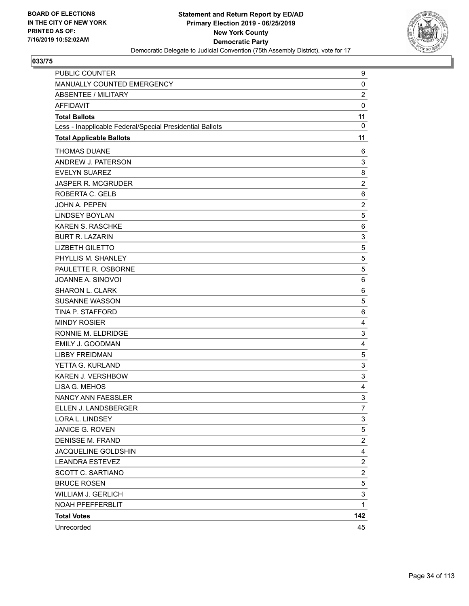

| PUBLIC COUNTER                                           | 9                       |
|----------------------------------------------------------|-------------------------|
| MANUALLY COUNTED EMERGENCY                               | 0                       |
| <b>ABSENTEE / MILITARY</b>                               | $\overline{c}$          |
| <b>AFFIDAVIT</b>                                         | $\mathbf 0$             |
| <b>Total Ballots</b>                                     | 11                      |
| Less - Inapplicable Federal/Special Presidential Ballots | 0                       |
| <b>Total Applicable Ballots</b>                          | 11                      |
| <b>THOMAS DUANE</b>                                      | 6                       |
| ANDREW J. PATERSON                                       | 3                       |
| <b>EVELYN SUAREZ</b>                                     | 8                       |
| <b>JASPER R. MCGRUDER</b>                                | $\overline{c}$          |
| ROBERTA C. GELB                                          | $\,6$                   |
| <b>JOHN A. PEPEN</b>                                     | $\overline{c}$          |
| <b>LINDSEY BOYLAN</b>                                    | 5                       |
| <b>KAREN S. RASCHKE</b>                                  | 6                       |
| <b>BURT R. LAZARIN</b>                                   | 3                       |
| <b>LIZBETH GILETTO</b>                                   | $\mathbf 5$             |
| PHYLLIS M. SHANLEY                                       | 5                       |
| PAULETTE R. OSBORNE                                      | 5                       |
| JOANNE A. SINOVOI                                        | 6                       |
| SHARON L. CLARK                                          | 6                       |
| <b>SUSANNE WASSON</b>                                    | 5                       |
| TINA P. STAFFORD                                         | 6                       |
| <b>MINDY ROSIER</b>                                      | 4                       |
| RONNIE M. ELDRIDGE                                       | 3                       |
| <b>EMILY J. GOODMAN</b>                                  | $\overline{4}$          |
| <b>LIBBY FREIDMAN</b>                                    | 5                       |
| YETTA G. KURLAND                                         | 3                       |
| KAREN J. VERSHBOW                                        | 3                       |
| LISA G. MEHOS                                            | 4                       |
| NANCY ANN FAESSLER                                       | 3                       |
| ELLEN J. LANDSBERGER                                     | $\overline{7}$          |
| LORA L. LINDSEY                                          | 3                       |
| JANICE G. ROVEN                                          | 5                       |
| <b>DENISSE M. FRAND</b>                                  | $\overline{c}$          |
| JACQUELINE GOLDSHIN                                      | 4                       |
| <b>LEANDRA ESTEVEZ</b>                                   | $\overline{\mathbf{c}}$ |
| SCOTT C. SARTIANO                                        | $\overline{\mathbf{c}}$ |
| <b>BRUCE ROSEN</b>                                       | 5                       |
| <b>WILLIAM J. GERLICH</b>                                | 3                       |
| NOAH PFEFFERBLIT                                         | $\mathbf{1}$            |
| <b>Total Votes</b>                                       | 142                     |
| Unrecorded                                               | 45                      |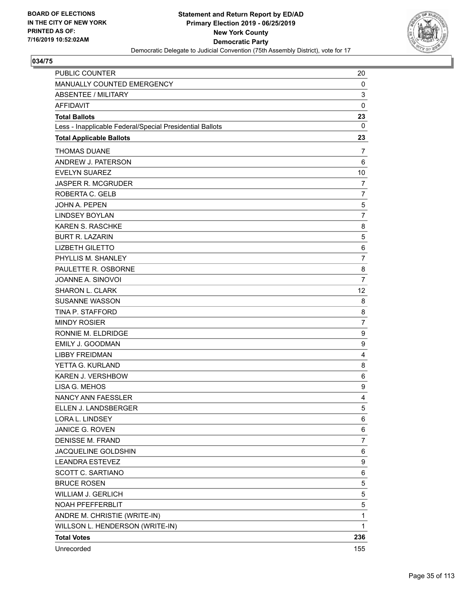

| <b>PUBLIC COUNTER</b>                                    | 20             |
|----------------------------------------------------------|----------------|
| MANUALLY COUNTED EMERGENCY                               | 0              |
| <b>ABSENTEE / MILITARY</b>                               | 3              |
| <b>AFFIDAVIT</b>                                         | 0              |
| <b>Total Ballots</b>                                     | 23             |
| Less - Inapplicable Federal/Special Presidential Ballots | 0              |
| <b>Total Applicable Ballots</b>                          | 23             |
| <b>THOMAS DUANE</b>                                      | 7              |
| ANDREW J. PATERSON                                       | 6              |
| <b>EVELYN SUAREZ</b>                                     | 10             |
| <b>JASPER R. MCGRUDER</b>                                | 7              |
| ROBERTA C. GELB                                          | $\overline{7}$ |
| JOHN A. PEPEN                                            | 5              |
| <b>LINDSEY BOYLAN</b>                                    | $\overline{7}$ |
| <b>KAREN S. RASCHKE</b>                                  | 8              |
| <b>BURT R. LAZARIN</b>                                   | 5              |
| <b>LIZBETH GILETTO</b>                                   | 6              |
| PHYLLIS M. SHANLEY                                       | $\overline{7}$ |
| PAULETTE R. OSBORNE                                      | 8              |
| JOANNE A. SINOVOI                                        | $\overline{7}$ |
| SHARON L. CLARK                                          | 12             |
| <b>SUSANNE WASSON</b>                                    | 8              |
| <b>TINA P. STAFFORD</b>                                  | 8              |
| <b>MINDY ROSIER</b>                                      | $\overline{7}$ |
| RONNIE M. ELDRIDGE                                       | 9              |
| <b>EMILY J. GOODMAN</b>                                  | 9              |
| <b>LIBBY FREIDMAN</b>                                    | 4              |
| YETTA G. KURLAND                                         | 8              |
| KAREN J. VERSHBOW                                        | 6              |
| LISA G. MEHOS                                            | 9              |
| NANCY ANN FAESSLER                                       | 4              |
| ELLEN J. LANDSBERGER                                     | 5              |
| LORA L. LINDSEY                                          | 6              |
| JANICE G. ROVEN                                          | 6              |
| DENISSE M. FRAND                                         | $\overline{7}$ |
| JACQUELINE GOLDSHIN                                      | 6              |
| <b>LEANDRA ESTEVEZ</b>                                   | 9              |
| <b>SCOTT C. SARTIANO</b>                                 | 6              |
| <b>BRUCE ROSEN</b>                                       | 5              |
| WILLIAM J. GERLICH                                       | 5              |
| NOAH PFEFFERBLIT                                         | 5              |
| ANDRE M. CHRISTIE (WRITE-IN)                             | $\mathbf 1$    |
| WILLSON L. HENDERSON (WRITE-IN)                          | 1              |
| <b>Total Votes</b>                                       | 236            |
| Unrecorded                                               | 155            |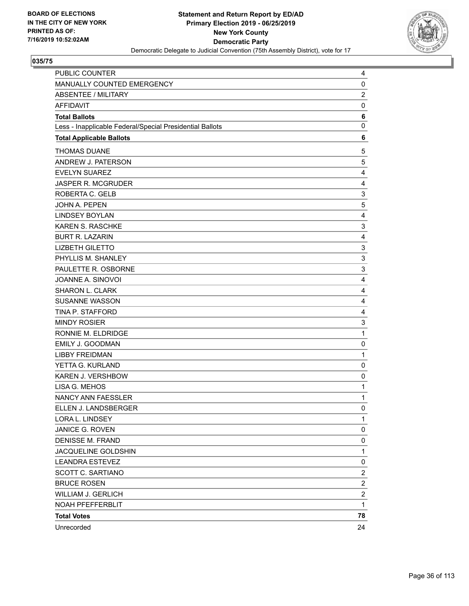

| PUBLIC COUNTER                                           | 4                         |
|----------------------------------------------------------|---------------------------|
| MANUALLY COUNTED EMERGENCY                               | 0                         |
| <b>ABSENTEE / MILITARY</b>                               | $\overline{\mathbf{c}}$   |
| <b>AFFIDAVIT</b>                                         | 0                         |
| <b>Total Ballots</b>                                     | 6                         |
| Less - Inapplicable Federal/Special Presidential Ballots | 0                         |
| <b>Total Applicable Ballots</b>                          | 6                         |
| <b>THOMAS DUANE</b>                                      | 5                         |
| ANDREW J. PATERSON                                       | 5                         |
| <b>EVELYN SUAREZ</b>                                     | 4                         |
| JASPER R. MCGRUDER                                       | 4                         |
| ROBERTA C. GELB                                          | 3                         |
| JOHN A. PEPEN                                            | 5                         |
| <b>LINDSEY BOYLAN</b>                                    | 4                         |
| <b>KAREN S. RASCHKE</b>                                  | 3                         |
| <b>BURT R. LAZARIN</b>                                   | 4                         |
| <b>LIZBETH GILETTO</b>                                   | 3                         |
| PHYLLIS M. SHANLEY                                       | $\ensuremath{\mathsf{3}}$ |
| PAULETTE R. OSBORNE                                      | 3                         |
| JOANNE A. SINOVOI                                        | 4                         |
| SHARON L. CLARK                                          | 4                         |
| <b>SUSANNE WASSON</b>                                    | 4                         |
| TINA P. STAFFORD                                         | 4                         |
| <b>MINDY ROSIER</b>                                      | 3                         |
| RONNIE M. ELDRIDGE                                       | $\mathbf{1}$              |
| EMILY J. GOODMAN                                         | 0                         |
| <b>LIBBY FREIDMAN</b>                                    | $\mathbf{1}$              |
| YETTA G. KURLAND                                         | 0                         |
| KAREN J. VERSHBOW                                        | 0                         |
| LISA G. MEHOS                                            | $\mathbf{1}$              |
| NANCY ANN FAESSLER                                       | $\mathbf{1}$              |
| ELLEN J. LANDSBERGER                                     | $\mathbf 0$               |
| LORA L. LINDSEY                                          | 1                         |
| JANICE G. ROVEN                                          | 0                         |
| <b>DENISSE M. FRAND</b>                                  | 0                         |
| JACQUELINE GOLDSHIN                                      | $\mathbf{1}$              |
| <b>LEANDRA ESTEVEZ</b>                                   | 0                         |
| SCOTT C. SARTIANO                                        | $\overline{c}$            |
| <b>BRUCE ROSEN</b>                                       | $\overline{\mathbf{c}}$   |
| <b>WILLIAM J. GERLICH</b>                                | $\overline{\mathbf{c}}$   |
| NOAH PFEFFERBLIT                                         | $\mathbf{1}$              |
| <b>Total Votes</b>                                       | 78                        |
| Unrecorded                                               | 24                        |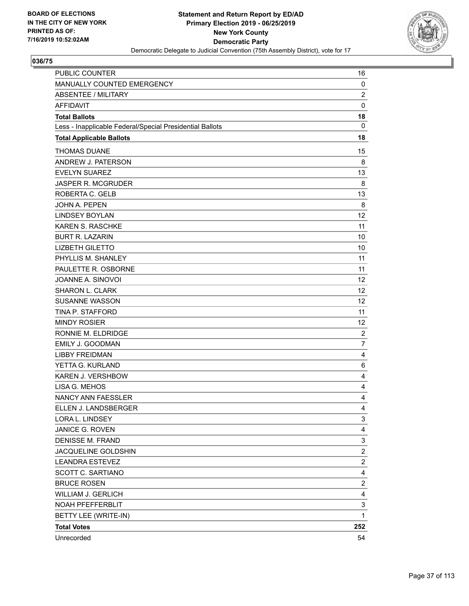

| <b>PUBLIC COUNTER</b>                                    | 16                      |
|----------------------------------------------------------|-------------------------|
| MANUALLY COUNTED EMERGENCY                               | $\mathbf 0$             |
| <b>ABSENTEE / MILITARY</b>                               | $\overline{c}$          |
| <b>AFFIDAVIT</b>                                         | $\mathbf 0$             |
| <b>Total Ballots</b>                                     | 18                      |
| Less - Inapplicable Federal/Special Presidential Ballots | 0                       |
| <b>Total Applicable Ballots</b>                          | 18                      |
| <b>THOMAS DUANE</b>                                      | 15                      |
| ANDREW J. PATERSON                                       | 8                       |
| <b>EVELYN SUAREZ</b>                                     | 13                      |
| <b>JASPER R. MCGRUDER</b>                                | 8                       |
| ROBERTA C. GELB                                          | 13                      |
| <b>JOHN A. PEPEN</b>                                     | 8                       |
| <b>LINDSEY BOYLAN</b>                                    | 12                      |
| <b>KAREN S. RASCHKE</b>                                  | 11                      |
| <b>BURT R. LAZARIN</b>                                   | 10                      |
| <b>LIZBETH GILETTO</b>                                   | 10                      |
| PHYLLIS M. SHANLEY                                       | 11                      |
| PAULETTE R. OSBORNE                                      | 11                      |
| JOANNE A. SINOVOI                                        | 12                      |
| SHARON L. CLARK                                          | 12                      |
| <b>SUSANNE WASSON</b>                                    | 12                      |
| TINA P. STAFFORD                                         | 11                      |
| <b>MINDY ROSIER</b>                                      | 12                      |
| RONNIE M. ELDRIDGE                                       | $\overline{c}$          |
| <b>EMILY J. GOODMAN</b>                                  | $\overline{7}$          |
| <b>LIBBY FREIDMAN</b>                                    | 4                       |
| YETTA G. KURLAND                                         | 6                       |
| <b>KAREN J. VERSHBOW</b>                                 | 4                       |
| LISA G. MEHOS                                            | 4                       |
| NANCY ANN FAESSLER                                       | 4                       |
| ELLEN J. LANDSBERGER                                     | 4                       |
| LORA L. LINDSEY                                          | 3                       |
| JANICE G. ROVEN                                          | 4                       |
| <b>DENISSE M. FRAND</b>                                  | 3                       |
| JACQUELINE GOLDSHIN                                      | $\boldsymbol{2}$        |
| <b>LEANDRA ESTEVEZ</b>                                   | $\overline{\mathbf{c}}$ |
| <b>SCOTT C. SARTIANO</b>                                 | 4                       |
| <b>BRUCE ROSEN</b>                                       | $\overline{c}$          |
| <b>WILLIAM J. GERLICH</b>                                | 4                       |
| NOAH PFEFFERBLIT                                         | 3                       |
| BETTY LEE (WRITE-IN)                                     | $\mathbf 1$             |
| <b>Total Votes</b>                                       | 252                     |
| Unrecorded                                               | 54                      |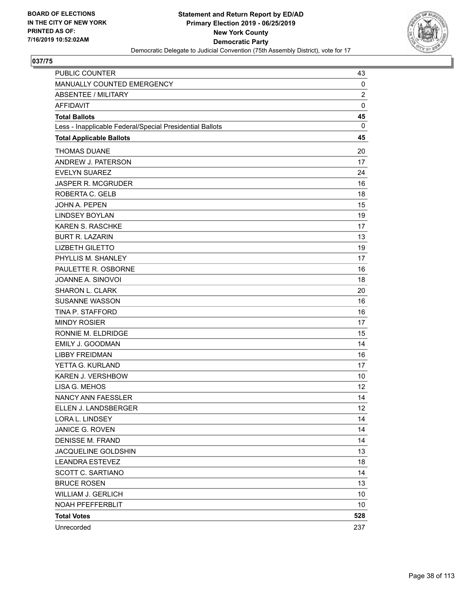

| <b>PUBLIC COUNTER</b>                                    | 43             |
|----------------------------------------------------------|----------------|
| MANUALLY COUNTED EMERGENCY                               | 0              |
| <b>ABSENTEE / MILITARY</b>                               | $\overline{c}$ |
| <b>AFFIDAVIT</b>                                         | $\mathbf 0$    |
| <b>Total Ballots</b>                                     | 45             |
| Less - Inapplicable Federal/Special Presidential Ballots | $\mathbf{0}$   |
| <b>Total Applicable Ballots</b>                          | 45             |
| <b>THOMAS DUANE</b>                                      | 20             |
| ANDREW J. PATERSON                                       | 17             |
| <b>EVELYN SUAREZ</b>                                     | 24             |
| <b>JASPER R. MCGRUDER</b>                                | 16             |
| ROBERTA C. GELB                                          | 18             |
| <b>JOHN A. PEPEN</b>                                     | 15             |
| <b>LINDSEY BOYLAN</b>                                    | 19             |
| <b>KAREN S. RASCHKE</b>                                  | 17             |
| <b>BURT R. LAZARIN</b>                                   | 13             |
| <b>LIZBETH GILETTO</b>                                   | 19             |
| PHYLLIS M. SHANLEY                                       | 17             |
| PAULETTE R. OSBORNE                                      | 16             |
| JOANNE A. SINOVOI                                        | 18             |
| <b>SHARON L. CLARK</b>                                   | 20             |
| <b>SUSANNE WASSON</b>                                    | 16             |
| TINA P. STAFFORD                                         | 16             |
| <b>MINDY ROSIER</b>                                      | 17             |
| RONNIE M. ELDRIDGE                                       | 15             |
| <b>EMILY J. GOODMAN</b>                                  | 14             |
| <b>LIBBY FREIDMAN</b>                                    | 16             |
| YETTA G. KURLAND                                         | 17             |
| KAREN J. VERSHBOW                                        | 10             |
| LISA G. MEHOS                                            | 12             |
| NANCY ANN FAESSLER                                       | 14             |
| ELLEN J. LANDSBERGER                                     | 12             |
| LORA L. LINDSEY                                          | 14             |
| <b>JANICE G. ROVEN</b>                                   | 14             |
| <b>DENISSE M. FRAND</b>                                  | 14             |
| JACQUELINE GOLDSHIN                                      | 13             |
| <b>LEANDRA ESTEVEZ</b>                                   | 18             |
| SCOTT C. SARTIANO                                        | 14             |
| <b>BRUCE ROSEN</b>                                       | 13             |
| WILLIAM J. GERLICH                                       | 10             |
| NOAH PFEFFERBLIT                                         | 10             |
| <b>Total Votes</b>                                       | 528            |
| Unrecorded                                               | 237            |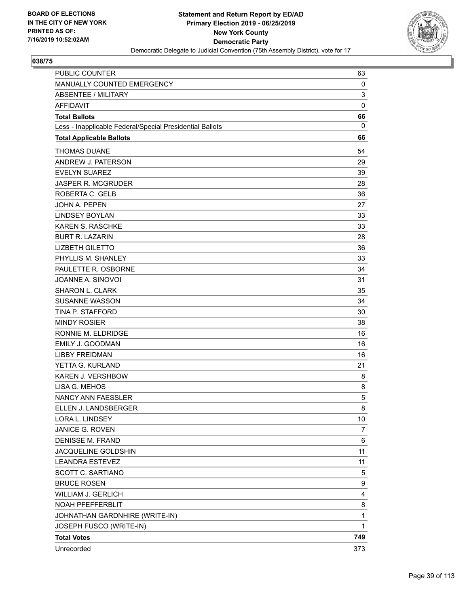

| <b>PUBLIC COUNTER</b>                                    | 63           |
|----------------------------------------------------------|--------------|
| MANUALLY COUNTED EMERGENCY                               | 0            |
| <b>ABSENTEE / MILITARY</b>                               | 3            |
| <b>AFFIDAVIT</b>                                         | $\mathbf 0$  |
| <b>Total Ballots</b>                                     | 66           |
| Less - Inapplicable Federal/Special Presidential Ballots | 0            |
| <b>Total Applicable Ballots</b>                          | 66           |
| <b>THOMAS DUANE</b>                                      | 54           |
| ANDREW J. PATERSON                                       | 29           |
| <b>EVELYN SUAREZ</b>                                     | 39           |
| <b>JASPER R. MCGRUDER</b>                                | 28           |
| ROBERTA C. GELB                                          | 36           |
| JOHN A. PEPEN                                            | 27           |
| <b>LINDSEY BOYLAN</b>                                    | 33           |
| <b>KAREN S. RASCHKE</b>                                  | 33           |
| <b>BURT R. LAZARIN</b>                                   | 28           |
| <b>LIZBETH GILETTO</b>                                   | 36           |
| PHYLLIS M. SHANLEY                                       | 33           |
| PAULETTE R. OSBORNE                                      | 34           |
| JOANNE A. SINOVOI                                        | 31           |
| <b>SHARON L. CLARK</b>                                   | 35           |
| <b>SUSANNE WASSON</b>                                    | 34           |
| TINA P. STAFFORD                                         | 30           |
| <b>MINDY ROSIER</b>                                      | 38           |
| RONNIE M. ELDRIDGE                                       | 16           |
| <b>EMILY J. GOODMAN</b>                                  | 16           |
| <b>LIBBY FREIDMAN</b>                                    | 16           |
| YETTA G. KURLAND                                         | 21           |
| <b>KAREN J. VERSHBOW</b>                                 | 8            |
| LISA G. MEHOS                                            | 8            |
| <b>NANCY ANN FAESSLER</b>                                | 5            |
| ELLEN J. LANDSBERGER                                     | 8            |
| LORA L. LINDSEY                                          | 10           |
| JANICE G. ROVEN                                          | 7            |
| <b>DENISSE M. FRAND</b>                                  | 6            |
| JACQUELINE GOLDSHIN                                      | 11           |
| <b>LEANDRA ESTEVEZ</b>                                   | 11           |
| SCOTT C. SARTIANO                                        | 5            |
| <b>BRUCE ROSEN</b>                                       | 9            |
| <b>WILLIAM J. GERLICH</b>                                | 4            |
| NOAH PFEFFERBLIT                                         | 8            |
| JOHNATHAN GARDNHIRE (WRITE-IN)                           | $\mathbf{1}$ |
| JOSEPH FUSCO (WRITE-IN)                                  | $\mathbf{1}$ |
| <b>Total Votes</b>                                       | 749          |
| Unrecorded                                               | 373          |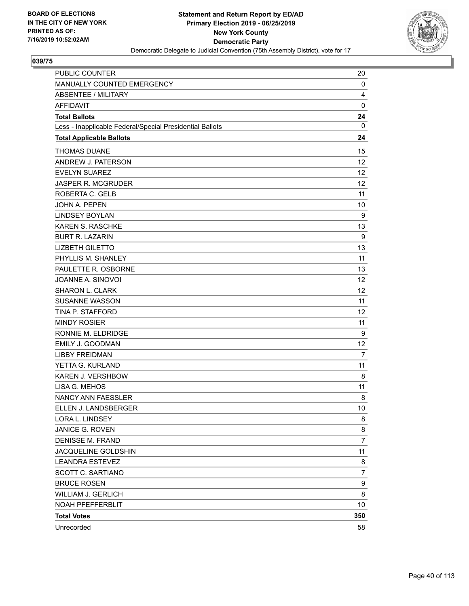

| <b>PUBLIC COUNTER</b>                                    | 20             |
|----------------------------------------------------------|----------------|
| MANUALLY COUNTED EMERGENCY                               | 0              |
| <b>ABSENTEE / MILITARY</b>                               | 4              |
| <b>AFFIDAVIT</b>                                         | 0              |
| <b>Total Ballots</b>                                     | 24             |
| Less - Inapplicable Federal/Special Presidential Ballots | 0              |
| <b>Total Applicable Ballots</b>                          | 24             |
| <b>THOMAS DUANE</b>                                      | 15             |
| ANDREW J. PATERSON                                       | 12             |
| <b>EVELYN SUAREZ</b>                                     | 12             |
| <b>JASPER R. MCGRUDER</b>                                | 12             |
| ROBERTA C. GELB                                          | 11             |
| <b>JOHN A. PEPEN</b>                                     | 10             |
| <b>LINDSEY BOYLAN</b>                                    | 9              |
| <b>KAREN S. RASCHKE</b>                                  | 13             |
| <b>BURT R. LAZARIN</b>                                   | 9              |
| <b>LIZBETH GILETTO</b>                                   | 13             |
| PHYLLIS M. SHANLEY                                       | 11             |
| PAULETTE R. OSBORNE                                      | 13             |
| JOANNE A. SINOVOI                                        | 12             |
| SHARON L. CLARK                                          | 12             |
| <b>SUSANNE WASSON</b>                                    | 11             |
| TINA P. STAFFORD                                         | 12             |
| <b>MINDY ROSIER</b>                                      | 11             |
| RONNIE M. ELDRIDGE                                       | 9              |
| <b>EMILY J. GOODMAN</b>                                  | 12             |
| <b>LIBBY FREIDMAN</b>                                    | 7              |
| YETTA G. KURLAND                                         | 11             |
| <b>KAREN J. VERSHBOW</b>                                 | 8              |
| LISA G. MEHOS                                            | 11             |
| NANCY ANN FAESSLER                                       | 8              |
| ELLEN J. LANDSBERGER                                     | 10             |
| LORA L. LINDSEY                                          | 8              |
| JANICE G. ROVEN                                          | 8              |
| <b>DENISSE M. FRAND</b>                                  | $\overline{7}$ |
| JACQUELINE GOLDSHIN                                      | 11             |
| <b>LEANDRA ESTEVEZ</b>                                   | 8              |
| SCOTT C. SARTIANO                                        | $\overline{7}$ |
| <b>BRUCE ROSEN</b>                                       | 9              |
| <b>WILLIAM J. GERLICH</b>                                | 8              |
| NOAH PFEFFERBLIT                                         | 10             |
| <b>Total Votes</b>                                       | 350            |
| Unrecorded                                               | 58             |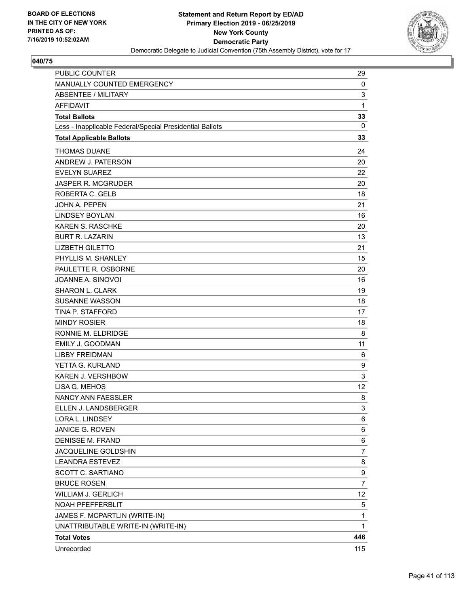

| <b>PUBLIC COUNTER</b>                                    | 29             |
|----------------------------------------------------------|----------------|
| MANUALLY COUNTED EMERGENCY                               | 0              |
| <b>ABSENTEE / MILITARY</b>                               | 3              |
| <b>AFFIDAVIT</b>                                         | $\mathbf{1}$   |
| <b>Total Ballots</b>                                     | 33             |
| Less - Inapplicable Federal/Special Presidential Ballots | 0              |
| <b>Total Applicable Ballots</b>                          | 33             |
| <b>THOMAS DUANE</b>                                      | 24             |
| ANDREW J. PATERSON                                       | 20             |
| <b>EVELYN SUAREZ</b>                                     | 22             |
| <b>JASPER R. MCGRUDER</b>                                | 20             |
| ROBERTA C. GELB                                          | 18             |
| <b>JOHN A. PEPEN</b>                                     | 21             |
| <b>LINDSEY BOYLAN</b>                                    | 16             |
| <b>KAREN S. RASCHKE</b>                                  | 20             |
| <b>BURT R. LAZARIN</b>                                   | 13             |
| <b>LIZBETH GILETTO</b>                                   | 21             |
| PHYLLIS M. SHANLEY                                       | 15             |
| PAULETTE R. OSBORNE                                      | 20             |
| JOANNE A. SINOVOI                                        | 16             |
| <b>SHARON L. CLARK</b>                                   | 19             |
| <b>SUSANNE WASSON</b>                                    | 18             |
| TINA P. STAFFORD                                         | 17             |
| <b>MINDY ROSIER</b>                                      | 18             |
| RONNIE M. ELDRIDGE                                       | 8              |
| EMILY J. GOODMAN                                         | 11             |
| <b>LIBBY FREIDMAN</b>                                    | 6              |
| YETTA G. KURLAND                                         | 9              |
| KAREN J. VERSHBOW                                        | 3              |
| LISA G. MEHOS                                            | 12             |
| NANCY ANN FAESSLER                                       | 8              |
| ELLEN J. LANDSBERGER                                     | 3              |
| LORA L. LINDSEY                                          | 6              |
| JANICE G. ROVEN                                          | 6              |
| <b>DENISSE M. FRAND</b>                                  | 6              |
| JACQUELINE GOLDSHIN                                      | $\overline{7}$ |
| <b>LEANDRA ESTEVEZ</b>                                   | 8              |
| SCOTT C. SARTIANO                                        | 9              |
| <b>BRUCE ROSEN</b>                                       | $\overline{7}$ |
| WILLIAM J. GERLICH                                       | 12             |
| NOAH PFEFFERBLIT                                         | 5              |
| JAMES F. MCPARTLIN (WRITE-IN)                            | $\mathbf{1}$   |
| UNATTRIBUTABLE WRITE-IN (WRITE-IN)                       | 1              |
| <b>Total Votes</b>                                       | 446            |
| Unrecorded                                               | 115            |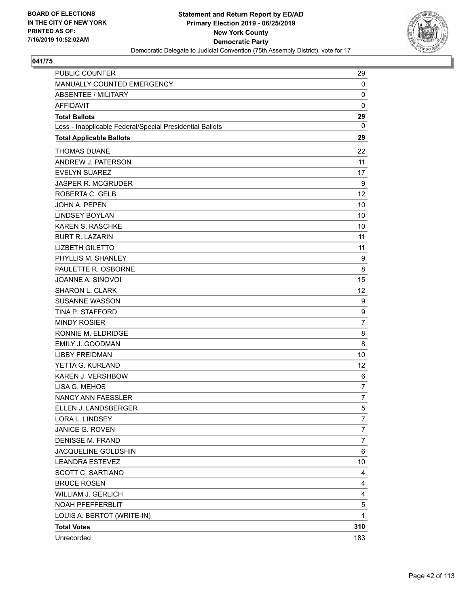

| <b>PUBLIC COUNTER</b>                                    | 29               |
|----------------------------------------------------------|------------------|
| MANUALLY COUNTED EMERGENCY                               | 0                |
| ABSENTEE / MILITARY                                      | 0                |
| <b>AFFIDAVIT</b>                                         | 0                |
| <b>Total Ballots</b>                                     | 29               |
| Less - Inapplicable Federal/Special Presidential Ballots | 0                |
| <b>Total Applicable Ballots</b>                          | 29               |
| <b>THOMAS DUANE</b>                                      | 22               |
| ANDREW J. PATERSON                                       | 11               |
| <b>EVELYN SUAREZ</b>                                     | 17               |
| <b>JASPER R. MCGRUDER</b>                                | 9                |
| ROBERTA C. GELB                                          | 12               |
| <b>JOHN A. PEPEN</b>                                     | 10               |
| <b>LINDSEY BOYLAN</b>                                    | 10               |
| <b>KAREN S. RASCHKE</b>                                  | 10               |
| <b>BURT R. LAZARIN</b>                                   | 11               |
| <b>LIZBETH GILETTO</b>                                   | 11               |
| PHYLLIS M. SHANLEY                                       | 9                |
| PAULETTE R. OSBORNE                                      | 8                |
| JOANNE A. SINOVOI                                        | 15               |
| SHARON L. CLARK                                          | 12               |
| <b>SUSANNE WASSON</b>                                    | 9                |
| TINA P. STAFFORD                                         | 9                |
| <b>MINDY ROSIER</b>                                      | $\overline{7}$   |
| RONNIE M. ELDRIDGE                                       | 8                |
| <b>EMILY J. GOODMAN</b>                                  | 8                |
| <b>LIBBY FREIDMAN</b>                                    | 10               |
| YETTA G. KURLAND                                         | 12               |
| <b>KAREN J. VERSHBOW</b>                                 | 6                |
| LISA G. MEHOS                                            | 7                |
| NANCY ANN FAESSLER                                       | 7                |
| ELLEN J. LANDSBERGER                                     | 5                |
| LORA L. LINDSEY                                          | $\overline{7}$   |
| JANICE G. ROVEN                                          | 7                |
| <b>DENISSE M. FRAND</b>                                  | $\boldsymbol{7}$ |
| JACQUELINE GOLDSHIN                                      | 6                |
| <b>LEANDRA ESTEVEZ</b>                                   | 10               |
| SCOTT C. SARTIANO                                        | 4                |
| <b>BRUCE ROSEN</b>                                       | 4                |
| WILLIAM J. GERLICH                                       | $\overline{4}$   |
| NOAH PFEFFERBLIT                                         | 5                |
| LOUIS A. BERTOT (WRITE-IN)                               | 1                |
| <b>Total Votes</b>                                       | 310              |
| Unrecorded                                               | 183              |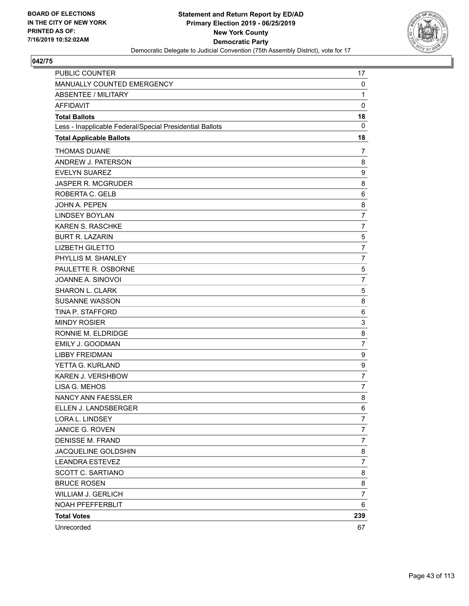

| <b>PUBLIC COUNTER</b>                                    | 17               |
|----------------------------------------------------------|------------------|
| MANUALLY COUNTED EMERGENCY                               | 0                |
| <b>ABSENTEE / MILITARY</b>                               | $\mathbf{1}$     |
| <b>AFFIDAVIT</b>                                         | $\mathbf 0$      |
| <b>Total Ballots</b>                                     | 18               |
| Less - Inapplicable Federal/Special Presidential Ballots | $\mathbf{0}$     |
| <b>Total Applicable Ballots</b>                          | 18               |
| <b>THOMAS DUANE</b>                                      | 7                |
| ANDREW J. PATERSON                                       | 8                |
| <b>EVELYN SUAREZ</b>                                     | 9                |
| <b>JASPER R. MCGRUDER</b>                                | 8                |
| ROBERTA C. GELB                                          | 6                |
| JOHN A. PEPEN                                            | 8                |
| <b>LINDSEY BOYLAN</b>                                    | $\overline{7}$   |
| KAREN S. RASCHKE                                         | 7                |
| <b>BURT R. LAZARIN</b>                                   | 5                |
| <b>LIZBETH GILETTO</b>                                   | $\overline{7}$   |
| PHYLLIS M. SHANLEY                                       | 7                |
| PAULETTE R. OSBORNE                                      | 5                |
| JOANNE A. SINOVOI                                        | $\overline{7}$   |
| <b>SHARON L. CLARK</b>                                   | 5                |
| <b>SUSANNE WASSON</b>                                    | 8                |
| TINA P. STAFFORD                                         | 6                |
| <b>MINDY ROSIER</b>                                      | 3                |
| RONNIE M. ELDRIDGE                                       | 8                |
| EMILY J. GOODMAN                                         | $\overline{7}$   |
| <b>LIBBY FREIDMAN</b>                                    | 9                |
| YETTA G. KURLAND                                         | $\boldsymbol{9}$ |
| KAREN J. VERSHBOW                                        | $\overline{7}$   |
| LISA G. MEHOS                                            | 7                |
| <b>NANCY ANN FAESSLER</b>                                | 8                |
| ELLEN J. LANDSBERGER                                     | 6                |
| LORA L. LINDSEY                                          | 7                |
| JANICE G. ROVEN                                          | $\overline{7}$   |
| <b>DENISSE M. FRAND</b>                                  | 7                |
| JACQUELINE GOLDSHIN                                      | 8                |
| <b>LEANDRA ESTEVEZ</b>                                   | $\overline{7}$   |
| <b>SCOTT C. SARTIANO</b>                                 | 8                |
| <b>BRUCE ROSEN</b>                                       | 8                |
| <b>WILLIAM J. GERLICH</b>                                | $\overline{7}$   |
| NOAH PFEFFERBLIT                                         | 6                |
| <b>Total Votes</b>                                       | 239              |
| Unrecorded                                               | 67               |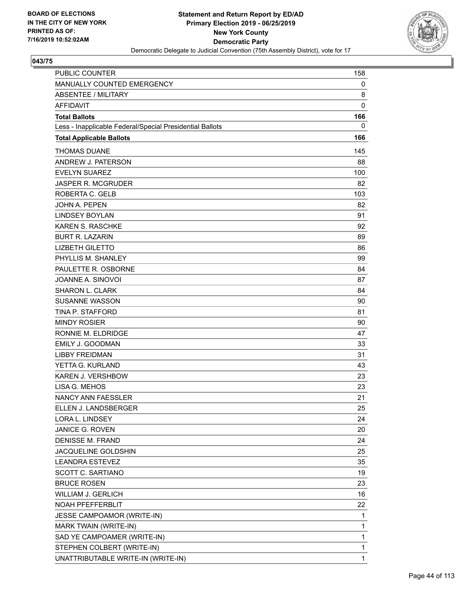

| PUBLIC COUNTER                                           | 158          |
|----------------------------------------------------------|--------------|
| MANUALLY COUNTED EMERGENCY                               | 0            |
| ABSENTEE / MILITARY                                      | 8            |
| <b>AFFIDAVIT</b>                                         | 0            |
| <b>Total Ballots</b>                                     | 166          |
| Less - Inapplicable Federal/Special Presidential Ballots | 0            |
| <b>Total Applicable Ballots</b>                          | 166          |
| <b>THOMAS DUANE</b>                                      | 145          |
| ANDREW J. PATERSON                                       | 88           |
| <b>EVELYN SUAREZ</b>                                     | 100          |
| <b>JASPER R. MCGRUDER</b>                                | 82           |
| ROBERTA C. GELB                                          | 103          |
| JOHN A. PEPEN                                            | 82           |
| <b>LINDSEY BOYLAN</b>                                    | 91           |
| KAREN S. RASCHKE                                         | 92           |
| <b>BURT R. LAZARIN</b>                                   | 89           |
| <b>LIZBETH GILETTO</b>                                   | 86           |
| PHYLLIS M. SHANLEY                                       | 99           |
| PAULETTE R. OSBORNE                                      | 84           |
| JOANNE A. SINOVOI                                        | 87           |
| SHARON L. CLARK                                          | 84           |
| <b>SUSANNE WASSON</b>                                    | 90           |
| <b>TINA P. STAFFORD</b>                                  | 81           |
| <b>MINDY ROSIER</b>                                      | 90           |
| RONNIE M. ELDRIDGE                                       | 47           |
| <b>EMILY J. GOODMAN</b>                                  | 33           |
| <b>LIBBY FREIDMAN</b>                                    | 31           |
| YETTA G. KURLAND                                         | 43           |
| <b>KAREN J. VERSHBOW</b>                                 | 23           |
| LISA G. MEHOS                                            | 23           |
| NANCY ANN FAESSLER                                       | 21           |
| ELLEN J. LANDSBERGER                                     | 25           |
| LORA L. LINDSEY                                          | 24           |
| JANICE G. ROVEN                                          | 20           |
| <b>DENISSE M. FRAND</b>                                  | 24           |
| JACQUELINE GOLDSHIN                                      | 25           |
| <b>LEANDRA ESTEVEZ</b>                                   | 35           |
| SCOTT C. SARTIANO                                        | 19           |
| <b>BRUCE ROSEN</b>                                       | 23           |
| WILLIAM J. GERLICH                                       | 16           |
| NOAH PFEFFERBLIT                                         | 22           |
| JESSE CAMPOAMOR (WRITE-IN)                               | 1            |
| MARK TWAIN (WRITE-IN)                                    | 1            |
| SAD YE CAMPOAMER (WRITE-IN)                              | $\mathbf{1}$ |
| STEPHEN COLBERT (WRITE-IN)                               | 1            |
| UNATTRIBUTABLE WRITE-IN (WRITE-IN)                       | 1            |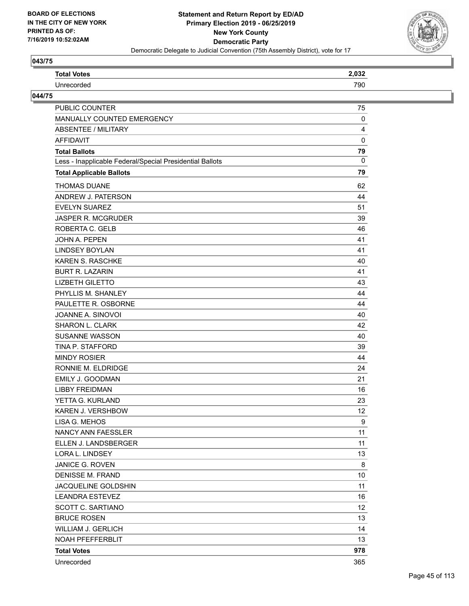

| <b>Total Votes</b>                                       | 2,032           |
|----------------------------------------------------------|-----------------|
| Unrecorded                                               | 790             |
| 044/75                                                   |                 |
| PUBLIC COUNTER                                           | 75              |
| MANUALLY COUNTED EMERGENCY                               | 0               |
| <b>ABSENTEE / MILITARY</b>                               | 4               |
| <b>AFFIDAVIT</b>                                         | $\mathbf 0$     |
| <b>Total Ballots</b>                                     | 79              |
| Less - Inapplicable Federal/Special Presidential Ballots | $\mathbf{0}$    |
| <b>Total Applicable Ballots</b>                          | 79              |
| <b>THOMAS DUANE</b>                                      | 62              |
| ANDREW J. PATERSON                                       | 44              |
| <b>EVELYN SUAREZ</b>                                     | 51              |
| JASPER R. MCGRUDER                                       | 39              |
| ROBERTA C. GELB                                          | 46              |
| JOHN A. PEPEN                                            | 41              |
| <b>LINDSEY BOYLAN</b>                                    | 41              |
| KAREN S. RASCHKE                                         | 40              |
| <b>BURT R. LAZARIN</b>                                   | 41              |
| <b>LIZBETH GILETTO</b>                                   | 43              |
| PHYLLIS M. SHANLEY                                       | 44              |
| PAULETTE R. OSBORNE                                      | 44              |
| JOANNE A. SINOVOI                                        | 40              |
| <b>SHARON L. CLARK</b>                                   | 42              |
| <b>SUSANNE WASSON</b>                                    | 40              |
| TINA P. STAFFORD                                         | 39              |
| <b>MINDY ROSIER</b>                                      | 44              |
| RONNIE M. ELDRIDGE                                       | 24              |
| EMILY J. GOODMAN                                         | 21              |
| <b>LIBBY FREIDMAN</b>                                    | 16              |
| YETTA G. KURLAND                                         | 23              |
| KAREN J. VERSHBOW                                        | 12              |
| LISA G. MEHOS                                            | 9               |
| NANCY ANN FAESSLER                                       | 11              |
| ELLEN J. LANDSBERGER                                     | 11              |
| LORA L. LINDSEY                                          | 13              |
| JANICE G. ROVEN                                          | 8               |
| <b>DENISSE M. FRAND</b>                                  | 10              |
| JACQUELINE GOLDSHIN                                      | 11              |
| <b>LEANDRA ESTEVEZ</b>                                   | 16              |
| SCOTT C. SARTIANO                                        | 12 <sup>°</sup> |
| <b>BRUCE ROSEN</b>                                       | 13              |
| WILLIAM J. GERLICH                                       | 14              |
| NOAH PFEFFERBLIT                                         | 13              |
| <b>Total Votes</b>                                       | 978             |
| Unrecorded                                               | 365             |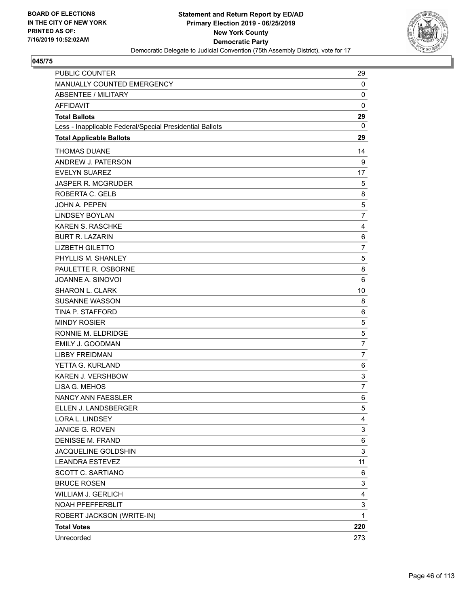

| <b>PUBLIC COUNTER</b>                                    | 29             |
|----------------------------------------------------------|----------------|
| MANUALLY COUNTED EMERGENCY                               | 0              |
| <b>ABSENTEE / MILITARY</b>                               | 0              |
| <b>AFFIDAVIT</b>                                         | 0              |
| <b>Total Ballots</b>                                     | 29             |
| Less - Inapplicable Federal/Special Presidential Ballots | 0              |
| <b>Total Applicable Ballots</b>                          | 29             |
| <b>THOMAS DUANE</b>                                      | 14             |
| ANDREW J. PATERSON                                       | 9              |
| <b>EVELYN SUAREZ</b>                                     | 17             |
| <b>JASPER R. MCGRUDER</b>                                | 5              |
| ROBERTA C. GELB                                          | 8              |
| <b>JOHN A. PEPEN</b>                                     | 5              |
| <b>LINDSEY BOYLAN</b>                                    | $\overline{7}$ |
| <b>KAREN S. RASCHKE</b>                                  | 4              |
| <b>BURT R. LAZARIN</b>                                   | 6              |
| <b>LIZBETH GILETTO</b>                                   | $\overline{7}$ |
| PHYLLIS M. SHANLEY                                       | 5              |
| PAULETTE R. OSBORNE                                      | 8              |
| JOANNE A. SINOVOI                                        | 6              |
| SHARON L. CLARK                                          | 10             |
| <b>SUSANNE WASSON</b>                                    | 8              |
| TINA P. STAFFORD                                         | 6              |
| <b>MINDY ROSIER</b>                                      | 5              |
| RONNIE M. ELDRIDGE                                       | 5              |
| <b>EMILY J. GOODMAN</b>                                  | $\overline{7}$ |
| <b>LIBBY FREIDMAN</b>                                    | 7              |
| YETTA G. KURLAND                                         | 6              |
| <b>KAREN J. VERSHBOW</b>                                 | 3              |
| LISA G. MEHOS                                            | $\overline{7}$ |
| NANCY ANN FAESSLER                                       | 6              |
| ELLEN J. LANDSBERGER                                     | 5              |
| LORA L. LINDSEY                                          | 4              |
| JANICE G. ROVEN                                          | 3              |
| <b>DENISSE M. FRAND</b>                                  | 6              |
| JACQUELINE GOLDSHIN                                      | 3              |
| <b>LEANDRA ESTEVEZ</b>                                   | 11             |
| <b>SCOTT C. SARTIANO</b>                                 | 6              |
| <b>BRUCE ROSEN</b>                                       | 3              |
| <b>WILLIAM J. GERLICH</b>                                | 4              |
| NOAH PFEFFERBLIT                                         | 3              |
| ROBERT JACKSON (WRITE-IN)                                | 1              |
| <b>Total Votes</b>                                       | 220            |
| Unrecorded                                               | 273            |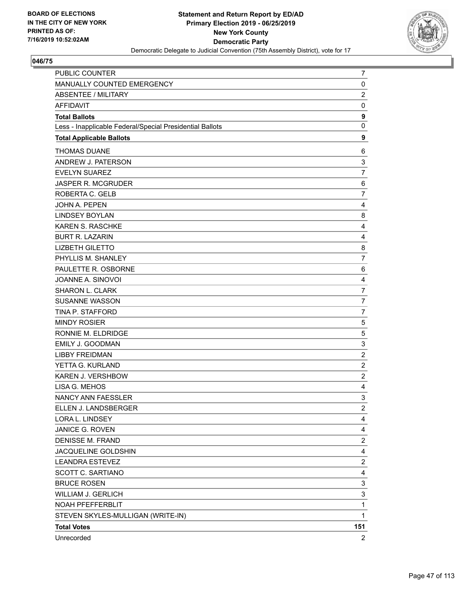

| PUBLIC COUNTER                                           | 7                       |
|----------------------------------------------------------|-------------------------|
| MANUALLY COUNTED EMERGENCY                               | 0                       |
| <b>ABSENTEE / MILITARY</b>                               | $\overline{c}$          |
| <b>AFFIDAVIT</b>                                         | 0                       |
| <b>Total Ballots</b>                                     | 9                       |
| Less - Inapplicable Federal/Special Presidential Ballots | $\mathbf 0$             |
| <b>Total Applicable Ballots</b>                          | 9                       |
| <b>THOMAS DUANE</b>                                      | 6                       |
| ANDREW J. PATERSON                                       | 3                       |
| <b>EVELYN SUAREZ</b>                                     | $\overline{7}$          |
| JASPER R. MCGRUDER                                       | 6                       |
| ROBERTA C. GELB                                          | $\overline{7}$          |
| JOHN A. PEPEN                                            | 4                       |
| <b>LINDSEY BOYLAN</b>                                    | 8                       |
| <b>KAREN S. RASCHKE</b>                                  | 4                       |
| <b>BURT R. LAZARIN</b>                                   | 4                       |
| <b>LIZBETH GILETTO</b>                                   | 8                       |
| PHYLLIS M. SHANLEY                                       | $\overline{7}$          |
| PAULETTE R. OSBORNE                                      | 6                       |
| JOANNE A. SINOVOI                                        | $\overline{\mathbf{4}}$ |
| <b>SHARON L. CLARK</b>                                   | $\overline{7}$          |
| <b>SUSANNE WASSON</b>                                    | $\overline{7}$          |
| TINA P. STAFFORD                                         | $\overline{7}$          |
| <b>MINDY ROSIER</b>                                      | 5                       |
| RONNIE M. ELDRIDGE                                       | $\,$ 5 $\,$             |
| EMILY J. GOODMAN                                         | 3                       |
| <b>LIBBY FREIDMAN</b>                                    | $\overline{c}$          |
| YETTA G. KURLAND                                         | $\overline{c}$          |
| KAREN J. VERSHBOW                                        | $\overline{2}$          |
| LISA G. MEHOS                                            | 4                       |
| NANCY ANN FAESSLER                                       | 3                       |
| ELLEN J. LANDSBERGER                                     | $\overline{2}$          |
| LORA L. LINDSEY                                          | 4                       |
| JANICE G. ROVEN                                          | 4                       |
| DENISSE M. FRAND                                         | $\overline{\mathbf{c}}$ |
| JACQUELINE GOLDSHIN                                      | 4                       |
| <b>LEANDRA ESTEVEZ</b>                                   | $\overline{\mathbf{c}}$ |
| <b>SCOTT C. SARTIANO</b>                                 | $\overline{\mathbf{4}}$ |
| <b>BRUCE ROSEN</b>                                       | 3                       |
| WILLIAM J. GERLICH                                       | 3                       |
| NOAH PFEFFERBLIT                                         | 1                       |
| STEVEN SKYLES-MULLIGAN (WRITE-IN)                        | $\mathbf{1}$            |
| <b>Total Votes</b>                                       | 151                     |
| Unrecorded                                               | $\overline{2}$          |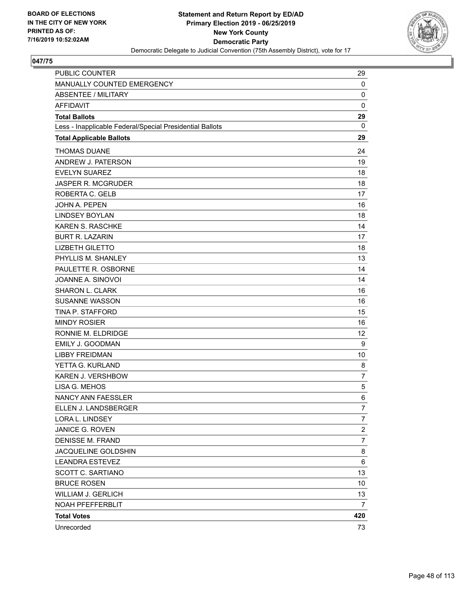

| <b>PUBLIC COUNTER</b>                                    | 29             |
|----------------------------------------------------------|----------------|
| MANUALLY COUNTED EMERGENCY                               | 0              |
| <b>ABSENTEE / MILITARY</b>                               | 0              |
| <b>AFFIDAVIT</b>                                         | $\mathbf 0$    |
| <b>Total Ballots</b>                                     | 29             |
| Less - Inapplicable Federal/Special Presidential Ballots | 0              |
| <b>Total Applicable Ballots</b>                          | 29             |
| <b>THOMAS DUANE</b>                                      | 24             |
| ANDREW J. PATERSON                                       | 19             |
| <b>EVELYN SUAREZ</b>                                     | 18             |
| <b>JASPER R. MCGRUDER</b>                                | 18             |
| ROBERTA C. GELB                                          | 17             |
| <b>JOHN A. PEPEN</b>                                     | 16             |
| <b>LINDSEY BOYLAN</b>                                    | 18             |
| <b>KAREN S. RASCHKE</b>                                  | 14             |
| <b>BURT R. LAZARIN</b>                                   | 17             |
| <b>LIZBETH GILETTO</b>                                   | 18             |
| PHYLLIS M. SHANLEY                                       | 13             |
| PAULETTE R. OSBORNE                                      | 14             |
| JOANNE A. SINOVOI                                        | 14             |
| <b>SHARON L. CLARK</b>                                   | 16             |
| <b>SUSANNE WASSON</b>                                    | 16             |
| TINA P. STAFFORD                                         | 15             |
| <b>MINDY ROSIER</b>                                      | 16             |
| RONNIE M. ELDRIDGE                                       | 12             |
| <b>EMILY J. GOODMAN</b>                                  | 9              |
| <b>LIBBY FREIDMAN</b>                                    | 10             |
| YETTA G. KURLAND                                         | 8              |
| KAREN J. VERSHBOW                                        | $\overline{7}$ |
| LISA G. MEHOS                                            | 5              |
| <b>NANCY ANN FAESSLER</b>                                | 6              |
| ELLEN J. LANDSBERGER                                     | $\overline{7}$ |
| LORA L. LINDSEY                                          | 7              |
| JANICE G. ROVEN                                          | 2              |
| <b>DENISSE M. FRAND</b>                                  | $\overline{7}$ |
| JACQUELINE GOLDSHIN                                      | 8              |
| <b>LEANDRA ESTEVEZ</b>                                   | 6              |
| SCOTT C. SARTIANO                                        | 13             |
| <b>BRUCE ROSEN</b>                                       | 10             |
| <b>WILLIAM J. GERLICH</b>                                | 13             |
| NOAH PFEFFERBLIT                                         | 7              |
| <b>Total Votes</b>                                       | 420            |
| Unrecorded                                               | 73             |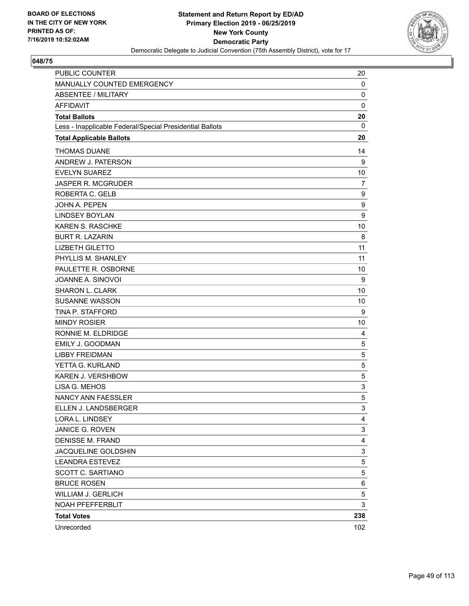

| PUBLIC COUNTER                                           | 20          |
|----------------------------------------------------------|-------------|
| MANUALLY COUNTED EMERGENCY                               | 0           |
| ABSENTEE / MILITARY                                      | 0           |
| <b>AFFIDAVIT</b>                                         | $\mathbf 0$ |
| <b>Total Ballots</b>                                     | 20          |
| Less - Inapplicable Federal/Special Presidential Ballots | 0           |
| <b>Total Applicable Ballots</b>                          | 20          |
| <b>THOMAS DUANE</b>                                      | 14          |
| ANDREW J. PATERSON                                       | 9           |
| <b>EVELYN SUAREZ</b>                                     | 10          |
| <b>JASPER R. MCGRUDER</b>                                | 7           |
| ROBERTA C. GELB                                          | 9           |
| <b>JOHN A. PEPEN</b>                                     | 9           |
| <b>LINDSEY BOYLAN</b>                                    | 9           |
| <b>KAREN S. RASCHKE</b>                                  | 10          |
| <b>BURT R. LAZARIN</b>                                   | 8           |
| <b>LIZBETH GILETTO</b>                                   | 11          |
| PHYLLIS M. SHANLEY                                       | 11          |
| PAULETTE R. OSBORNE                                      | 10          |
| JOANNE A. SINOVOI                                        | 9           |
| SHARON L. CLARK                                          | 10          |
| <b>SUSANNE WASSON</b>                                    | 10          |
| TINA P. STAFFORD                                         | 9           |
| <b>MINDY ROSIER</b>                                      | 10          |
| RONNIE M. ELDRIDGE                                       | 4           |
| <b>EMILY J. GOODMAN</b>                                  | 5           |
| <b>LIBBY FREIDMAN</b>                                    | 5           |
| YETTA G. KURLAND                                         | 5           |
| <b>KAREN J. VERSHBOW</b>                                 | 5           |
| LISA G. MEHOS                                            | 3           |
| <b>NANCY ANN FAESSLER</b>                                | 5           |
| ELLEN J. LANDSBERGER                                     | 3           |
| LORA L. LINDSEY                                          | 4           |
| JANICE G. ROVEN                                          | 3           |
| <b>DENISSE M. FRAND</b>                                  | 4           |
| JACQUELINE GOLDSHIN                                      | 3           |
| <b>LEANDRA ESTEVEZ</b>                                   | 5           |
| SCOTT C. SARTIANO                                        | 5           |
| <b>BRUCE ROSEN</b>                                       | 6           |
| WILLIAM J. GERLICH                                       | 5           |
| NOAH PFEFFERBLIT                                         | 3           |
| <b>Total Votes</b>                                       | 238         |
| Unrecorded                                               | 102         |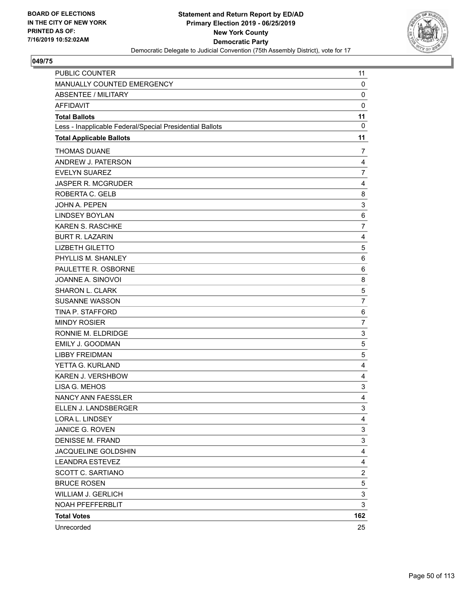

| <b>PUBLIC COUNTER</b>                                    | 11                      |
|----------------------------------------------------------|-------------------------|
| MANUALLY COUNTED EMERGENCY                               | $\mathbf 0$             |
| <b>ABSENTEE / MILITARY</b>                               | 0                       |
| <b>AFFIDAVIT</b>                                         | $\mathbf 0$             |
| <b>Total Ballots</b>                                     | 11                      |
| Less - Inapplicable Federal/Special Presidential Ballots | 0                       |
| <b>Total Applicable Ballots</b>                          | 11                      |
| <b>THOMAS DUANE</b>                                      | 7                       |
| ANDREW J. PATERSON                                       | $\overline{4}$          |
| <b>EVELYN SUAREZ</b>                                     | 7                       |
| <b>JASPER R. MCGRUDER</b>                                | 4                       |
| ROBERTA C. GELB                                          | 8                       |
| <b>JOHN A. PEPEN</b>                                     | 3                       |
| <b>LINDSEY BOYLAN</b>                                    | $\,6$                   |
| <b>KAREN S. RASCHKE</b>                                  | $\overline{7}$          |
| <b>BURT R. LAZARIN</b>                                   | 4                       |
| <b>LIZBETH GILETTO</b>                                   | 5                       |
| PHYLLIS M. SHANLEY                                       | 6                       |
| PAULETTE R. OSBORNE                                      | 6                       |
| JOANNE A. SINOVOI                                        | 8                       |
| SHARON L. CLARK                                          | 5                       |
| <b>SUSANNE WASSON</b>                                    | $\overline{7}$          |
| TINA P. STAFFORD                                         | 6                       |
| <b>MINDY ROSIER</b>                                      | $\overline{7}$          |
| RONNIE M. ELDRIDGE                                       | 3                       |
| EMILY J. GOODMAN                                         | 5                       |
| <b>LIBBY FREIDMAN</b>                                    | 5                       |
| YETTA G. KURLAND                                         | 4                       |
| <b>KAREN J. VERSHBOW</b>                                 | 4                       |
| LISA G. MEHOS                                            | 3                       |
| NANCY ANN FAESSLER                                       | 4                       |
| ELLEN J. LANDSBERGER                                     | 3                       |
| LORA L. LINDSEY                                          | 4                       |
| <b>JANICE G. ROVEN</b>                                   | 3                       |
| <b>DENISSE M. FRAND</b>                                  | 3                       |
| JACQUELINE GOLDSHIN                                      | 4                       |
| <b>LEANDRA ESTEVEZ</b>                                   | 4                       |
| SCOTT C. SARTIANO                                        | $\overline{\mathbf{c}}$ |
| <b>BRUCE ROSEN</b>                                       | 5                       |
| <b>WILLIAM J. GERLICH</b>                                | 3                       |
| NOAH PFEFFERBLIT                                         | 3                       |
| <b>Total Votes</b>                                       | 162                     |
| Unrecorded                                               | 25                      |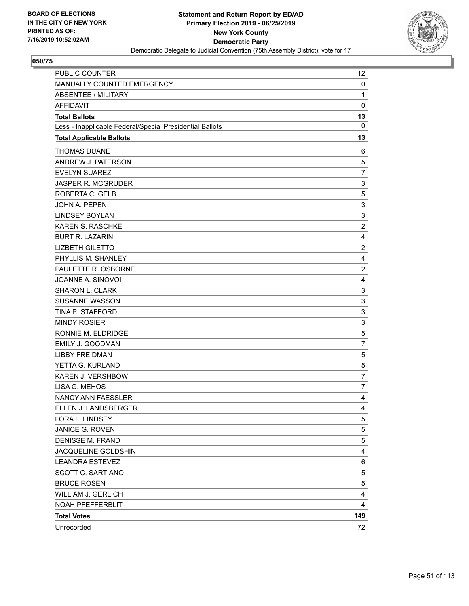

| PUBLIC COUNTER                                           | 12             |
|----------------------------------------------------------|----------------|
| MANUALLY COUNTED EMERGENCY                               | $\mathbf 0$    |
| ABSENTEE / MILITARY                                      | $\mathbf{1}$   |
| <b>AFFIDAVIT</b>                                         | $\mathbf 0$    |
| <b>Total Ballots</b>                                     | 13             |
| Less - Inapplicable Federal/Special Presidential Ballots | 0              |
| <b>Total Applicable Ballots</b>                          | 13             |
| <b>THOMAS DUANE</b>                                      | 6              |
| ANDREW J. PATERSON                                       | 5              |
| <b>EVELYN SUAREZ</b>                                     | $\overline{7}$ |
| <b>JASPER R. MCGRUDER</b>                                | 3              |
| ROBERTA C. GELB                                          | 5              |
| <b>JOHN A. PEPEN</b>                                     | 3              |
| <b>LINDSEY BOYLAN</b>                                    | 3              |
| KAREN S. RASCHKE                                         | $\overline{c}$ |
| <b>BURT R. LAZARIN</b>                                   | 4              |
| <b>LIZBETH GILETTO</b>                                   | $\overline{2}$ |
| PHYLLIS M. SHANLEY                                       | 4              |
| PAULETTE R. OSBORNE                                      | $\overline{c}$ |
| JOANNE A. SINOVOI                                        | 4              |
| SHARON L. CLARK                                          | 3              |
| <b>SUSANNE WASSON</b>                                    | 3              |
| TINA P. STAFFORD                                         | 3              |
| <b>MINDY ROSIER</b>                                      | 3              |
| RONNIE M. ELDRIDGE                                       | 5              |
| <b>EMILY J. GOODMAN</b>                                  | $\overline{7}$ |
| <b>LIBBY FREIDMAN</b>                                    | 5              |
| YETTA G. KURLAND                                         | 5              |
| <b>KAREN J. VERSHBOW</b>                                 | $\overline{7}$ |
| LISA G. MEHOS                                            | 7              |
| NANCY ANN FAESSLER                                       | 4              |
| ELLEN J. LANDSBERGER                                     | 4              |
| LORA L. LINDSEY                                          | 5              |
| JANICE G. ROVEN                                          | 5              |
| <b>DENISSE M. FRAND</b>                                  | 5              |
| JACQUELINE GOLDSHIN                                      | 4              |
| <b>LEANDRA ESTEVEZ</b>                                   | 6              |
| SCOTT C. SARTIANO                                        | 5              |
| <b>BRUCE ROSEN</b>                                       | 5              |
| <b>WILLIAM J. GERLICH</b>                                | 4              |
| NOAH PFEFFERBLIT                                         | 4              |
| <b>Total Votes</b>                                       | 149            |
| Unrecorded                                               | 72             |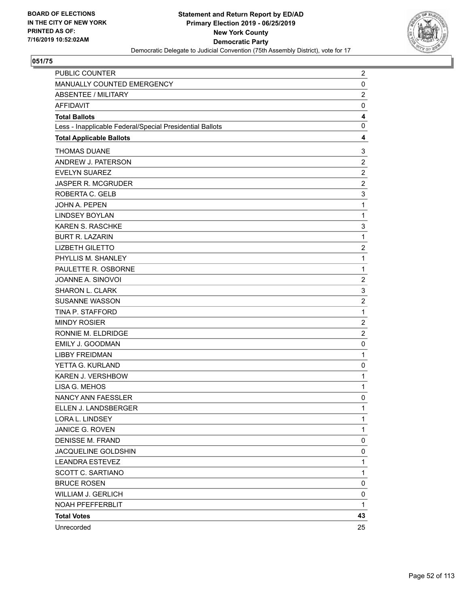

| PUBLIC COUNTER                                           | $\overline{c}$          |
|----------------------------------------------------------|-------------------------|
| MANUALLY COUNTED EMERGENCY                               | 0                       |
| <b>ABSENTEE / MILITARY</b>                               | $\overline{2}$          |
| <b>AFFIDAVIT</b>                                         | 0                       |
| <b>Total Ballots</b>                                     | 4                       |
| Less - Inapplicable Federal/Special Presidential Ballots | 0                       |
| <b>Total Applicable Ballots</b>                          | 4                       |
| <b>THOMAS DUANE</b>                                      | 3                       |
| ANDREW J. PATERSON                                       | $\overline{2}$          |
| <b>EVELYN SUAREZ</b>                                     | $\overline{2}$          |
| JASPER R. MCGRUDER                                       | $\overline{c}$          |
| ROBERTA C. GELB                                          | 3                       |
| JOHN A. PEPEN                                            | 1                       |
| <b>LINDSEY BOYLAN</b>                                    | 1                       |
| KAREN S. RASCHKE                                         | 3                       |
| <b>BURT R. LAZARIN</b>                                   | 1                       |
| <b>LIZBETH GILETTO</b>                                   | $\overline{\mathbf{c}}$ |
| PHYLLIS M. SHANLEY                                       | 1                       |
| PAULETTE R. OSBORNE                                      | 1                       |
| JOANNE A. SINOVOI                                        | $\overline{c}$          |
| SHARON L. CLARK                                          | 3                       |
| <b>SUSANNE WASSON</b>                                    | $\overline{2}$          |
| TINA P. STAFFORD                                         | $\mathbf{1}$            |
| <b>MINDY ROSIER</b>                                      | $\overline{c}$          |
| RONNIE M. ELDRIDGE                                       | $\overline{2}$          |
| EMILY J. GOODMAN                                         | 0                       |
| <b>LIBBY FREIDMAN</b>                                    | $\mathbf{1}$            |
| YETTA G. KURLAND                                         | 0                       |
| KAREN J. VERSHBOW                                        | 1                       |
| LISA G. MEHOS                                            | 1                       |
| <b>NANCY ANN FAESSLER</b>                                | 0                       |
| ELLEN J. LANDSBERGER                                     | 1                       |
| LORA L. LINDSEY                                          | 1                       |
| JANICE G. ROVEN                                          | 1                       |
| <b>DENISSE M. FRAND</b>                                  | 0                       |
| JACQUELINE GOLDSHIN                                      | 0                       |
| <b>LEANDRA ESTEVEZ</b>                                   | 1                       |
| <b>SCOTT C. SARTIANO</b>                                 | 1                       |
| <b>BRUCE ROSEN</b>                                       | 0                       |
| <b>WILLIAM J. GERLICH</b>                                | 0                       |
| NOAH PFEFFERBLIT                                         | 1                       |
| <b>Total Votes</b>                                       | 43                      |
| Unrecorded                                               | 25                      |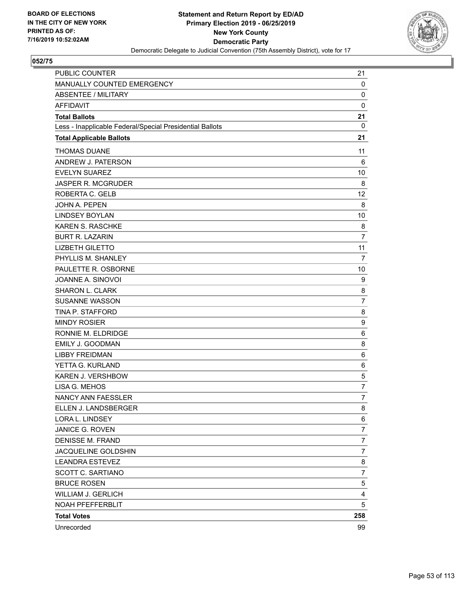

| PUBLIC COUNTER                                           | 21             |
|----------------------------------------------------------|----------------|
| MANUALLY COUNTED EMERGENCY                               | 0              |
| ABSENTEE / MILITARY                                      | 0              |
| <b>AFFIDAVIT</b>                                         | 0              |
| <b>Total Ballots</b>                                     | 21             |
| Less - Inapplicable Federal/Special Presidential Ballots | 0              |
| <b>Total Applicable Ballots</b>                          | 21             |
| <b>THOMAS DUANE</b>                                      | 11             |
| ANDREW J. PATERSON                                       | 6              |
| <b>EVELYN SUAREZ</b>                                     | 10             |
| JASPER R. MCGRUDER                                       | 8              |
| ROBERTA C. GELB                                          | 12             |
| JOHN A. PEPEN                                            | 8              |
| <b>LINDSEY BOYLAN</b>                                    | 10             |
| <b>KAREN S. RASCHKE</b>                                  | 8              |
| <b>BURT R. LAZARIN</b>                                   | 7              |
| <b>LIZBETH GILETTO</b>                                   | 11             |
| PHYLLIS M. SHANLEY                                       | $\overline{7}$ |
| PAULETTE R. OSBORNE                                      | 10             |
| JOANNE A. SINOVOI                                        | 9              |
| <b>SHARON L. CLARK</b>                                   | 8              |
| <b>SUSANNE WASSON</b>                                    | $\overline{7}$ |
| TINA P. STAFFORD                                         | 8              |
| <b>MINDY ROSIER</b>                                      | 9              |
| RONNIE M. ELDRIDGE                                       | 6              |
| <b>EMILY J. GOODMAN</b>                                  | 8              |
| <b>LIBBY FREIDMAN</b>                                    | 6              |
| YETTA G. KURLAND                                         | 6              |
| KAREN J. VERSHBOW                                        | 5              |
| LISA G. MEHOS                                            | $\overline{7}$ |
| NANCY ANN FAESSLER                                       | $\overline{7}$ |
| ELLEN J. LANDSBERGER                                     | 8              |
| LORA L. LINDSEY                                          | 6              |
| JANICE G. ROVEN                                          | $\overline{7}$ |
| <b>DENISSE M. FRAND</b>                                  | $\overline{7}$ |
| JACQUELINE GOLDSHIN                                      | $\overline{7}$ |
| <b>LEANDRA ESTEVEZ</b>                                   | 8              |
| SCOTT C. SARTIANO                                        | $\overline{7}$ |
| <b>BRUCE ROSEN</b>                                       | 5              |
| <b>WILLIAM J. GERLICH</b>                                | 4              |
| NOAH PFEFFERBLIT                                         | 5              |
| <b>Total Votes</b>                                       | 258            |
| Unrecorded                                               | 99             |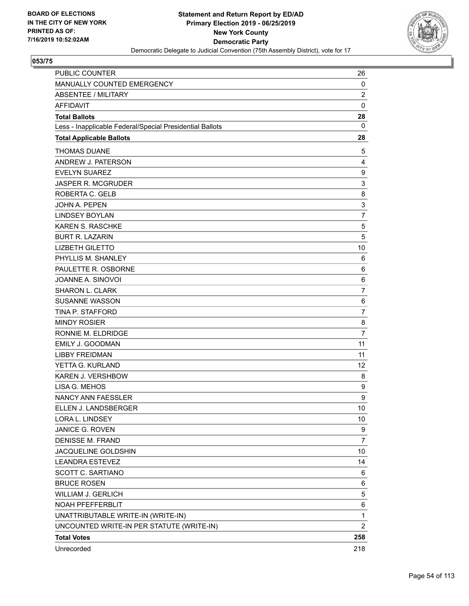

| PUBLIC COUNTER                                           | 26             |
|----------------------------------------------------------|----------------|
| MANUALLY COUNTED EMERGENCY                               | 0              |
| <b>ABSENTEE / MILITARY</b>                               | $\overline{2}$ |
| <b>AFFIDAVIT</b>                                         | $\mathbf 0$    |
| <b>Total Ballots</b>                                     | 28             |
| Less - Inapplicable Federal/Special Presidential Ballots | $\mathbf{0}$   |
| <b>Total Applicable Ballots</b>                          | 28             |
| <b>THOMAS DUANE</b>                                      | 5              |
| ANDREW J. PATERSON                                       | 4              |
| <b>EVELYN SUAREZ</b>                                     | 9              |
| <b>JASPER R. MCGRUDER</b>                                | 3              |
| ROBERTA C. GELB                                          | 8              |
| JOHN A. PEPEN                                            | 3              |
| <b>LINDSEY BOYLAN</b>                                    | 7              |
| KAREN S. RASCHKE                                         | 5              |
| <b>BURT R. LAZARIN</b>                                   | 5              |
| <b>LIZBETH GILETTO</b>                                   | 10             |
| PHYLLIS M. SHANLEY                                       | 6              |
| PAULETTE R. OSBORNE                                      | 6              |
| JOANNE A. SINOVOI                                        | 6              |
| SHARON L. CLARK                                          | $\overline{7}$ |
| <b>SUSANNE WASSON</b>                                    | 6              |
| TINA P. STAFFORD                                         | 7              |
| <b>MINDY ROSIER</b>                                      | 8              |
| RONNIE M. ELDRIDGE                                       | $\overline{7}$ |
| EMILY J. GOODMAN                                         | 11             |
| <b>LIBBY FREIDMAN</b>                                    | 11             |
| YETTA G. KURLAND                                         | 12             |
| KAREN J. VERSHBOW                                        | 8              |
| LISA G. MEHOS                                            | 9              |
| <b>NANCY ANN FAESSLER</b>                                | 9              |
| ELLEN J. LANDSBERGER                                     | 10             |
| LORA L. LINDSEY                                          | 10             |
| JANICE G. ROVEN                                          | 9              |
| <b>DENISSE M. FRAND</b>                                  | 7              |
| JACQUELINE GOLDSHIN                                      | 10             |
| <b>LEANDRA ESTEVEZ</b>                                   | 14             |
| SCOTT C. SARTIANO                                        | 6              |
| <b>BRUCE ROSEN</b>                                       | 6              |
| WILLIAM J. GERLICH                                       | 5              |
| NOAH PFEFFERBLIT                                         | 6              |
| UNATTRIBUTABLE WRITE-IN (WRITE-IN)                       | 1              |
| UNCOUNTED WRITE-IN PER STATUTE (WRITE-IN)                | $\overline{2}$ |
| <b>Total Votes</b>                                       | 258            |
| Unrecorded                                               | 218            |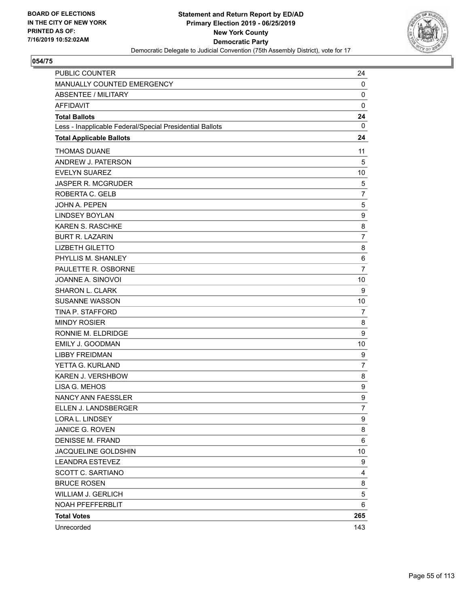

| PUBLIC COUNTER                                           | 24             |
|----------------------------------------------------------|----------------|
| MANUALLY COUNTED EMERGENCY                               | 0              |
| ABSENTEE / MILITARY                                      | 0              |
| <b>AFFIDAVIT</b>                                         | $\mathbf 0$    |
| <b>Total Ballots</b>                                     | 24             |
| Less - Inapplicable Federal/Special Presidential Ballots | 0              |
| <b>Total Applicable Ballots</b>                          | 24             |
| <b>THOMAS DUANE</b>                                      | 11             |
| ANDREW J. PATERSON                                       | 5              |
| <b>EVELYN SUAREZ</b>                                     | 10             |
| JASPER R. MCGRUDER                                       | 5              |
| ROBERTA C. GELB                                          | $\overline{7}$ |
| JOHN A. PEPEN                                            | 5              |
| <b>LINDSEY BOYLAN</b>                                    | 9              |
| <b>KAREN S. RASCHKE</b>                                  | 8              |
| <b>BURT R. LAZARIN</b>                                   | $\overline{7}$ |
| <b>LIZBETH GILETTO</b>                                   | 8              |
| PHYLLIS M. SHANLEY                                       | 6              |
| PAULETTE R. OSBORNE                                      | 7              |
| JOANNE A. SINOVOI                                        | 10             |
| <b>SHARON L. CLARK</b>                                   | 9              |
| <b>SUSANNE WASSON</b>                                    | 10             |
| TINA P. STAFFORD                                         | 7              |
| <b>MINDY ROSIER</b>                                      | 8              |
| RONNIE M. ELDRIDGE                                       | 9              |
| <b>EMILY J. GOODMAN</b>                                  | 10             |
| <b>LIBBY FREIDMAN</b>                                    | 9              |
| YETTA G. KURLAND                                         | $\overline{7}$ |
| KAREN J. VERSHBOW                                        | 8              |
| LISA G. MEHOS                                            | 9              |
| NANCY ANN FAESSLER                                       | 9              |
| ELLEN J. LANDSBERGER                                     | $\overline{7}$ |
| LORA L. LINDSEY                                          | 9              |
| JANICE G. ROVEN                                          | 8              |
| <b>DENISSE M. FRAND</b>                                  | 6              |
| JACQUELINE GOLDSHIN                                      | 10             |
| <b>LEANDRA ESTEVEZ</b>                                   | 9              |
| SCOTT C. SARTIANO                                        | 4              |
| <b>BRUCE ROSEN</b>                                       | 8              |
| <b>WILLIAM J. GERLICH</b>                                | 5              |
| NOAH PFEFFERBLIT                                         | 6              |
| <b>Total Votes</b>                                       | 265            |
| Unrecorded                                               | 143            |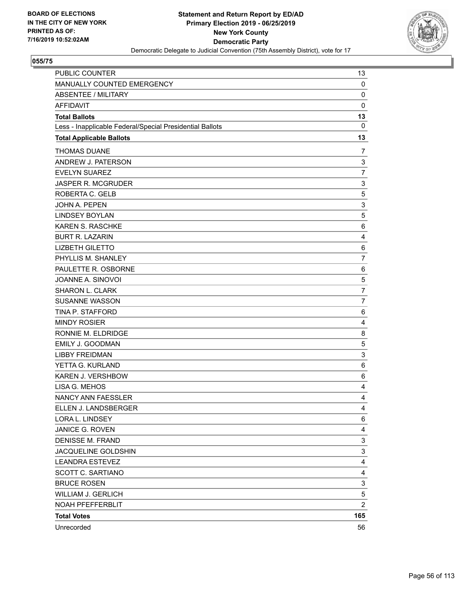

| PUBLIC COUNTER                                           | 13              |
|----------------------------------------------------------|-----------------|
| MANUALLY COUNTED EMERGENCY                               | 0               |
| <b>ABSENTEE / MILITARY</b>                               | 0               |
| <b>AFFIDAVIT</b>                                         | $\mathbf 0$     |
| <b>Total Ballots</b>                                     | 13              |
| Less - Inapplicable Federal/Special Presidential Ballots | $\mathbf 0$     |
| <b>Total Applicable Ballots</b>                          | 13              |
| <b>THOMAS DUANE</b>                                      | 7               |
| ANDREW J. PATERSON                                       | 3               |
| <b>EVELYN SUAREZ</b>                                     | 7               |
| <b>JASPER R. MCGRUDER</b>                                | 3               |
| ROBERTA C. GELB                                          | 5               |
| <b>JOHN A. PEPEN</b>                                     | 3               |
| <b>LINDSEY BOYLAN</b>                                    | 5               |
| KAREN S. RASCHKE                                         | $6\phantom{1}6$ |
| <b>BURT R. LAZARIN</b>                                   | 4               |
| <b>LIZBETH GILETTO</b>                                   | 6               |
| PHYLLIS M. SHANLEY                                       | $\overline{7}$  |
| PAULETTE R. OSBORNE                                      | 6               |
| JOANNE A. SINOVOI                                        | 5               |
| SHARON L. CLARK                                          | $\overline{7}$  |
| <b>SUSANNE WASSON</b>                                    | 7               |
| TINA P. STAFFORD                                         | 6               |
| <b>MINDY ROSIER</b>                                      | 4               |
| RONNIE M. ELDRIDGE                                       | 8               |
| <b>EMILY J. GOODMAN</b>                                  | 5               |
| <b>LIBBY FREIDMAN</b>                                    | 3               |
| YETTA G. KURLAND                                         | 6               |
| KAREN J. VERSHBOW                                        | 6               |
| LISA G. MEHOS                                            | 4               |
| NANCY ANN FAESSLER                                       | 4               |
| ELLEN J. LANDSBERGER                                     | $\overline{4}$  |
| LORA L. LINDSEY                                          | 6               |
| JANICE G. ROVEN                                          | 4               |
| <b>DENISSE M. FRAND</b>                                  | 3               |
| JACQUELINE GOLDSHIN                                      | 3               |
| <b>LEANDRA ESTEVEZ</b>                                   | 4               |
| SCOTT C. SARTIANO                                        | 4               |
| <b>BRUCE ROSEN</b>                                       | 3               |
| <b>WILLIAM J. GERLICH</b>                                | 5               |
| NOAH PFEFFERBLIT                                         | $\overline{c}$  |
| <b>Total Votes</b>                                       | 165             |
| Unrecorded                                               | 56              |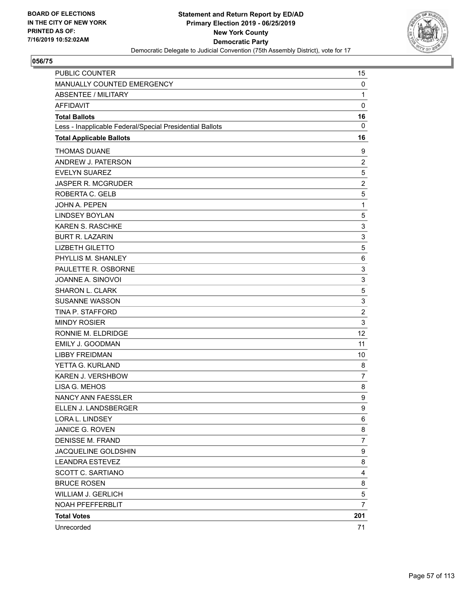

| <b>PUBLIC COUNTER</b>                                    | 15             |
|----------------------------------------------------------|----------------|
| MANUALLY COUNTED EMERGENCY                               | 0              |
| <b>ABSENTEE / MILITARY</b>                               | $\mathbf{1}$   |
| <b>AFFIDAVIT</b>                                         | $\mathbf 0$    |
| <b>Total Ballots</b>                                     | 16             |
| Less - Inapplicable Federal/Special Presidential Ballots | $\mathbf 0$    |
| <b>Total Applicable Ballots</b>                          | 16             |
| <b>THOMAS DUANE</b>                                      | 9              |
| ANDREW J. PATERSON                                       | $\overline{2}$ |
| <b>EVELYN SUAREZ</b>                                     | 5              |
| <b>JASPER R. MCGRUDER</b>                                | $\overline{c}$ |
| ROBERTA C. GELB                                          | 5              |
| <b>JOHN A. PEPEN</b>                                     | $\mathbf{1}$   |
| <b>LINDSEY BOYLAN</b>                                    | 5              |
| KAREN S. RASCHKE                                         | 3              |
| <b>BURT R. LAZARIN</b>                                   | 3              |
| <b>LIZBETH GILETTO</b>                                   | 5              |
| PHYLLIS M. SHANLEY                                       | 6              |
| PAULETTE R. OSBORNE                                      | 3              |
| JOANNE A. SINOVOI                                        | 3              |
| SHARON L. CLARK                                          | 5              |
| <b>SUSANNE WASSON</b>                                    | 3              |
| TINA P. STAFFORD                                         | $\overline{c}$ |
| <b>MINDY ROSIER</b>                                      | 3              |
| RONNIE M. ELDRIDGE                                       | 12             |
| <b>EMILY J. GOODMAN</b>                                  | 11             |
| <b>LIBBY FREIDMAN</b>                                    | 10             |
| YETTA G. KURLAND                                         | 8              |
| KAREN J. VERSHBOW                                        | $\overline{7}$ |
| LISA G. MEHOS                                            | 8              |
| NANCY ANN FAESSLER                                       | 9              |
| ELLEN J. LANDSBERGER                                     | 9              |
| LORA L. LINDSEY                                          | 6              |
| JANICE G. ROVEN                                          | 8              |
| <b>DENISSE M. FRAND</b>                                  | $\overline{7}$ |
| JACQUELINE GOLDSHIN                                      | 9              |
| <b>LEANDRA ESTEVEZ</b>                                   | 8              |
| SCOTT C. SARTIANO                                        | 4              |
| <b>BRUCE ROSEN</b>                                       | 8              |
| <b>WILLIAM J. GERLICH</b>                                | 5              |
| NOAH PFEFFERBLIT                                         | $\overline{7}$ |
| <b>Total Votes</b>                                       | 201            |
| Unrecorded                                               | 71             |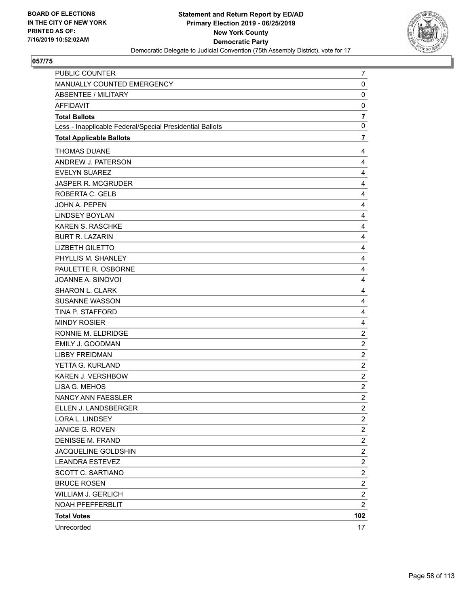

| PUBLIC COUNTER                                           | 7                       |
|----------------------------------------------------------|-------------------------|
| MANUALLY COUNTED EMERGENCY                               | 0                       |
| <b>ABSENTEE / MILITARY</b>                               | 0                       |
| <b>AFFIDAVIT</b>                                         | 0                       |
| <b>Total Ballots</b>                                     | $\overline{\mathbf{r}}$ |
| Less - Inapplicable Federal/Special Presidential Ballots | $\mathbf 0$             |
| <b>Total Applicable Ballots</b>                          | $\overline{\mathbf{7}}$ |
| <b>THOMAS DUANE</b>                                      | 4                       |
| ANDREW J. PATERSON                                       | 4                       |
| <b>EVELYN SUAREZ</b>                                     | 4                       |
| JASPER R. MCGRUDER                                       | 4                       |
| ROBERTA C. GELB                                          | 4                       |
| JOHN A. PEPEN                                            | 4                       |
| <b>LINDSEY BOYLAN</b>                                    | 4                       |
| KAREN S. RASCHKE                                         | 4                       |
| <b>BURT R. LAZARIN</b>                                   | 4                       |
| <b>LIZBETH GILETTO</b>                                   | 4                       |
| PHYLLIS M. SHANLEY                                       | 4                       |
| PAULETTE R. OSBORNE                                      | 4                       |
| JOANNE A. SINOVOI                                        | 4                       |
| <b>SHARON L. CLARK</b>                                   | 4                       |
| <b>SUSANNE WASSON</b>                                    | 4                       |
| TINA P. STAFFORD                                         | 4                       |
| <b>MINDY ROSIER</b>                                      | 4                       |
| RONNIE M. ELDRIDGE                                       | $\overline{c}$          |
| EMILY J. GOODMAN                                         | $\overline{c}$          |
| <b>LIBBY FREIDMAN</b>                                    | $\overline{c}$          |
| YETTA G. KURLAND                                         | $\overline{c}$          |
| KAREN J. VERSHBOW                                        | $\overline{c}$          |
| LISA G. MEHOS                                            | $\overline{c}$          |
| NANCY ANN FAESSLER                                       | $\overline{\mathbf{c}}$ |
| ELLEN J. LANDSBERGER                                     | $\overline{2}$          |
| LORA L. LINDSEY                                          | $\overline{c}$          |
| JANICE G. ROVEN                                          | $\overline{c}$          |
| <b>DENISSE M. FRAND</b>                                  | $\overline{c}$          |
| JACQUELINE GOLDSHIN                                      | $\overline{c}$          |
| <b>LEANDRA ESTEVEZ</b>                                   | $\overline{\mathbf{c}}$ |
| SCOTT C. SARTIANO                                        | $\overline{\mathbf{c}}$ |
| <b>BRUCE ROSEN</b>                                       | $\overline{c}$          |
| <b>WILLIAM J. GERLICH</b>                                | $\overline{c}$          |
| NOAH PFEFFERBLIT                                         | $\overline{2}$          |
| <b>Total Votes</b>                                       | 102                     |
| Unrecorded                                               | 17                      |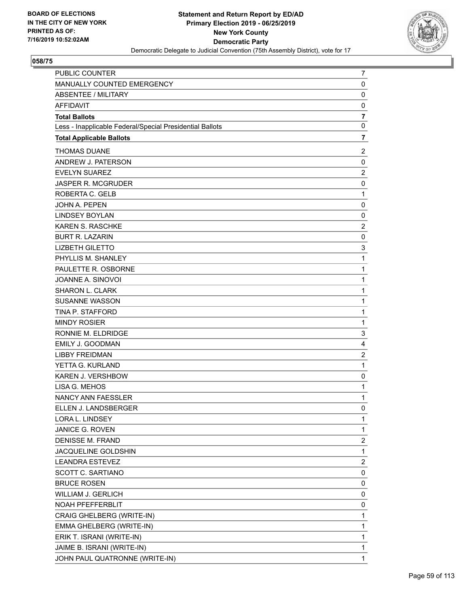

| PUBLIC COUNTER                                           | 7                       |
|----------------------------------------------------------|-------------------------|
| MANUALLY COUNTED EMERGENCY                               | 0                       |
| <b>ABSENTEE / MILITARY</b>                               | $\mathbf 0$             |
| <b>AFFIDAVIT</b>                                         | 0                       |
| <b>Total Ballots</b>                                     | $\overline{7}$          |
| Less - Inapplicable Federal/Special Presidential Ballots | $\mathbf 0$             |
| <b>Total Applicable Ballots</b>                          | $\overline{7}$          |
| <b>THOMAS DUANE</b>                                      | $\overline{c}$          |
| ANDREW J. PATERSON                                       | 0                       |
| <b>EVELYN SUAREZ</b>                                     | $\overline{2}$          |
| JASPER R. MCGRUDER                                       | 0                       |
| ROBERTA C. GELB                                          | $\mathbf{1}$            |
| JOHN A. PEPEN                                            | $\mathbf 0$             |
| <b>LINDSEY BOYLAN</b>                                    | 0                       |
| KAREN S. RASCHKE                                         | $\overline{c}$          |
| <b>BURT R. LAZARIN</b>                                   | $\mathbf 0$             |
| <b>LIZBETH GILETTO</b>                                   | 3                       |
| PHYLLIS M. SHANLEY                                       | $\mathbf{1}$            |
| PAULETTE R. OSBORNE                                      | $\mathbf{1}$            |
| JOANNE A. SINOVOI                                        | $\mathbf{1}$            |
| <b>SHARON L. CLARK</b>                                   | $\mathbf 1$             |
| <b>SUSANNE WASSON</b>                                    | $\mathbf{1}$            |
| TINA P. STAFFORD                                         | $\mathbf{1}$            |
| <b>MINDY ROSIER</b>                                      | $\mathbf{1}$            |
| RONNIE M. ELDRIDGE                                       | 3                       |
| EMILY J. GOODMAN                                         | 4                       |
| <b>LIBBY FREIDMAN</b>                                    | $\overline{c}$          |
| YETTA G. KURLAND                                         | 1                       |
| <b>KAREN J. VERSHBOW</b>                                 | 0                       |
| LISA G. MEHOS                                            | $\mathbf{1}$            |
| <b>NANCY ANN FAESSLER</b>                                | $\mathbf{1}$            |
| ELLEN J. LANDSBERGER                                     | 0                       |
| LORA L. LINDSEY                                          | 1                       |
| JANICE G. ROVEN                                          | 1                       |
| DENISSE M. FRAND                                         | $\overline{\mathbf{c}}$ |
| JACQUELINE GOLDSHIN                                      | $\mathbf{1}$            |
| <b>LEANDRA ESTEVEZ</b>                                   | $\overline{c}$          |
| SCOTT C. SARTIANO                                        | 0                       |
| <b>BRUCE ROSEN</b>                                       | 0                       |
| <b>WILLIAM J. GERLICH</b>                                | 0                       |
| NOAH PFEFFERBLIT                                         | 0                       |
| CRAIG GHELBERG (WRITE-IN)                                | $\mathbf 1$             |
| EMMA GHELBERG (WRITE-IN)                                 | 1                       |
| ERIK T. ISRANI (WRITE-IN)                                | 1                       |
| JAIME B. ISRANI (WRITE-IN)                               | 1                       |
| JOHN PAUL QUATRONNE (WRITE-IN)                           | 1                       |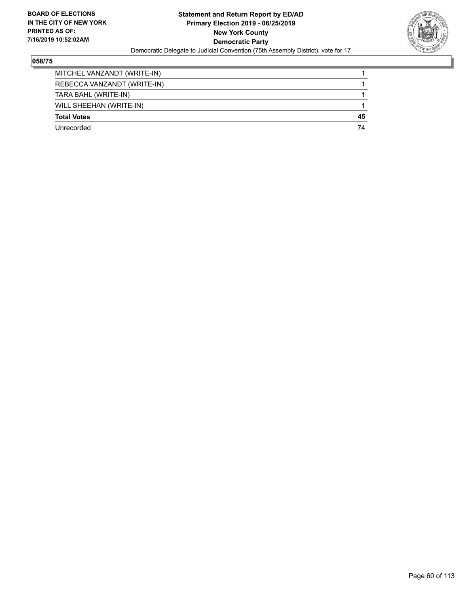

| MITCHEL VANZANDT (WRITE-IN) |    |
|-----------------------------|----|
| REBECCA VANZANDT (WRITE-IN) |    |
| TARA BAHL (WRITE-IN)        |    |
| WILL SHEEHAN (WRITE-IN)     |    |
| <b>Total Votes</b>          | 45 |
| Unrecorded                  | 74 |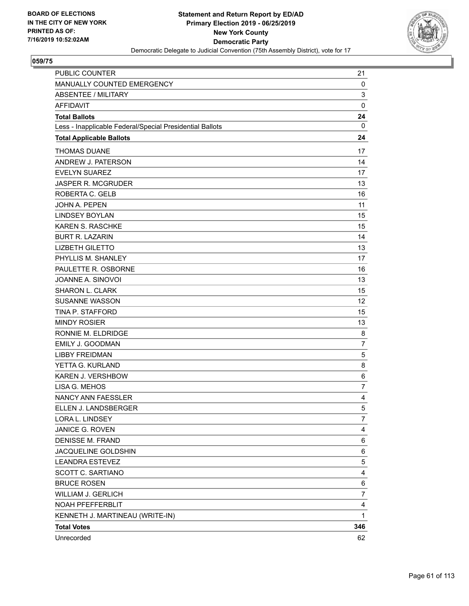

| PUBLIC COUNTER                                           | 21             |
|----------------------------------------------------------|----------------|
| MANUALLY COUNTED EMERGENCY                               | 0              |
| <b>ABSENTEE / MILITARY</b>                               | 3              |
| <b>AFFIDAVIT</b>                                         | $\mathbf 0$    |
| <b>Total Ballots</b>                                     | 24             |
| Less - Inapplicable Federal/Special Presidential Ballots | 0              |
| <b>Total Applicable Ballots</b>                          | 24             |
| <b>THOMAS DUANE</b>                                      | 17             |
| ANDREW J. PATERSON                                       | 14             |
| <b>EVELYN SUAREZ</b>                                     | 17             |
| <b>JASPER R. MCGRUDER</b>                                | 13             |
| ROBERTA C. GELB                                          | 16             |
| <b>JOHN A. PEPEN</b>                                     | 11             |
| <b>LINDSEY BOYLAN</b>                                    | 15             |
| KAREN S. RASCHKE                                         | 15             |
| <b>BURT R. LAZARIN</b>                                   | 14             |
| <b>LIZBETH GILETTO</b>                                   | 13             |
| PHYLLIS M. SHANLEY                                       | 17             |
| PAULETTE R. OSBORNE                                      | 16             |
| JOANNE A. SINOVOI                                        | 13             |
| <b>SHARON L. CLARK</b>                                   | 15             |
| <b>SUSANNE WASSON</b>                                    | 12             |
| TINA P. STAFFORD                                         | 15             |
| <b>MINDY ROSIER</b>                                      | 13             |
| RONNIE M. ELDRIDGE                                       | 8              |
| <b>EMILY J. GOODMAN</b>                                  | $\overline{7}$ |
| <b>LIBBY FREIDMAN</b>                                    | 5              |
| YETTA G. KURLAND                                         | 8              |
| KAREN J. VERSHBOW                                        | 6              |
| LISA G. MEHOS                                            | $\overline{7}$ |
| NANCY ANN FAESSLER                                       | 4              |
| ELLEN J. LANDSBERGER                                     | 5              |
| LORA L. LINDSEY                                          | 7              |
| JANICE G. ROVEN                                          | 4              |
| DENISSE M. FRAND                                         | 6              |
| JACQUELINE GOLDSHIN                                      | 6              |
| <b>LEANDRA ESTEVEZ</b>                                   | 5              |
| SCOTT C. SARTIANO                                        | 4              |
| <b>BRUCE ROSEN</b>                                       | 6              |
| WILLIAM J. GERLICH                                       | 7              |
| NOAH PFEFFERBLIT                                         | 4              |
| KENNETH J. MARTINEAU (WRITE-IN)                          | 1              |
| <b>Total Votes</b>                                       | 346            |
| Unrecorded                                               | 62             |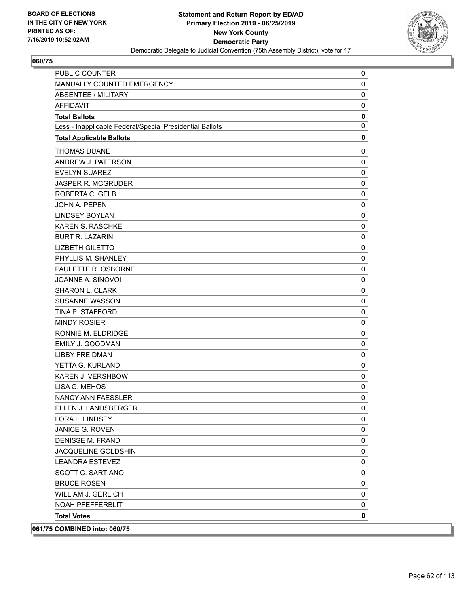

| <b>PUBLIC COUNTER</b>                                    | 0           |
|----------------------------------------------------------|-------------|
| MANUALLY COUNTED EMERGENCY                               | 0           |
| <b>ABSENTEE / MILITARY</b>                               | 0           |
| <b>AFFIDAVIT</b>                                         | 0           |
| <b>Total Ballots</b>                                     | $\pmb{0}$   |
| Less - Inapplicable Federal/Special Presidential Ballots | $\mathbf 0$ |
| <b>Total Applicable Ballots</b>                          | 0           |
| <b>THOMAS DUANE</b>                                      | 0           |
| ANDREW J. PATERSON                                       | 0           |
| <b>EVELYN SUAREZ</b>                                     | 0           |
| <b>JASPER R. MCGRUDER</b>                                | $\mathbf 0$ |
| ROBERTA C. GELB                                          | 0           |
| <b>JOHN A. PEPEN</b>                                     | 0           |
| <b>LINDSEY BOYLAN</b>                                    | 0           |
| <b>KAREN S. RASCHKE</b>                                  | 0           |
| <b>BURT R. LAZARIN</b>                                   | 0           |
| <b>LIZBETH GILETTO</b>                                   | 0           |
| PHYLLIS M. SHANLEY                                       | 0           |
| PAULETTE R. OSBORNE                                      | 0           |
| JOANNE A. SINOVOI                                        | 0           |
| SHARON L. CLARK                                          | 0           |
| <b>SUSANNE WASSON</b>                                    | 0           |
| <b>TINA P. STAFFORD</b>                                  | 0           |
| <b>MINDY ROSIER</b>                                      | 0           |
| RONNIE M. ELDRIDGE                                       | 0           |
| EMILY J. GOODMAN                                         | 0           |
| <b>LIBBY FREIDMAN</b>                                    | 0           |
| YETTA G. KURLAND                                         | 0           |
| KAREN J. VERSHBOW                                        | 0           |
| LISA G. MEHOS                                            | 0           |
| <b>NANCY ANN FAESSLER</b>                                | 0           |
| ELLEN J. LANDSBERGER                                     | 0           |
| LORA L. LINDSEY                                          | 0           |
| <b>JANICE G. ROVEN</b>                                   | 0           |
| <b>DENISSE M. FRAND</b>                                  | 0           |
| JACQUELINE GOLDSHIN                                      | 0           |
| LEANDRA ESTEVEZ                                          | 0           |
| SCOTT C. SARTIANO                                        | 0           |
| <b>BRUCE ROSEN</b>                                       | 0           |
| <b>WILLIAM J. GERLICH</b>                                | $\pmb{0}$   |
| <b>NOAH PFEFFERBLIT</b>                                  | 0           |
| <b>Total Votes</b>                                       | 0           |
| 061/75 COMBINED into: 060/75                             |             |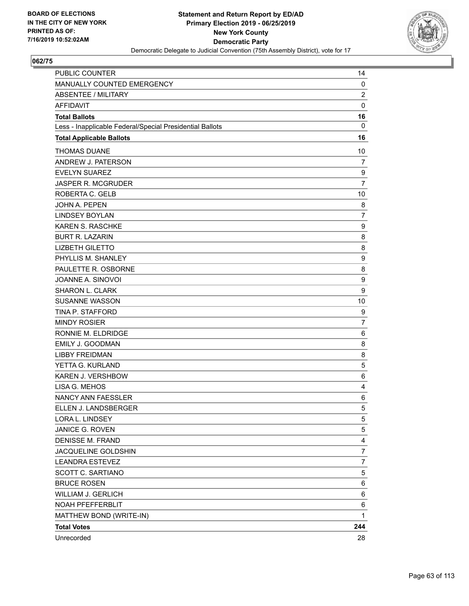

| PUBLIC COUNTER                                           | 14               |
|----------------------------------------------------------|------------------|
| MANUALLY COUNTED EMERGENCY                               | 0                |
| ABSENTEE / MILITARY                                      | $\overline{c}$   |
| <b>AFFIDAVIT</b>                                         | $\mathbf 0$      |
| <b>Total Ballots</b>                                     | 16               |
| Less - Inapplicable Federal/Special Presidential Ballots | $\mathbf{0}$     |
| <b>Total Applicable Ballots</b>                          | 16               |
| <b>THOMAS DUANE</b>                                      | 10               |
| ANDREW J. PATERSON                                       | 7                |
| <b>EVELYN SUAREZ</b>                                     | 9                |
| JASPER R. MCGRUDER                                       | $\overline{7}$   |
| ROBERTA C. GELB                                          | 10               |
| JOHN A. PEPEN                                            | 8                |
| <b>LINDSEY BOYLAN</b>                                    | $\overline{7}$   |
| KAREN S. RASCHKE                                         | 9                |
| <b>BURT R. LAZARIN</b>                                   | 8                |
| <b>LIZBETH GILETTO</b>                                   | 8                |
| PHYLLIS M. SHANLEY                                       | 9                |
| PAULETTE R. OSBORNE                                      | 8                |
| JOANNE A. SINOVOI                                        | $\boldsymbol{9}$ |
| <b>SHARON L. CLARK</b>                                   | 9                |
| <b>SUSANNE WASSON</b>                                    | 10               |
| TINA P. STAFFORD                                         | 9                |
| <b>MINDY ROSIER</b>                                      | $\overline{7}$   |
| RONNIE M. ELDRIDGE                                       | 6                |
| EMILY J. GOODMAN                                         | 8                |
| <b>LIBBY FREIDMAN</b>                                    | 8                |
| YETTA G. KURLAND                                         | 5                |
| KAREN J. VERSHBOW                                        | 6                |
| LISA G. MEHOS                                            | 4                |
| NANCY ANN FAESSLER                                       | 6                |
| ELLEN J. LANDSBERGER                                     | 5                |
| LORA L. LINDSEY                                          | 5                |
| JANICE G. ROVEN                                          | 5                |
| <b>DENISSE M. FRAND</b>                                  | $\overline{4}$   |
| JACQUELINE GOLDSHIN                                      | $\overline{7}$   |
| <b>LEANDRA ESTEVEZ</b>                                   | 7                |
| <b>SCOTT C. SARTIANO</b>                                 | 5                |
| <b>BRUCE ROSEN</b>                                       | 6                |
| WILLIAM J. GERLICH                                       | 6                |
| NOAH PFEFFERBLIT                                         | 6                |
| MATTHEW BOND (WRITE-IN)                                  | 1                |
| <b>Total Votes</b>                                       | 244              |
| Unrecorded                                               | 28               |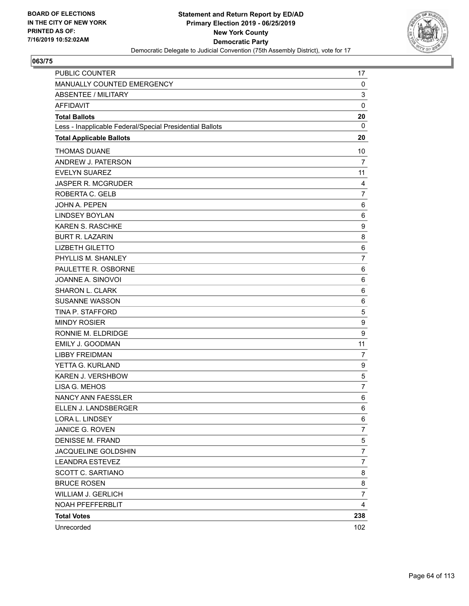

| PUBLIC COUNTER                                           | 17             |
|----------------------------------------------------------|----------------|
| MANUALLY COUNTED EMERGENCY                               | 0              |
| <b>ABSENTEE / MILITARY</b>                               | 3              |
| <b>AFFIDAVIT</b>                                         | $\mathbf 0$    |
| <b>Total Ballots</b>                                     | 20             |
| Less - Inapplicable Federal/Special Presidential Ballots | $\mathbf{0}$   |
| <b>Total Applicable Ballots</b>                          | 20             |
| <b>THOMAS DUANE</b>                                      | 10             |
| ANDREW J. PATERSON                                       | $\overline{7}$ |
| <b>EVELYN SUAREZ</b>                                     | 11             |
| JASPER R. MCGRUDER                                       | 4              |
| ROBERTA C. GELB                                          | $\overline{7}$ |
| JOHN A. PEPEN                                            | 6              |
| <b>LINDSEY BOYLAN</b>                                    | 6              |
| KAREN S. RASCHKE                                         | 9              |
| <b>BURT R. LAZARIN</b>                                   | 8              |
| <b>LIZBETH GILETTO</b>                                   | 6              |
| PHYLLIS M. SHANLEY                                       | $\overline{7}$ |
| PAULETTE R. OSBORNE                                      | 6              |
| JOANNE A. SINOVOI                                        | 6              |
| SHARON L. CLARK                                          | 6              |
| <b>SUSANNE WASSON</b>                                    | 6              |
| TINA P. STAFFORD                                         | 5              |
| <b>MINDY ROSIER</b>                                      | 9              |
| RONNIE M. ELDRIDGE                                       | 9              |
| EMILY J. GOODMAN                                         | 11             |
| <b>LIBBY FREIDMAN</b>                                    | $\overline{7}$ |
| YETTA G. KURLAND                                         | 9              |
| KAREN J. VERSHBOW                                        | 5              |
| LISA G. MEHOS                                            | 7              |
| <b>NANCY ANN FAESSLER</b>                                | 6              |
| ELLEN J. LANDSBERGER                                     | 6              |
| LORA L. LINDSEY                                          | 6              |
| JANICE G. ROVEN                                          | 7              |
| <b>DENISSE M. FRAND</b>                                  | 5              |
| JACQUELINE GOLDSHIN                                      | 7              |
| <b>LEANDRA ESTEVEZ</b>                                   | $\overline{7}$ |
| <b>SCOTT C. SARTIANO</b>                                 | 8              |
| <b>BRUCE ROSEN</b>                                       | 8              |
| <b>WILLIAM J. GERLICH</b>                                | 7              |
| NOAH PFEFFERBLIT                                         | 4              |
| <b>Total Votes</b>                                       | 238            |
| Unrecorded                                               | 102            |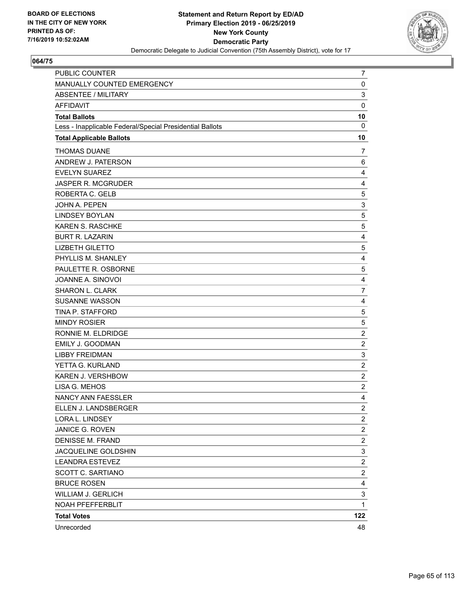

| PUBLIC COUNTER                                           | 7                       |
|----------------------------------------------------------|-------------------------|
| MANUALLY COUNTED EMERGENCY                               | 0                       |
| <b>ABSENTEE / MILITARY</b>                               | 3                       |
| <b>AFFIDAVIT</b>                                         | 0                       |
| <b>Total Ballots</b>                                     | 10                      |
| Less - Inapplicable Federal/Special Presidential Ballots | $\mathbf{0}$            |
| <b>Total Applicable Ballots</b>                          | 10                      |
| <b>THOMAS DUANE</b>                                      | 7                       |
| ANDREW J. PATERSON                                       | 6                       |
| <b>EVELYN SUAREZ</b>                                     | 4                       |
| JASPER R. MCGRUDER                                       | 4                       |
| ROBERTA C. GELB                                          | 5                       |
| JOHN A. PEPEN                                            | 3                       |
| <b>LINDSEY BOYLAN</b>                                    | 5                       |
| <b>KAREN S. RASCHKE</b>                                  | 5                       |
| <b>BURT R. LAZARIN</b>                                   | 4                       |
| <b>LIZBETH GILETTO</b>                                   | 5                       |
| PHYLLIS M. SHANLEY                                       | 4                       |
| PAULETTE R. OSBORNE                                      | 5                       |
| JOANNE A. SINOVOI                                        | 4                       |
| <b>SHARON L. CLARK</b>                                   | $\overline{7}$          |
| <b>SUSANNE WASSON</b>                                    | 4                       |
| TINA P. STAFFORD                                         | 5                       |
| <b>MINDY ROSIER</b>                                      | 5                       |
| RONNIE M. ELDRIDGE                                       | $\overline{\mathbf{c}}$ |
| EMILY J. GOODMAN                                         | $\overline{c}$          |
| <b>LIBBY FREIDMAN</b>                                    | 3                       |
| YETTA G. KURLAND                                         | $\overline{\mathbf{c}}$ |
| KAREN J. VERSHBOW                                        | $\overline{c}$          |
| LISA G. MEHOS                                            | $\overline{c}$          |
| NANCY ANN FAESSLER                                       | 4                       |
| ELLEN J. LANDSBERGER                                     | $\overline{2}$          |
| LORA L. LINDSEY                                          | $\overline{\mathbf{c}}$ |
| JANICE G. ROVEN                                          | $\overline{\mathbf{c}}$ |
| <b>DENISSE M. FRAND</b>                                  | $\overline{c}$          |
| JACQUELINE GOLDSHIN                                      | 3                       |
| <b>LEANDRA ESTEVEZ</b>                                   | $\overline{\mathbf{c}}$ |
| SCOTT C. SARTIANO                                        | $\overline{c}$          |
| <b>BRUCE ROSEN</b>                                       | 4                       |
| <b>WILLIAM J. GERLICH</b>                                | 3                       |
| NOAH PFEFFERBLIT                                         | $\mathbf{1}$            |
| <b>Total Votes</b>                                       | 122                     |
| Unrecorded                                               | 48                      |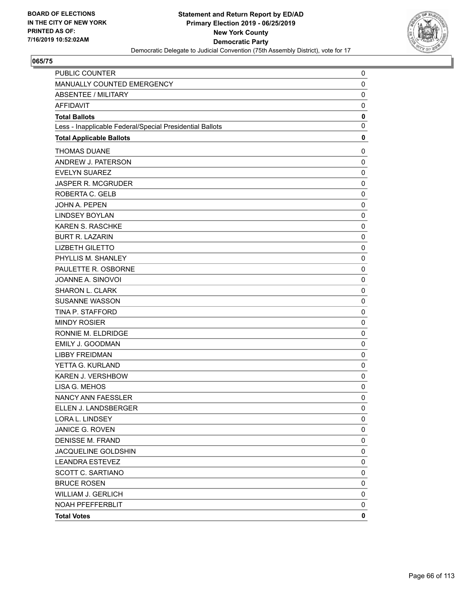

| PUBLIC COUNTER                                           | 0           |
|----------------------------------------------------------|-------------|
| MANUALLY COUNTED EMERGENCY                               | 0           |
| <b>ABSENTEE / MILITARY</b>                               | $\mathbf 0$ |
| <b>AFFIDAVIT</b>                                         | 0           |
| <b>Total Ballots</b>                                     | 0           |
| Less - Inapplicable Federal/Special Presidential Ballots | 0           |
| <b>Total Applicable Ballots</b>                          | 0           |
| <b>THOMAS DUANE</b>                                      | 0           |
| ANDREW J. PATERSON                                       | 0           |
| <b>EVELYN SUAREZ</b>                                     | $\mathbf 0$ |
| JASPER R. MCGRUDER                                       | 0           |
| ROBERTA C. GELB                                          | 0           |
| JOHN A. PEPEN                                            | $\mathbf 0$ |
| <b>LINDSEY BOYLAN</b>                                    | 0           |
| KAREN S. RASCHKE                                         | 0           |
| <b>BURT R. LAZARIN</b>                                   | $\mathbf 0$ |
| <b>LIZBETH GILETTO</b>                                   | 0           |
| PHYLLIS M. SHANLEY                                       | 0           |
| PAULETTE R. OSBORNE                                      | $\mathbf 0$ |
| JOANNE A. SINOVOI                                        | 0           |
| <b>SHARON L. CLARK</b>                                   | 0           |
| <b>SUSANNE WASSON</b>                                    | $\mathbf 0$ |
| TINA P. STAFFORD                                         | 0           |
| <b>MINDY ROSIER</b>                                      | 0           |
| RONNIE M. ELDRIDGE                                       | $\mathbf 0$ |
| EMILY J. GOODMAN                                         | 0           |
| <b>LIBBY FREIDMAN</b>                                    | 0           |
| YETTA G. KURLAND                                         | $\mathbf 0$ |
| KAREN J. VERSHBOW                                        | 0           |
| LISA G. MEHOS                                            | 0           |
| <b>NANCY ANN FAESSLER</b>                                | 0           |
| ELLEN J. LANDSBERGER                                     | $\mathbf 0$ |
| LORA L. LINDSEY                                          | 0           |
| JANICE G. ROVEN                                          | 0           |
| <b>DENISSE M. FRAND</b>                                  | 0           |
| JACQUELINE GOLDSHIN                                      | 0           |
| <b>LEANDRA ESTEVEZ</b>                                   | 0           |
| SCOTT C. SARTIANO                                        | 0           |
| <b>BRUCE ROSEN</b>                                       | 0           |
| <b>WILLIAM J. GERLICH</b>                                | 0           |
| <b>NOAH PFEFFERBLIT</b>                                  | 0           |
| <b>Total Votes</b>                                       | 0           |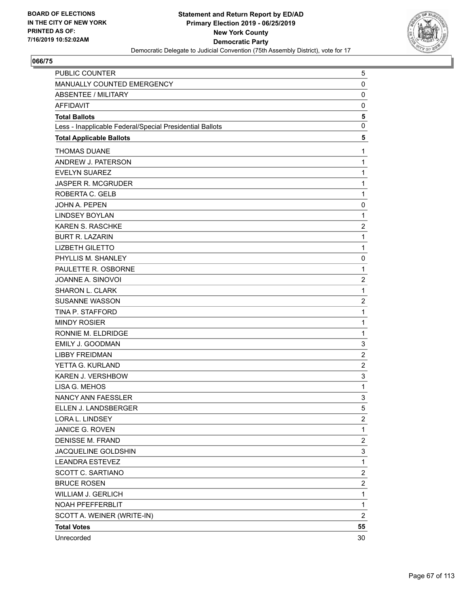

| PUBLIC COUNTER                                           | 5                       |
|----------------------------------------------------------|-------------------------|
| MANUALLY COUNTED EMERGENCY                               | $\mathbf 0$             |
| <b>ABSENTEE / MILITARY</b>                               | 0                       |
| <b>AFFIDAVIT</b>                                         | 0                       |
| <b>Total Ballots</b>                                     | 5                       |
| Less - Inapplicable Federal/Special Presidential Ballots | 0                       |
| <b>Total Applicable Ballots</b>                          | 5                       |
| <b>THOMAS DUANE</b>                                      | $\mathbf{1}$            |
| ANDREW J. PATERSON                                       | $\mathbf{1}$            |
| <b>EVELYN SUAREZ</b>                                     | $\mathbf 1$             |
| <b>JASPER R. MCGRUDER</b>                                | $\mathbf{1}$            |
| ROBERTA C. GELB                                          | $\mathbf{1}$            |
| <b>JOHN A. PEPEN</b>                                     | 0                       |
| <b>LINDSEY BOYLAN</b>                                    | $\mathbf{1}$            |
| <b>KAREN S. RASCHKE</b>                                  | $\overline{2}$          |
| <b>BURT R. LAZARIN</b>                                   | $\mathbf{1}$            |
| <b>LIZBETH GILETTO</b>                                   | $\mathbf{1}$            |
| PHYLLIS M. SHANLEY                                       | 0                       |
| PAULETTE R. OSBORNE                                      | $\mathbf{1}$            |
| JOANNE A. SINOVOI                                        | $\boldsymbol{2}$        |
| SHARON L. CLARK                                          | $\mathbf{1}$            |
| <b>SUSANNE WASSON</b>                                    | $\overline{c}$          |
| TINA P. STAFFORD                                         | $\mathbf{1}$            |
| <b>MINDY ROSIER</b>                                      | $\mathbf{1}$            |
| RONNIE M. ELDRIDGE                                       | $\mathbf 1$             |
| <b>EMILY J. GOODMAN</b>                                  | 3                       |
| <b>LIBBY FREIDMAN</b>                                    | $\overline{2}$          |
| YETTA G. KURLAND                                         | $\overline{c}$          |
| KAREN J. VERSHBOW                                        | 3                       |
| LISA G. MEHOS                                            | $\mathbf{1}$            |
| NANCY ANN FAESSLER                                       | 3                       |
| ELLEN J. LANDSBERGER                                     | 5                       |
| LORA L. LINDSEY                                          | 2                       |
| JANICE G. ROVEN                                          | 1                       |
| <b>DENISSE M. FRAND</b>                                  | $\overline{\mathbf{c}}$ |
| JACQUELINE GOLDSHIN                                      | 3                       |
| <b>LEANDRA ESTEVEZ</b>                                   | $\mathbf{1}$            |
| SCOTT C. SARTIANO                                        | $\overline{\mathbf{c}}$ |
| <b>BRUCE ROSEN</b>                                       | $\overline{c}$          |
| WILLIAM J. GERLICH                                       | $\mathbf 1$             |
| NOAH PFEFFERBLIT                                         | $\mathbf{1}$            |
| SCOTT A. WEINER (WRITE-IN)                               | $\overline{c}$          |
| <b>Total Votes</b>                                       | 55                      |
| Unrecorded                                               | 30                      |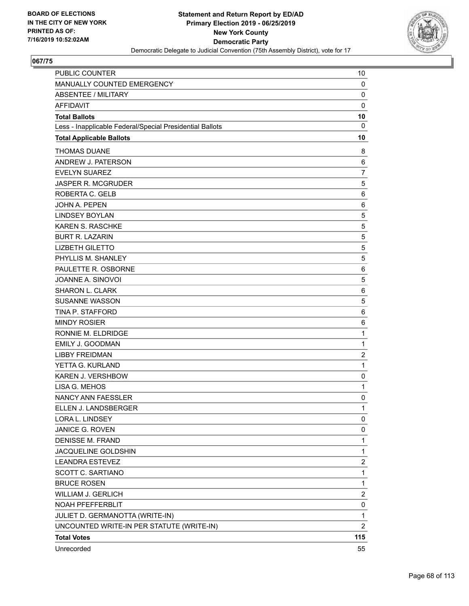

| PUBLIC COUNTER                                           | 10                      |
|----------------------------------------------------------|-------------------------|
| MANUALLY COUNTED EMERGENCY                               | 0                       |
| <b>ABSENTEE / MILITARY</b>                               | 0                       |
| <b>AFFIDAVIT</b>                                         | $\mathbf 0$             |
| <b>Total Ballots</b>                                     | 10                      |
| Less - Inapplicable Federal/Special Presidential Ballots | 0                       |
| <b>Total Applicable Ballots</b>                          | 10                      |
| <b>THOMAS DUANE</b>                                      | 8                       |
| ANDREW J. PATERSON                                       | 6                       |
| <b>EVELYN SUAREZ</b>                                     | $\overline{7}$          |
| <b>JASPER R. MCGRUDER</b>                                | 5                       |
| ROBERTA C. GELB                                          | 6                       |
| JOHN A. PEPEN                                            | 6                       |
| <b>LINDSEY BOYLAN</b>                                    | 5                       |
| <b>KAREN S. RASCHKE</b>                                  | 5                       |
| <b>BURT R. LAZARIN</b>                                   | 5                       |
| <b>LIZBETH GILETTO</b>                                   | 5                       |
| PHYLLIS M. SHANLEY                                       | 5                       |
| PAULETTE R. OSBORNE                                      | 6                       |
| JOANNE A. SINOVOI                                        | 5                       |
| <b>SHARON L. CLARK</b>                                   | 6                       |
| <b>SUSANNE WASSON</b>                                    | 5                       |
| TINA P. STAFFORD                                         | 6                       |
| <b>MINDY ROSIER</b>                                      | 6                       |
| RONNIE M. ELDRIDGE                                       | $\mathbf{1}$            |
| EMILY J. GOODMAN                                         | $\mathbf{1}$            |
| <b>LIBBY FREIDMAN</b>                                    | $\overline{c}$          |
| YETTA G. KURLAND                                         | $\mathbf{1}$            |
| KAREN J. VERSHBOW                                        | 0                       |
| LISA G. MEHOS                                            | $\mathbf{1}$            |
| NANCY ANN FAESSLER                                       | 0                       |
| ELLEN J. LANDSBERGER                                     | 1                       |
| LORA L. LINDSEY                                          | 0                       |
| JANICE G. ROVEN                                          | 0                       |
| <b>DENISSE M. FRAND</b>                                  | $\mathbf{1}$            |
| JACQUELINE GOLDSHIN                                      | $\mathbf 1$             |
| <b>LEANDRA ESTEVEZ</b>                                   | 2                       |
| <b>SCOTT C. SARTIANO</b>                                 | $\mathbf{1}$            |
| <b>BRUCE ROSEN</b>                                       | $\mathbf{1}$            |
| <b>WILLIAM J. GERLICH</b>                                | $\overline{\mathbf{c}}$ |
| NOAH PFEFFERBLIT                                         | 0                       |
| JULIET D. GERMANOTTA (WRITE-IN)                          | $\mathbf{1}$            |
| UNCOUNTED WRITE-IN PER STATUTE (WRITE-IN)                | 2                       |
| <b>Total Votes</b>                                       | 115                     |
| Unrecorded                                               | 55                      |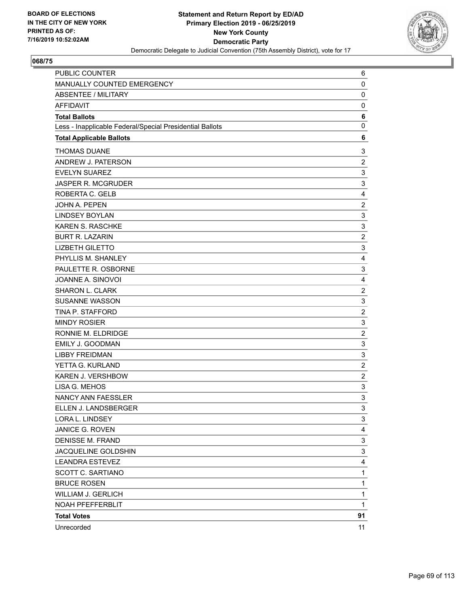

| PUBLIC COUNTER                                           | 6                         |
|----------------------------------------------------------|---------------------------|
| MANUALLY COUNTED EMERGENCY                               | 0                         |
| <b>ABSENTEE / MILITARY</b>                               | 0                         |
| <b>AFFIDAVIT</b>                                         | 0                         |
| <b>Total Ballots</b>                                     | 6                         |
| Less - Inapplicable Federal/Special Presidential Ballots | $\mathbf 0$               |
| <b>Total Applicable Ballots</b>                          | 6                         |
| <b>THOMAS DUANE</b>                                      | 3                         |
| ANDREW J. PATERSON                                       | $\overline{c}$            |
| <b>EVELYN SUAREZ</b>                                     | 3                         |
| JASPER R. MCGRUDER                                       | 3                         |
| ROBERTA C. GELB                                          | 4                         |
| JOHN A. PEPEN                                            | $\overline{\mathbf{c}}$   |
| <b>LINDSEY BOYLAN</b>                                    | 3                         |
| <b>KAREN S. RASCHKE</b>                                  | 3                         |
| <b>BURT R. LAZARIN</b>                                   | $\overline{\mathbf{c}}$   |
| <b>LIZBETH GILETTO</b>                                   | 3                         |
| PHYLLIS M. SHANLEY                                       | 4                         |
| PAULETTE R. OSBORNE                                      | 3                         |
| JOANNE A. SINOVOI                                        | 4                         |
| <b>SHARON L. CLARK</b>                                   | $\overline{c}$            |
| <b>SUSANNE WASSON</b>                                    | 3                         |
| TINA P. STAFFORD                                         | $\overline{c}$            |
| <b>MINDY ROSIER</b>                                      | 3                         |
| RONNIE M. ELDRIDGE                                       | $\overline{\mathbf{c}}$   |
| EMILY J. GOODMAN                                         | 3                         |
| <b>LIBBY FREIDMAN</b>                                    | 3                         |
| YETTA G. KURLAND                                         | $\overline{\mathbf{c}}$   |
| KAREN J. VERSHBOW                                        | $\overline{c}$            |
| LISA G. MEHOS                                            | $\ensuremath{\mathsf{3}}$ |
| NANCY ANN FAESSLER                                       | 3                         |
| ELLEN J. LANDSBERGER                                     | 3                         |
| LORA L. LINDSEY                                          | 3                         |
| JANICE G. ROVEN                                          | 4                         |
| <b>DENISSE M. FRAND</b>                                  | 3                         |
| JACQUELINE GOLDSHIN                                      | 3                         |
| <b>LEANDRA ESTEVEZ</b>                                   | 4                         |
| SCOTT C. SARTIANO                                        | $\mathbf{1}$              |
| <b>BRUCE ROSEN</b>                                       | $\mathbf 1$               |
| <b>WILLIAM J. GERLICH</b>                                | 1                         |
| NOAH PFEFFERBLIT                                         | $\mathbf 1$               |
| <b>Total Votes</b>                                       | 91                        |
| Unrecorded                                               | 11                        |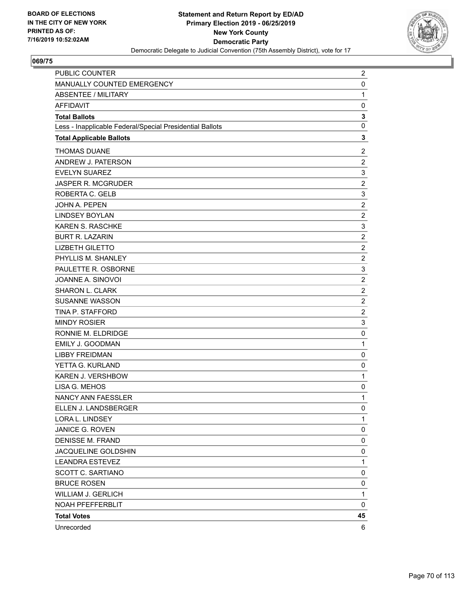

| PUBLIC COUNTER                                           | 2                       |
|----------------------------------------------------------|-------------------------|
| MANUALLY COUNTED EMERGENCY                               | 0                       |
| <b>ABSENTEE / MILITARY</b>                               | $\mathbf{1}$            |
| <b>AFFIDAVIT</b>                                         | 0                       |
| <b>Total Ballots</b>                                     | 3                       |
| Less - Inapplicable Federal/Special Presidential Ballots | 0                       |
| <b>Total Applicable Ballots</b>                          | 3                       |
| <b>THOMAS DUANE</b>                                      | $\overline{c}$          |
| ANDREW J. PATERSON                                       | $\overline{c}$          |
| <b>EVELYN SUAREZ</b>                                     | 3                       |
| JASPER R. MCGRUDER                                       | $\overline{c}$          |
| ROBERTA C. GELB                                          | 3                       |
| JOHN A. PEPEN                                            | $\overline{\mathbf{c}}$ |
| <b>LINDSEY BOYLAN</b>                                    | $\overline{c}$          |
| <b>KAREN S. RASCHKE</b>                                  | 3                       |
| <b>BURT R. LAZARIN</b>                                   | $\overline{\mathbf{c}}$ |
| <b>LIZBETH GILETTO</b>                                   | $\overline{c}$          |
| PHYLLIS M. SHANLEY                                       | $\overline{c}$          |
| PAULETTE R. OSBORNE                                      | 3                       |
| JOANNE A. SINOVOI                                        | $\overline{c}$          |
| <b>SHARON L. CLARK</b>                                   | $\overline{c}$          |
| <b>SUSANNE WASSON</b>                                    | $\overline{\mathbf{c}}$ |
| TINA P. STAFFORD                                         | $\overline{c}$          |
| <b>MINDY ROSIER</b>                                      | 3                       |
| RONNIE M. ELDRIDGE                                       | 0                       |
| EMILY J. GOODMAN                                         | $\mathbf{1}$            |
| <b>LIBBY FREIDMAN</b>                                    | 0                       |
| YETTA G. KURLAND                                         | 0                       |
| KAREN J. VERSHBOW                                        | $\mathbf{1}$            |
| LISA G. MEHOS                                            | 0                       |
| NANCY ANN FAESSLER                                       | $\mathbf{1}$            |
| ELLEN J. LANDSBERGER                                     | $\mathbf 0$             |
| LORA L. LINDSEY                                          | 1                       |
| JANICE G. ROVEN                                          | 0                       |
| <b>DENISSE M. FRAND</b>                                  | 0                       |
| JACQUELINE GOLDSHIN                                      | 0                       |
| <b>LEANDRA ESTEVEZ</b>                                   | 1                       |
| SCOTT C. SARTIANO                                        | 0                       |
| <b>BRUCE ROSEN</b>                                       | 0                       |
| <b>WILLIAM J. GERLICH</b>                                | 1                       |
| NOAH PFEFFERBLIT                                         | 0                       |
| <b>Total Votes</b>                                       | 45                      |
| Unrecorded                                               | 6                       |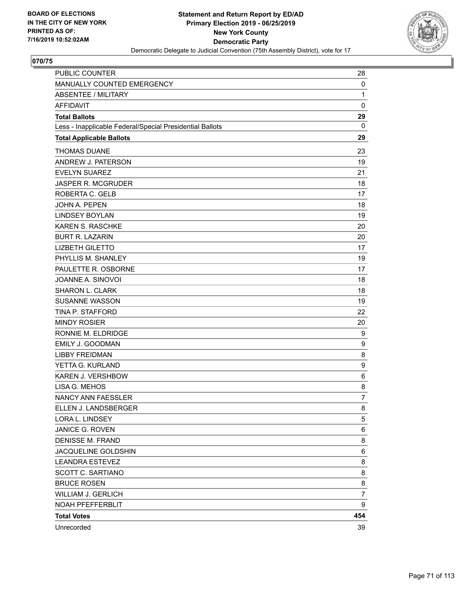

| <b>PUBLIC COUNTER</b>                                    | 28             |
|----------------------------------------------------------|----------------|
| MANUALLY COUNTED EMERGENCY                               | 0              |
| <b>ABSENTEE / MILITARY</b>                               | $\mathbf{1}$   |
| <b>AFFIDAVIT</b>                                         | 0              |
| <b>Total Ballots</b>                                     | 29             |
| Less - Inapplicable Federal/Special Presidential Ballots | 0              |
| <b>Total Applicable Ballots</b>                          | 29             |
| <b>THOMAS DUANE</b>                                      | 23             |
| ANDREW J. PATERSON                                       | 19             |
| <b>EVELYN SUAREZ</b>                                     | 21             |
| <b>JASPER R. MCGRUDER</b>                                | 18             |
| ROBERTA C. GELB                                          | 17             |
| <b>JOHN A. PEPEN</b>                                     | 18             |
| <b>LINDSEY BOYLAN</b>                                    | 19             |
| <b>KAREN S. RASCHKE</b>                                  | 20             |
| <b>BURT R. LAZARIN</b>                                   | 20             |
| <b>LIZBETH GILETTO</b>                                   | 17             |
| PHYLLIS M. SHANLEY                                       | 19             |
| PAULETTE R. OSBORNE                                      | 17             |
| JOANNE A. SINOVOI                                        | 18             |
| SHARON L. CLARK                                          | 18             |
| <b>SUSANNE WASSON</b>                                    | 19             |
| TINA P. STAFFORD                                         | 22             |
| <b>MINDY ROSIER</b>                                      | 20             |
| RONNIE M. ELDRIDGE                                       | 9              |
| <b>EMILY J. GOODMAN</b>                                  | 9              |
| <b>LIBBY FREIDMAN</b>                                    | 8              |
| YETTA G. KURLAND                                         | 9              |
| <b>KAREN J. VERSHBOW</b>                                 | 6              |
| LISA G. MEHOS                                            | 8              |
| NANCY ANN FAESSLER                                       | $\overline{7}$ |
| ELLEN J. LANDSBERGER                                     | 8              |
| LORA L. LINDSEY                                          | 5              |
| JANICE G. ROVEN                                          | 6              |
| <b>DENISSE M. FRAND</b>                                  | 8              |
| JACQUELINE GOLDSHIN                                      | 6              |
| <b>LEANDRA ESTEVEZ</b>                                   | 8              |
| SCOTT C. SARTIANO                                        | 8              |
| <b>BRUCE ROSEN</b>                                       | 8              |
| WILLIAM J. GERLICH                                       | 7              |
| NOAH PFEFFERBLIT                                         | 9              |
| <b>Total Votes</b>                                       | 454            |
| Unrecorded                                               | 39             |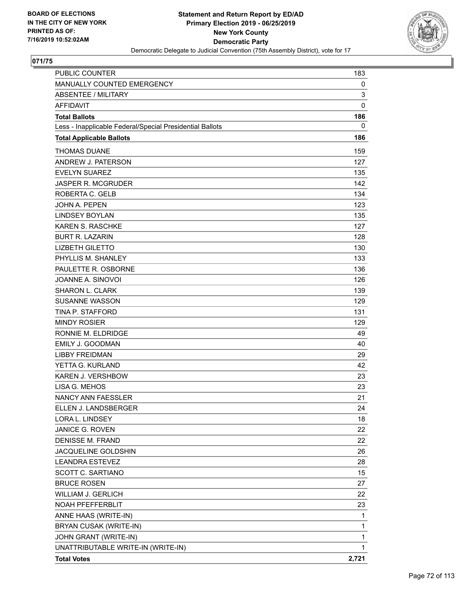

| <b>PUBLIC COUNTER</b>                                    | 183         |
|----------------------------------------------------------|-------------|
| MANUALLY COUNTED EMERGENCY                               | 0           |
| <b>ABSENTEE / MILITARY</b>                               | 3           |
| <b>AFFIDAVIT</b>                                         | $\mathbf 0$ |
| <b>Total Ballots</b>                                     | 186         |
| Less - Inapplicable Federal/Special Presidential Ballots | 0           |
| <b>Total Applicable Ballots</b>                          | 186         |
| <b>THOMAS DUANE</b>                                      | 159         |
| ANDREW J. PATERSON                                       | 127         |
| <b>EVELYN SUAREZ</b>                                     | 135         |
| <b>JASPER R. MCGRUDER</b>                                | 142         |
| ROBERTA C. GELB                                          | 134         |
| JOHN A. PEPEN                                            | 123         |
| <b>LINDSEY BOYLAN</b>                                    | 135         |
| <b>KAREN S. RASCHKE</b>                                  | 127         |
| <b>BURT R. LAZARIN</b>                                   | 128         |
| <b>LIZBETH GILETTO</b>                                   | 130         |
| PHYLLIS M. SHANLEY                                       | 133         |
| PAULETTE R. OSBORNE                                      | 136         |
| JOANNE A. SINOVOI                                        | 126         |
| <b>SHARON L. CLARK</b>                                   | 139         |
| <b>SUSANNE WASSON</b>                                    | 129         |
| TINA P. STAFFORD                                         | 131         |
| <b>MINDY ROSIER</b>                                      | 129         |
| RONNIE M. ELDRIDGE                                       | 49          |
| EMILY J. GOODMAN                                         | 40          |
| <b>LIBBY FREIDMAN</b>                                    | 29          |
| YETTA G. KURLAND                                         | 42          |
| KAREN J. VERSHBOW                                        | 23          |
| LISA G. MEHOS                                            | 23          |
| <b>NANCY ANN FAESSLER</b>                                | 21          |
| ELLEN J. LANDSBERGER                                     | 24          |
| LORA L. LINDSEY                                          | 18          |
| JANICE G. ROVEN                                          | 22          |
| DENISSE M. FRAND                                         | 22          |
| JACQUELINE GOLDSHIN                                      | 26          |
| <b>LEANDRA ESTEVEZ</b>                                   | 28          |
| SCOTT C. SARTIANO                                        | 15          |
| <b>BRUCE ROSEN</b>                                       | 27          |
| WILLIAM J. GERLICH                                       | 22          |
| NOAH PFEFFERBLIT                                         | 23          |
| ANNE HAAS (WRITE-IN)                                     | 1           |
| BRYAN CUSAK (WRITE-IN)                                   | 1           |
| JOHN GRANT (WRITE-IN)                                    | 1           |
| UNATTRIBUTABLE WRITE-IN (WRITE-IN)                       | 1           |
| <b>Total Votes</b>                                       | 2,721       |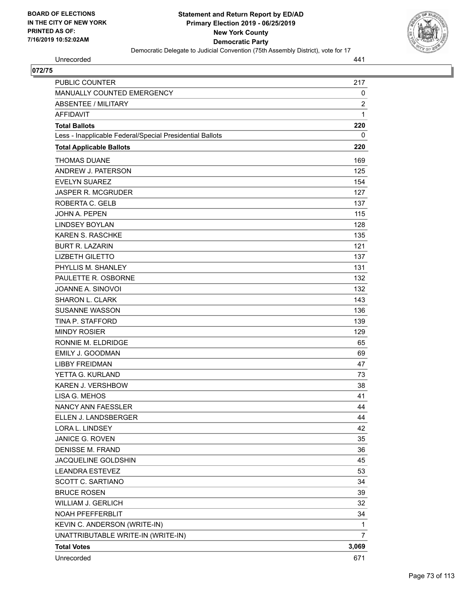

Unrecorded 441

| PUBLIC COUNTER                                           | 217            |
|----------------------------------------------------------|----------------|
| MANUALLY COUNTED EMERGENCY                               | 0              |
| <b>ABSENTEE / MILITARY</b>                               | $\overline{2}$ |
| <b>AFFIDAVIT</b>                                         | $\mathbf{1}$   |
| <b>Total Ballots</b>                                     | 220            |
| Less - Inapplicable Federal/Special Presidential Ballots | 0              |
| <b>Total Applicable Ballots</b>                          | 220            |
| <b>THOMAS DUANE</b>                                      | 169            |
| ANDREW J. PATERSON                                       | 125            |
| <b>EVELYN SUAREZ</b>                                     | 154            |
| JASPER R. MCGRUDER                                       | 127            |
| ROBERTA C. GELB                                          | 137            |
| <b>JOHN A. PEPEN</b>                                     | 115            |
| <b>LINDSEY BOYLAN</b>                                    | 128            |
| <b>KAREN S. RASCHKE</b>                                  | 135            |
| <b>BURT R. LAZARIN</b>                                   | 121            |
| <b>LIZBETH GILETTO</b>                                   | 137            |
| PHYLLIS M. SHANLEY                                       | 131            |
| PAULETTE R. OSBORNE                                      | 132            |
| JOANNE A. SINOVOI                                        | 132            |
| <b>SHARON L. CLARK</b>                                   | 143            |
| <b>SUSANNE WASSON</b>                                    | 136            |
| <b>TINA P. STAFFORD</b>                                  | 139            |
| <b>MINDY ROSIER</b>                                      | 129            |
| RONNIE M. ELDRIDGE                                       | 65             |
| EMILY J. GOODMAN                                         | 69             |
| <b>LIBBY FREIDMAN</b>                                    | 47             |
| YETTA G. KURLAND                                         | 73             |
| KAREN J. VERSHBOW                                        | 38             |
| LISA G. MEHOS                                            | 41             |
| <b>NANCY ANN FAESSLER</b>                                | 44             |
| ELLEN J. LANDSBERGER                                     | 44             |
| LORA L. LINDSEY                                          | 42             |
| JANICE G. ROVEN                                          | 35             |
| DENISSE M. FRAND                                         | 36             |
| JACQUELINE GOLDSHIN                                      | 45             |
| <b>LEANDRA ESTEVEZ</b>                                   | 53             |
| SCOTT C. SARTIANO                                        | 34             |
| <b>BRUCE ROSEN</b>                                       | 39             |
| WILLIAM J. GERLICH                                       | 32             |
| NOAH PFEFFERBLIT                                         | 34             |
| KEVIN C. ANDERSON (WRITE-IN)                             | 1              |
| UNATTRIBUTABLE WRITE-IN (WRITE-IN)                       | 7              |
| <b>Total Votes</b>                                       | 3,069          |
| Unrecorded                                               | 671            |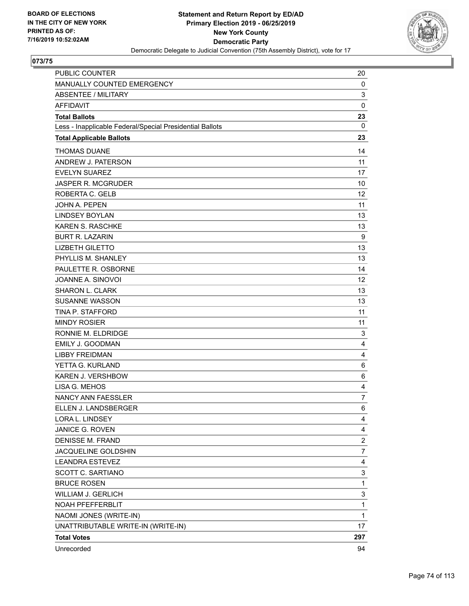

| PUBLIC COUNTER                                           | 20               |
|----------------------------------------------------------|------------------|
| MANUALLY COUNTED EMERGENCY                               | 0                |
| <b>ABSENTEE / MILITARY</b>                               | 3                |
| <b>AFFIDAVIT</b>                                         | $\mathbf 0$      |
| <b>Total Ballots</b>                                     | 23               |
| Less - Inapplicable Federal/Special Presidential Ballots | 0                |
| <b>Total Applicable Ballots</b>                          | 23               |
| <b>THOMAS DUANE</b>                                      | 14               |
| ANDREW J. PATERSON                                       | 11               |
| <b>EVELYN SUAREZ</b>                                     | 17               |
| <b>JASPER R. MCGRUDER</b>                                | 10               |
| ROBERTA C. GELB                                          | 12               |
| <b>JOHN A. PEPEN</b>                                     | 11               |
| <b>LINDSEY BOYLAN</b>                                    | 13               |
| KAREN S. RASCHKE                                         | 13               |
| <b>BURT R. LAZARIN</b>                                   | 9                |
| <b>LIZBETH GILETTO</b>                                   | 13               |
| PHYLLIS M. SHANLEY                                       | 13               |
| PAULETTE R. OSBORNE                                      | 14               |
| JOANNE A. SINOVOI                                        | 12               |
| <b>SHARON L. CLARK</b>                                   | 13               |
| <b>SUSANNE WASSON</b>                                    | 13               |
| <b>TINA P. STAFFORD</b>                                  | 11               |
| <b>MINDY ROSIER</b>                                      | 11               |
| RONNIE M. ELDRIDGE                                       | 3                |
| <b>EMILY J. GOODMAN</b>                                  | 4                |
| <b>LIBBY FREIDMAN</b>                                    | 4                |
| YETTA G. KURLAND                                         | 6                |
| KAREN J. VERSHBOW                                        | 6                |
| LISA G. MEHOS                                            | $\overline{4}$   |
| <b>NANCY ANN FAESSLER</b>                                | 7                |
| ELLEN J. LANDSBERGER                                     | 6                |
| LORA L. LINDSEY                                          | 4                |
| JANICE G. ROVEN                                          | 4                |
| <b>DENISSE M. FRAND</b>                                  | $\boldsymbol{2}$ |
| JACQUELINE GOLDSHIN                                      | 7                |
| <b>LEANDRA ESTEVEZ</b>                                   | 4                |
| SCOTT C. SARTIANO                                        | 3                |
| <b>BRUCE ROSEN</b>                                       | 1                |
| <b>WILLIAM J. GERLICH</b>                                | 3                |
| NOAH PFEFFERBLIT                                         | $\mathbf{1}$     |
| NAOMI JONES (WRITE-IN)                                   | 1                |
| UNATTRIBUTABLE WRITE-IN (WRITE-IN)                       | 17               |
| <b>Total Votes</b>                                       | 297              |
| Unrecorded                                               | 94               |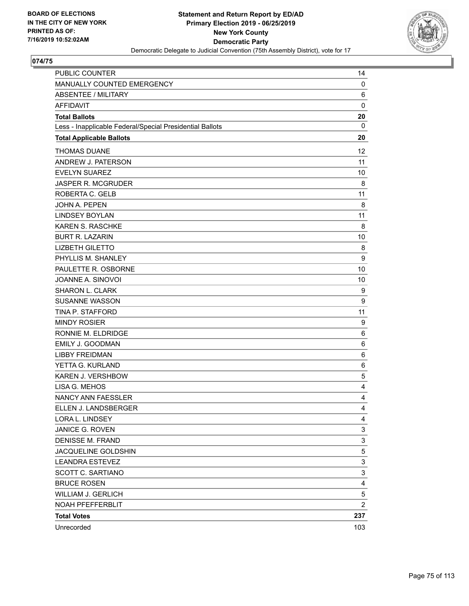

| <b>PUBLIC COUNTER</b>                                    | 14             |
|----------------------------------------------------------|----------------|
| MANUALLY COUNTED EMERGENCY                               | 0              |
| <b>ABSENTEE / MILITARY</b>                               | 6              |
| <b>AFFIDAVIT</b>                                         | $\mathbf 0$    |
| <b>Total Ballots</b>                                     | 20             |
| Less - Inapplicable Federal/Special Presidential Ballots | 0              |
| <b>Total Applicable Ballots</b>                          | 20             |
| <b>THOMAS DUANE</b>                                      | 12             |
| ANDREW J. PATERSON                                       | 11             |
| <b>EVELYN SUAREZ</b>                                     | 10             |
| <b>JASPER R. MCGRUDER</b>                                | 8              |
| ROBERTA C. GELB                                          | 11             |
| <b>JOHN A. PEPEN</b>                                     | 8              |
| <b>LINDSEY BOYLAN</b>                                    | 11             |
| KAREN S. RASCHKE                                         | 8              |
| <b>BURT R. LAZARIN</b>                                   | 10             |
| <b>LIZBETH GILETTO</b>                                   | 8              |
| PHYLLIS M. SHANLEY                                       | 9              |
| PAULETTE R. OSBORNE                                      | 10             |
| JOANNE A. SINOVOI                                        | 10             |
| SHARON L. CLARK                                          | 9              |
| <b>SUSANNE WASSON</b>                                    | 9              |
| <b>TINA P. STAFFORD</b>                                  | 11             |
| <b>MINDY ROSIER</b>                                      | 9              |
| RONNIE M. ELDRIDGE                                       | 6              |
| <b>EMILY J. GOODMAN</b>                                  | 6              |
| <b>LIBBY FREIDMAN</b>                                    | 6              |
| YETTA G. KURLAND                                         | 6              |
| KAREN J. VERSHBOW                                        | 5              |
| LISA G. MEHOS                                            | 4              |
| <b>NANCY ANN FAESSLER</b>                                | 4              |
| ELLEN J. LANDSBERGER                                     | $\overline{4}$ |
| LORA L. LINDSEY                                          | 4              |
| JANICE G. ROVEN                                          | 3              |
| <b>DENISSE M. FRAND</b>                                  | 3              |
| JACQUELINE GOLDSHIN                                      | 5              |
| <b>LEANDRA ESTEVEZ</b>                                   | 3              |
| SCOTT C. SARTIANO                                        | 3              |
| <b>BRUCE ROSEN</b>                                       | 4              |
| <b>WILLIAM J. GERLICH</b>                                | 5              |
| NOAH PFEFFERBLIT                                         | $\overline{c}$ |
| <b>Total Votes</b>                                       | 237            |
| Unrecorded                                               | 103            |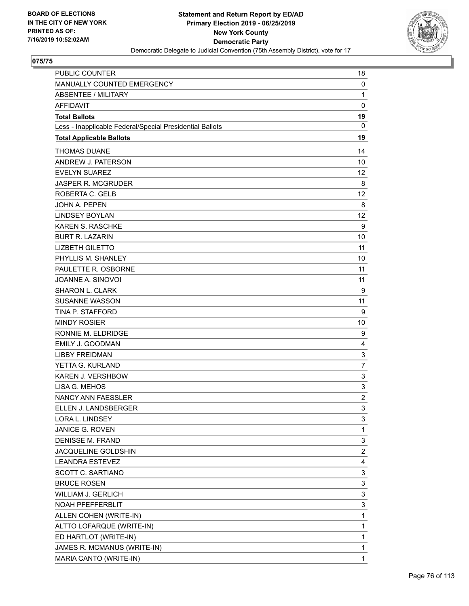

| <b>PUBLIC COUNTER</b>                                    | 18             |
|----------------------------------------------------------|----------------|
| MANUALLY COUNTED EMERGENCY                               | 0              |
| ABSENTEE / MILITARY                                      | $\mathbf{1}$   |
| <b>AFFIDAVIT</b>                                         | 0              |
| <b>Total Ballots</b>                                     | 19             |
| Less - Inapplicable Federal/Special Presidential Ballots | 0              |
| <b>Total Applicable Ballots</b>                          | 19             |
| <b>THOMAS DUANE</b>                                      | 14             |
| ANDREW J. PATERSON                                       | 10             |
| <b>EVELYN SUAREZ</b>                                     | 12             |
| <b>JASPER R. MCGRUDER</b>                                | 8              |
| ROBERTA C. GELB                                          | 12             |
| <b>JOHN A. PEPEN</b>                                     | 8              |
| <b>LINDSEY BOYLAN</b>                                    | 12             |
| <b>KAREN S. RASCHKE</b>                                  | 9              |
| <b>BURT R. LAZARIN</b>                                   | 10             |
| <b>LIZBETH GILETTO</b>                                   | 11             |
| PHYLLIS M. SHANLEY                                       | 10             |
| PAULETTE R. OSBORNE                                      | 11             |
| JOANNE A. SINOVOI                                        | 11             |
| <b>SHARON L. CLARK</b>                                   | 9              |
| <b>SUSANNE WASSON</b>                                    | 11             |
| TINA P. STAFFORD                                         | 9              |
| <b>MINDY ROSIER</b>                                      | 10             |
| RONNIE M. ELDRIDGE                                       | 9              |
| <b>EMILY J. GOODMAN</b>                                  | 4              |
| <b>LIBBY FREIDMAN</b>                                    | 3              |
| YETTA G. KURLAND                                         | 7              |
| KAREN J. VERSHBOW                                        | 3              |
| LISA G. MEHOS                                            | 3              |
| NANCY ANN FAESSLER                                       | $\overline{c}$ |
| ELLEN J. LANDSBERGER                                     | 3              |
| LORA L. LINDSEY                                          | 3              |
| JANICE G. ROVEN                                          | 1              |
| <b>DENISSE M. FRAND</b>                                  | 3              |
| JACQUELINE GOLDSHIN                                      | $\overline{c}$ |
| <b>LEANDRA ESTEVEZ</b>                                   | 4              |
| SCOTT C. SARTIANO                                        | 3              |
| <b>BRUCE ROSEN</b>                                       | 3              |
| WILLIAM J. GERLICH                                       | 3              |
| NOAH PFEFFERBLIT                                         | 3              |
| ALLEN COHEN (WRITE-IN)                                   | $\mathbf 1$    |
| ALTTO LOFARQUE (WRITE-IN)                                | $\mathbf 1$    |
| ED HARTLOT (WRITE-IN)                                    | 1              |
| JAMES R. MCMANUS (WRITE-IN)                              | 1              |
| MARIA CANTO (WRITE-IN)                                   | 1              |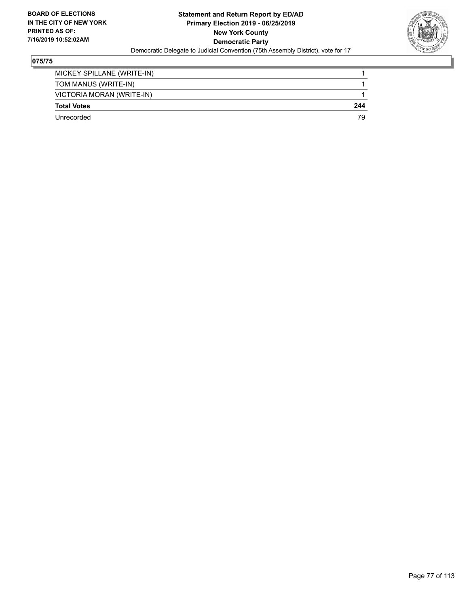

| Unrecorded                 | 79  |
|----------------------------|-----|
| <b>Total Votes</b>         | 244 |
| VICTORIA MORAN (WRITE-IN)  |     |
| TOM MANUS (WRITE-IN)       |     |
| MICKEY SPILLANE (WRITE-IN) |     |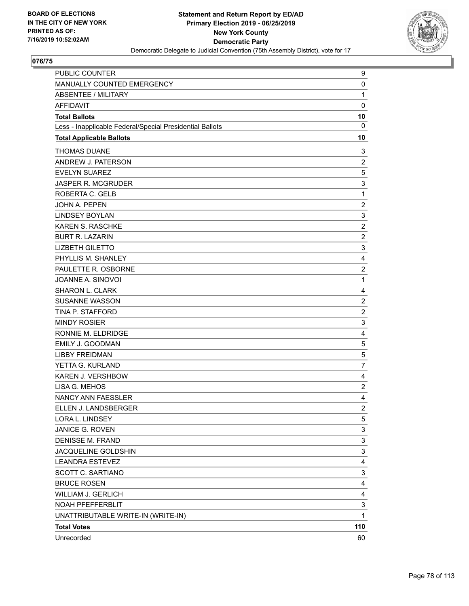

| PUBLIC COUNTER                                           | 9              |
|----------------------------------------------------------|----------------|
| MANUALLY COUNTED EMERGENCY                               | 0              |
| <b>ABSENTEE / MILITARY</b>                               | $\mathbf{1}$   |
| <b>AFFIDAVIT</b>                                         | $\mathbf 0$    |
| <b>Total Ballots</b>                                     | 10             |
| Less - Inapplicable Federal/Special Presidential Ballots | $\mathbf 0$    |
| <b>Total Applicable Ballots</b>                          | 10             |
| <b>THOMAS DUANE</b>                                      | 3              |
| ANDREW J. PATERSON                                       | $\overline{c}$ |
| <b>EVELYN SUAREZ</b>                                     | 5              |
| <b>JASPER R. MCGRUDER</b>                                | 3              |
| ROBERTA C. GELB                                          | $\mathbf{1}$   |
| JOHN A. PEPEN                                            | $\overline{c}$ |
| <b>LINDSEY BOYLAN</b>                                    | 3              |
| <b>KAREN S. RASCHKE</b>                                  | $\overline{c}$ |
| <b>BURT R. LAZARIN</b>                                   | $\overline{2}$ |
| <b>LIZBETH GILETTO</b>                                   | 3              |
| PHYLLIS M. SHANLEY                                       | 4              |
| PAULETTE R. OSBORNE                                      | $\overline{c}$ |
| JOANNE A. SINOVOI                                        | $\mathbf{1}$   |
| SHARON L. CLARK                                          | 4              |
| <b>SUSANNE WASSON</b>                                    | $\overline{2}$ |
| TINA P. STAFFORD                                         | $\overline{c}$ |
| <b>MINDY ROSIER</b>                                      | 3              |
| RONNIE M. ELDRIDGE                                       | 4              |
| <b>EMILY J. GOODMAN</b>                                  | 5              |
| <b>LIBBY FREIDMAN</b>                                    | 5              |
| YETTA G. KURLAND                                         | $\overline{7}$ |
| KAREN J. VERSHBOW                                        | 4              |
| LISA G. MEHOS                                            | $\overline{c}$ |
| NANCY ANN FAESSLER                                       | 4              |
| ELLEN J. LANDSBERGER                                     | $\overline{2}$ |
| LORA L. LINDSEY                                          | 5              |
| JANICE G. ROVEN                                          | 3              |
| <b>DENISSE M. FRAND</b>                                  | 3              |
| JACQUELINE GOLDSHIN                                      | 3              |
| <b>LEANDRA ESTEVEZ</b>                                   | 4              |
| SCOTT C. SARTIANO                                        | 3              |
| <b>BRUCE ROSEN</b>                                       | 4              |
| WILLIAM J. GERLICH                                       | 4              |
| <b>NOAH PFEFFERBLIT</b>                                  | 3              |
| UNATTRIBUTABLE WRITE-IN (WRITE-IN)                       | $\mathbf{1}$   |
| <b>Total Votes</b>                                       | 110            |
| Unrecorded                                               | 60             |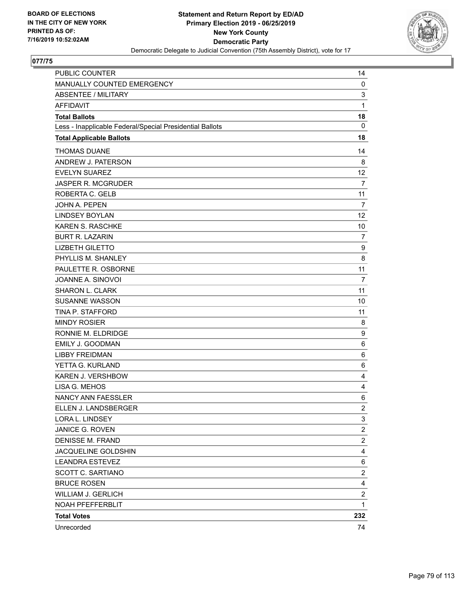

| PUBLIC COUNTER                                           | 14                      |
|----------------------------------------------------------|-------------------------|
| MANUALLY COUNTED EMERGENCY                               | 0                       |
| <b>ABSENTEE / MILITARY</b>                               | 3                       |
| <b>AFFIDAVIT</b>                                         | $\mathbf{1}$            |
| <b>Total Ballots</b>                                     | 18                      |
| Less - Inapplicable Federal/Special Presidential Ballots | $\mathbf{0}$            |
| <b>Total Applicable Ballots</b>                          | 18                      |
| <b>THOMAS DUANE</b>                                      | 14                      |
| ANDREW J. PATERSON                                       | 8                       |
| <b>EVELYN SUAREZ</b>                                     | 12                      |
| <b>JASPER R. MCGRUDER</b>                                | 7                       |
| ROBERTA C. GELB                                          | 11                      |
| <b>JOHN A. PEPEN</b>                                     | $\overline{7}$          |
| <b>LINDSEY BOYLAN</b>                                    | 12                      |
| KAREN S. RASCHKE                                         | 10                      |
| <b>BURT R. LAZARIN</b>                                   | 7                       |
| <b>LIZBETH GILETTO</b>                                   | 9                       |
| PHYLLIS M. SHANLEY                                       | 8                       |
| PAULETTE R. OSBORNE                                      | 11                      |
| JOANNE A. SINOVOI                                        | $\overline{7}$          |
| SHARON L. CLARK                                          | 11                      |
| <b>SUSANNE WASSON</b>                                    | 10                      |
| <b>TINA P. STAFFORD</b>                                  | 11                      |
| <b>MINDY ROSIER</b>                                      | 8                       |
| RONNIE M. ELDRIDGE                                       | 9                       |
| <b>EMILY J. GOODMAN</b>                                  | 6                       |
| <b>LIBBY FREIDMAN</b>                                    | 6                       |
| YETTA G. KURLAND                                         | 6                       |
| KAREN J. VERSHBOW                                        | 4                       |
| LISA G. MEHOS                                            | 4                       |
| <b>NANCY ANN FAESSLER</b>                                | 6                       |
| ELLEN J. LANDSBERGER                                     | $\overline{\mathbf{c}}$ |
| LORA L. LINDSEY                                          | 3                       |
| JANICE G. ROVEN                                          | 2                       |
| <b>DENISSE M. FRAND</b>                                  | $\overline{\mathbf{c}}$ |
| JACQUELINE GOLDSHIN                                      | 4                       |
| <b>LEANDRA ESTEVEZ</b>                                   | 6                       |
| SCOTT C. SARTIANO                                        | $\overline{\mathbf{c}}$ |
| <b>BRUCE ROSEN</b>                                       | 4                       |
| <b>WILLIAM J. GERLICH</b>                                | 2                       |
| NOAH PFEFFERBLIT                                         | $\mathbf{1}$            |
| <b>Total Votes</b>                                       | 232                     |
| Unrecorded                                               | 74                      |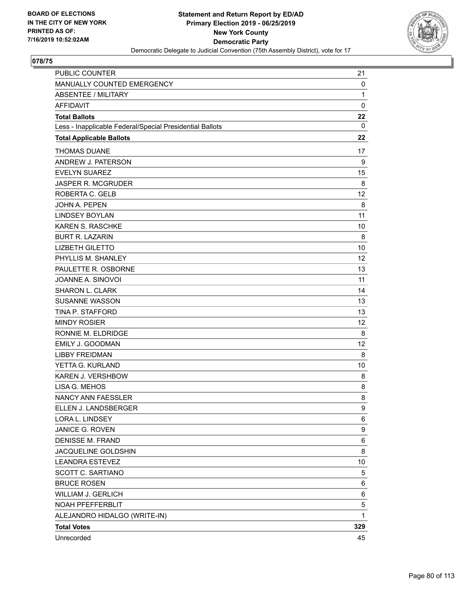

| <b>PUBLIC COUNTER</b>                                    | 21           |
|----------------------------------------------------------|--------------|
| MANUALLY COUNTED EMERGENCY                               | 0            |
| <b>ABSENTEE / MILITARY</b>                               | $\mathbf{1}$ |
| <b>AFFIDAVIT</b>                                         | $\mathbf 0$  |
| <b>Total Ballots</b>                                     | 22           |
| Less - Inapplicable Federal/Special Presidential Ballots | 0            |
| <b>Total Applicable Ballots</b>                          | 22           |
| <b>THOMAS DUANE</b>                                      | 17           |
| ANDREW J. PATERSON                                       | 9            |
| <b>EVELYN SUAREZ</b>                                     | 15           |
| <b>JASPER R. MCGRUDER</b>                                | 8            |
| ROBERTA C. GELB                                          | 12           |
| <b>JOHN A. PEPEN</b>                                     | 8            |
| <b>LINDSEY BOYLAN</b>                                    | 11           |
| KAREN S. RASCHKE                                         | 10           |
| <b>BURT R. LAZARIN</b>                                   | 8            |
| <b>LIZBETH GILETTO</b>                                   | 10           |
| PHYLLIS M. SHANLEY                                       | 12           |
| PAULETTE R. OSBORNE                                      | 13           |
| JOANNE A. SINOVOI                                        | 11           |
| <b>SHARON L. CLARK</b>                                   | 14           |
| <b>SUSANNE WASSON</b>                                    | 13           |
| TINA P. STAFFORD                                         | 13           |
| <b>MINDY ROSIER</b>                                      | 12           |
| RONNIE M. ELDRIDGE                                       | 8            |
| <b>EMILY J. GOODMAN</b>                                  | 12           |
| <b>LIBBY FREIDMAN</b>                                    | 8            |
| YETTA G. KURLAND                                         | 10           |
| KAREN J. VERSHBOW                                        | 8            |
| LISA G. MEHOS                                            | 8            |
| NANCY ANN FAESSLER                                       | 8            |
| ELLEN J. LANDSBERGER                                     | 9            |
| LORA L. LINDSEY                                          | 6            |
| JANICE G. ROVEN                                          | 9            |
| <b>DENISSE M. FRAND</b>                                  | 6            |
| JACQUELINE GOLDSHIN                                      | 8            |
| <b>LEANDRA ESTEVEZ</b>                                   | 10           |
| <b>SCOTT C. SARTIANO</b>                                 | 5            |
| <b>BRUCE ROSEN</b>                                       | 6            |
| WILLIAM J. GERLICH                                       | 6            |
| NOAH PFEFFERBLIT                                         | 5            |
| ALEJANDRO HIDALGO (WRITE-IN)                             | $\mathbf{1}$ |
| <b>Total Votes</b>                                       | 329          |
| Unrecorded                                               | 45           |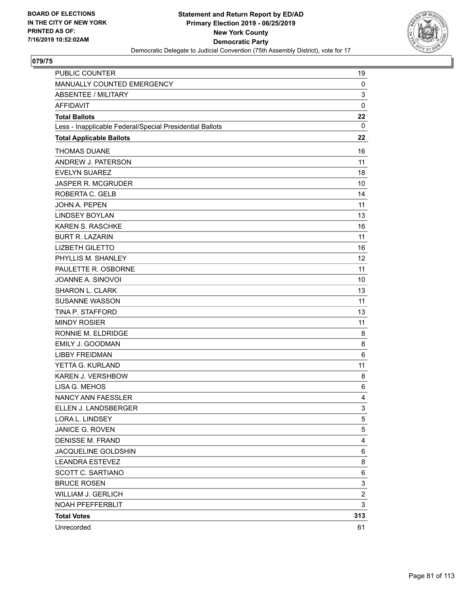

| <b>PUBLIC COUNTER</b>                                    | 19             |
|----------------------------------------------------------|----------------|
| MANUALLY COUNTED EMERGENCY                               | 0              |
| ABSENTEE / MILITARY                                      | 3              |
| <b>AFFIDAVIT</b>                                         | $\mathbf 0$    |
| <b>Total Ballots</b>                                     | 22             |
| Less - Inapplicable Federal/Special Presidential Ballots | 0              |
| <b>Total Applicable Ballots</b>                          | 22             |
| <b>THOMAS DUANE</b>                                      | 16             |
| ANDREW J. PATERSON                                       | 11             |
| <b>EVELYN SUAREZ</b>                                     | 18             |
| <b>JASPER R. MCGRUDER</b>                                | 10             |
| ROBERTA C. GELB                                          | 14             |
| <b>JOHN A. PEPEN</b>                                     | 11             |
| <b>LINDSEY BOYLAN</b>                                    | 13             |
| <b>KAREN S. RASCHKE</b>                                  | 16             |
| <b>BURT R. LAZARIN</b>                                   | 11             |
| <b>LIZBETH GILETTO</b>                                   | 16             |
| PHYLLIS M. SHANLEY                                       | 12             |
| PAULETTE R. OSBORNE                                      | 11             |
| JOANNE A. SINOVOI                                        | 10             |
| SHARON L. CLARK                                          | 13             |
| <b>SUSANNE WASSON</b>                                    | 11             |
| TINA P. STAFFORD                                         | 13             |
| <b>MINDY ROSIER</b>                                      | 11             |
| RONNIE M. ELDRIDGE                                       | 8              |
| <b>EMILY J. GOODMAN</b>                                  | 8              |
| <b>LIBBY FREIDMAN</b>                                    | 6              |
| YETTA G. KURLAND                                         | 11             |
| KAREN J. VERSHBOW                                        | 8              |
| LISA G. MEHOS                                            | 6              |
| <b>NANCY ANN FAESSLER</b>                                | 4              |
| ELLEN J. LANDSBERGER                                     | 3              |
| LORA L. LINDSEY                                          | 5              |
| JANICE G. ROVEN                                          | 5              |
| <b>DENISSE M. FRAND</b>                                  | 4              |
| JACQUELINE GOLDSHIN                                      | 6              |
| <b>LEANDRA ESTEVEZ</b>                                   | 8              |
| SCOTT C. SARTIANO                                        | 6              |
| <b>BRUCE ROSEN</b>                                       | 3              |
| WILLIAM J. GERLICH                                       | $\overline{c}$ |
| NOAH PFEFFERBLIT                                         | 3              |
| <b>Total Votes</b>                                       | 313            |
| Unrecorded                                               | 61             |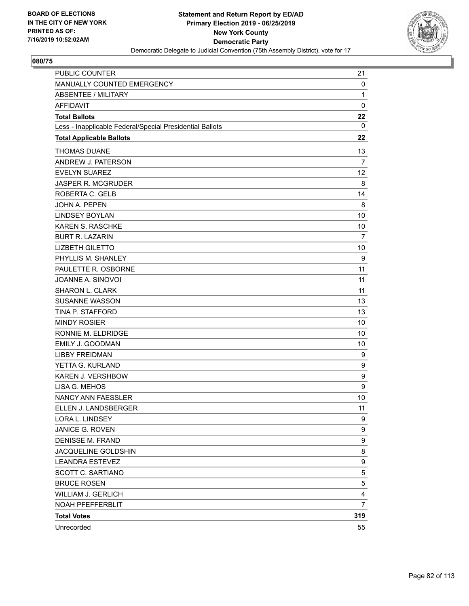

| <b>PUBLIC COUNTER</b>                                    | 21              |
|----------------------------------------------------------|-----------------|
| MANUALLY COUNTED EMERGENCY                               | 0               |
| <b>ABSENTEE / MILITARY</b>                               | $\mathbf{1}$    |
| <b>AFFIDAVIT</b>                                         | $\mathbf 0$     |
| <b>Total Ballots</b>                                     | 22              |
| Less - Inapplicable Federal/Special Presidential Ballots | 0               |
| <b>Total Applicable Ballots</b>                          | 22              |
| <b>THOMAS DUANE</b>                                      | 13              |
| ANDREW J. PATERSON                                       | $\overline{7}$  |
| <b>EVELYN SUAREZ</b>                                     | 12 <sub>2</sub> |
| <b>JASPER R. MCGRUDER</b>                                | 8               |
| ROBERTA C. GELB                                          | 14              |
| <b>JOHN A. PEPEN</b>                                     | 8               |
| <b>LINDSEY BOYLAN</b>                                    | 10              |
| <b>KAREN S. RASCHKE</b>                                  | 10              |
| <b>BURT R. LAZARIN</b>                                   | 7               |
| <b>LIZBETH GILETTO</b>                                   | 10              |
| PHYLLIS M. SHANLEY                                       | 9               |
| PAULETTE R. OSBORNE                                      | 11              |
| JOANNE A. SINOVOI                                        | 11              |
| <b>SHARON L. CLARK</b>                                   | 11              |
| <b>SUSANNE WASSON</b>                                    | 13              |
| TINA P. STAFFORD                                         | 13              |
| <b>MINDY ROSIER</b>                                      | 10              |
| RONNIE M. ELDRIDGE                                       | 10              |
| <b>EMILY J. GOODMAN</b>                                  | 10              |
| <b>LIBBY FREIDMAN</b>                                    | 9               |
| YETTA G. KURLAND                                         | 9               |
| KAREN J. VERSHBOW                                        | 9               |
| LISA G. MEHOS                                            | 9               |
| NANCY ANN FAESSLER                                       | 10              |
| ELLEN J. LANDSBERGER                                     | 11              |
| LORA L. LINDSEY                                          | 9               |
| JANICE G. ROVEN                                          | 9               |
| <b>DENISSE M. FRAND</b>                                  | 9               |
| JACQUELINE GOLDSHIN                                      | 8               |
| <b>LEANDRA ESTEVEZ</b>                                   | 9               |
| SCOTT C. SARTIANO                                        | 5               |
| <b>BRUCE ROSEN</b>                                       | 5               |
| WILLIAM J. GERLICH                                       | 4               |
| NOAH PFEFFERBLIT                                         | $\overline{7}$  |
| <b>Total Votes</b>                                       | 319             |
| Unrecorded                                               | 55              |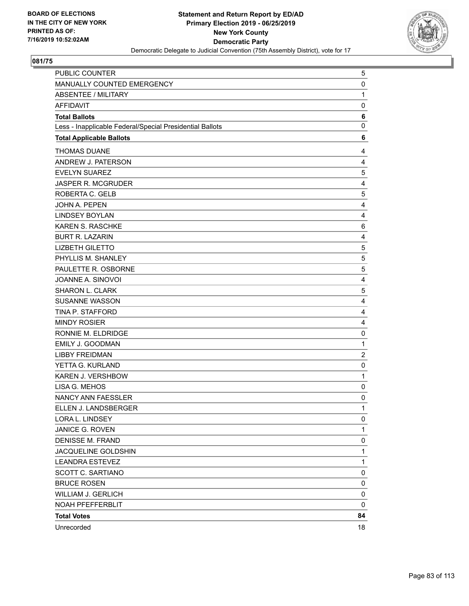

| PUBLIC COUNTER                                           | 5              |
|----------------------------------------------------------|----------------|
| MANUALLY COUNTED EMERGENCY                               | 0              |
| <b>ABSENTEE / MILITARY</b>                               | $\mathbf{1}$   |
| <b>AFFIDAVIT</b>                                         | 0              |
| <b>Total Ballots</b>                                     | 6              |
| Less - Inapplicable Federal/Special Presidential Ballots | 0              |
| <b>Total Applicable Ballots</b>                          | 6              |
| <b>THOMAS DUANE</b>                                      | 4              |
| ANDREW J. PATERSON                                       | 4              |
| <b>EVELYN SUAREZ</b>                                     | 5              |
| JASPER R. MCGRUDER                                       | 4              |
| ROBERTA C. GELB                                          | 5              |
| JOHN A. PEPEN                                            | 4              |
| <b>LINDSEY BOYLAN</b>                                    | 4              |
| <b>KAREN S. RASCHKE</b>                                  | 6              |
| <b>BURT R. LAZARIN</b>                                   | 4              |
| <b>LIZBETH GILETTO</b>                                   | 5              |
| PHYLLIS M. SHANLEY                                       | 5              |
| PAULETTE R. OSBORNE                                      | 5              |
| JOANNE A. SINOVOI                                        | 4              |
| SHARON L. CLARK                                          | 5              |
| <b>SUSANNE WASSON</b>                                    | 4              |
| TINA P. STAFFORD                                         | 4              |
| <b>MINDY ROSIER</b>                                      | 4              |
| RONNIE M. ELDRIDGE                                       | 0              |
| EMILY J. GOODMAN                                         | $\mathbf{1}$   |
| <b>LIBBY FREIDMAN</b>                                    | $\overline{c}$ |
| YETTA G. KURLAND                                         | 0              |
| KAREN J. VERSHBOW                                        | $\mathbf{1}$   |
| LISA G. MEHOS                                            | 0              |
| NANCY ANN FAESSLER                                       | 0              |
| ELLEN J. LANDSBERGER                                     | 1              |
| LORA L. LINDSEY                                          | 0              |
| JANICE G. ROVEN                                          | 1              |
| <b>DENISSE M. FRAND</b>                                  | 0              |
| JACQUELINE GOLDSHIN                                      | $\mathbf{1}$   |
| <b>LEANDRA ESTEVEZ</b>                                   | 1              |
| SCOTT C. SARTIANO                                        | 0              |
| <b>BRUCE ROSEN</b>                                       | 0              |
| <b>WILLIAM J. GERLICH</b>                                | 0              |
| NOAH PFEFFERBLIT                                         | 0              |
| <b>Total Votes</b>                                       | 84             |
| Unrecorded                                               | 18             |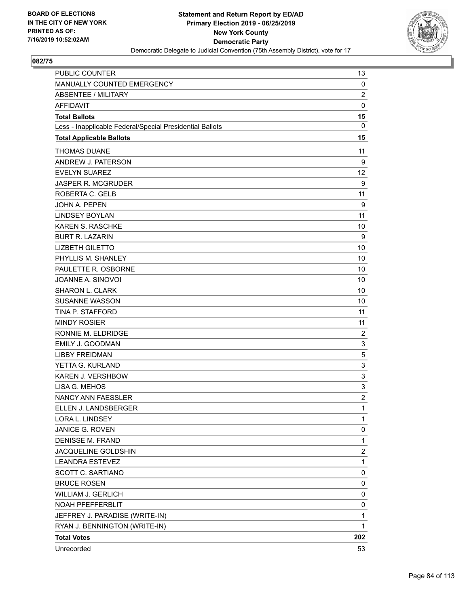

| <b>PUBLIC COUNTER</b>                                    | 13             |
|----------------------------------------------------------|----------------|
| MANUALLY COUNTED EMERGENCY                               | 0              |
| <b>ABSENTEE / MILITARY</b>                               | $\overline{2}$ |
| <b>AFFIDAVIT</b>                                         | $\mathbf 0$    |
| <b>Total Ballots</b>                                     | 15             |
| Less - Inapplicable Federal/Special Presidential Ballots | $\mathbf 0$    |
| <b>Total Applicable Ballots</b>                          | 15             |
| <b>THOMAS DUANE</b>                                      | 11             |
| ANDREW J. PATERSON                                       | 9              |
| <b>EVELYN SUAREZ</b>                                     | 12             |
| <b>JASPER R. MCGRUDER</b>                                | 9              |
| ROBERTA C. GELB                                          | 11             |
| <b>JOHN A. PEPEN</b>                                     | 9              |
| <b>LINDSEY BOYLAN</b>                                    | 11             |
| <b>KAREN S. RASCHKE</b>                                  | 10             |
| <b>BURT R. LAZARIN</b>                                   | 9              |
| <b>LIZBETH GILETTO</b>                                   | 10             |
| PHYLLIS M. SHANLEY                                       | 10             |
| PAULETTE R. OSBORNE                                      | 10             |
| JOANNE A. SINOVOI                                        | 10             |
| SHARON L. CLARK                                          | 10             |
| <b>SUSANNE WASSON</b>                                    | 10             |
| TINA P. STAFFORD                                         | 11             |
| <b>MINDY ROSIER</b>                                      | 11             |
| RONNIE M. ELDRIDGE                                       | 2              |
| <b>EMILY J. GOODMAN</b>                                  | 3              |
| <b>LIBBY FREIDMAN</b>                                    | 5              |
| YETTA G. KURLAND                                         | 3              |
| KAREN J. VERSHBOW                                        | 3              |
| LISA G. MEHOS                                            | 3              |
| NANCY ANN FAESSLER                                       | $\overline{c}$ |
| ELLEN J. LANDSBERGER                                     | 1              |
| LORA L. LINDSEY                                          | 1              |
| JANICE G. ROVEN                                          | 0              |
| <b>DENISSE M. FRAND</b>                                  | $\mathbf{1}$   |
| JACQUELINE GOLDSHIN                                      | $\overline{c}$ |
| <b>LEANDRA ESTEVEZ</b>                                   | $\mathbf{1}$   |
| SCOTT C. SARTIANO                                        | 0              |
| <b>BRUCE ROSEN</b>                                       | 0              |
| <b>WILLIAM J. GERLICH</b>                                | 0              |
| NOAH PFEFFERBLIT                                         | 0              |
| JEFFREY J. PARADISE (WRITE-IN)                           | 1              |
| RYAN J. BENNINGTON (WRITE-IN)                            | 1              |
| <b>Total Votes</b>                                       | 202            |
| Unrecorded                                               | 53             |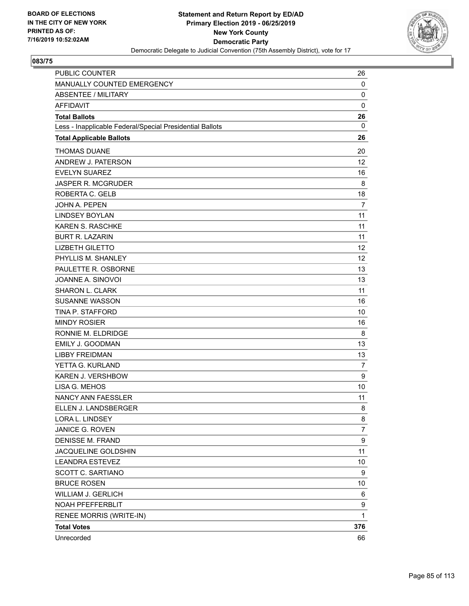

| <b>PUBLIC COUNTER</b>                                    | 26  |
|----------------------------------------------------------|-----|
| MANUALLY COUNTED EMERGENCY                               | 0   |
| <b>ABSENTEE / MILITARY</b>                               | 0   |
| <b>AFFIDAVIT</b>                                         | 0   |
| <b>Total Ballots</b>                                     | 26  |
| Less - Inapplicable Federal/Special Presidential Ballots | 0   |
| <b>Total Applicable Ballots</b>                          | 26  |
| <b>THOMAS DUANE</b>                                      | 20  |
| ANDREW J. PATERSON                                       | 12  |
| <b>EVELYN SUAREZ</b>                                     | 16  |
| <b>JASPER R. MCGRUDER</b>                                | 8   |
| ROBERTA C. GELB                                          | 18  |
| <b>JOHN A. PEPEN</b>                                     | 7   |
| <b>LINDSEY BOYLAN</b>                                    | 11  |
| <b>KAREN S. RASCHKE</b>                                  | 11  |
| <b>BURT R. LAZARIN</b>                                   | 11  |
| <b>LIZBETH GILETTO</b>                                   | 12  |
| PHYLLIS M. SHANLEY                                       | 12  |
| PAULETTE R. OSBORNE                                      | 13  |
| JOANNE A. SINOVOI                                        | 13  |
| <b>SHARON L. CLARK</b>                                   | 11  |
| <b>SUSANNE WASSON</b>                                    | 16  |
| TINA P. STAFFORD                                         | 10  |
| <b>MINDY ROSIER</b>                                      | 16  |
| RONNIE M. ELDRIDGE                                       | 8   |
| <b>EMILY J. GOODMAN</b>                                  | 13  |
| <b>LIBBY FREIDMAN</b>                                    | 13  |
| YETTA G. KURLAND                                         | 7   |
| <b>KAREN J. VERSHBOW</b>                                 | 9   |
| LISA G. MEHOS                                            | 10  |
| <b>NANCY ANN FAESSLER</b>                                | 11  |
| ELLEN J. LANDSBERGER                                     | 8   |
| LORA L. LINDSEY                                          | 8   |
| JANICE G. ROVEN                                          | 7   |
| <b>DENISSE M. FRAND</b>                                  | 9   |
| JACQUELINE GOLDSHIN                                      | 11  |
| <b>LEANDRA ESTEVEZ</b>                                   | 10  |
| SCOTT C. SARTIANO                                        | 9   |
| <b>BRUCE ROSEN</b>                                       | 10  |
| WILLIAM J. GERLICH                                       | 6   |
| NOAH PFEFFERBLIT                                         | 9   |
| RENEE MORRIS (WRITE-IN)                                  | 1   |
| <b>Total Votes</b>                                       | 376 |
| Unrecorded                                               | 66  |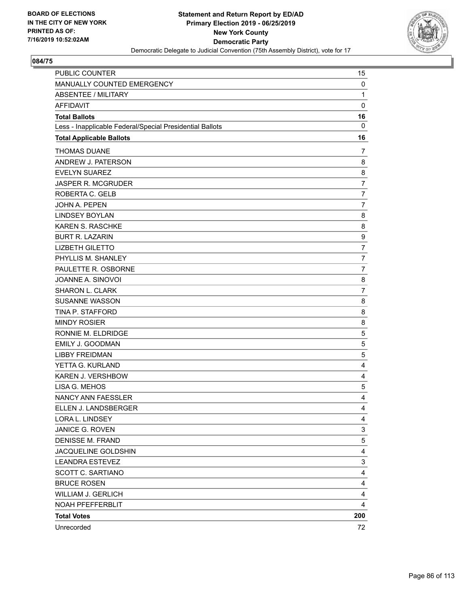

| <b>PUBLIC COUNTER</b>                                    | 15             |
|----------------------------------------------------------|----------------|
| MANUALLY COUNTED EMERGENCY                               | $\mathbf 0$    |
| <b>ABSENTEE / MILITARY</b>                               | $\mathbf{1}$   |
| <b>AFFIDAVIT</b>                                         | $\mathbf 0$    |
| <b>Total Ballots</b>                                     | 16             |
| Less - Inapplicable Federal/Special Presidential Ballots | 0              |
| <b>Total Applicable Ballots</b>                          | 16             |
| <b>THOMAS DUANE</b>                                      | $\overline{7}$ |
| ANDREW J. PATERSON                                       | 8              |
| <b>EVELYN SUAREZ</b>                                     | 8              |
| <b>JASPER R. MCGRUDER</b>                                | $\overline{7}$ |
| ROBERTA C. GELB                                          | $\overline{7}$ |
| <b>JOHN A. PEPEN</b>                                     | $\overline{7}$ |
| <b>LINDSEY BOYLAN</b>                                    | 8              |
| KAREN S. RASCHKE                                         | 8              |
| <b>BURT R. LAZARIN</b>                                   | 9              |
| <b>LIZBETH GILETTO</b>                                   | $\overline{7}$ |
| PHYLLIS M. SHANLEY                                       | $\overline{7}$ |
| PAULETTE R. OSBORNE                                      | $\overline{7}$ |
| JOANNE A. SINOVOI                                        | 8              |
| SHARON L. CLARK                                          | $\overline{7}$ |
| <b>SUSANNE WASSON</b>                                    | 8              |
| TINA P. STAFFORD                                         | 8              |
| <b>MINDY ROSIER</b>                                      | 8              |
| RONNIE M. ELDRIDGE                                       | 5              |
| <b>EMILY J. GOODMAN</b>                                  | 5              |
| <b>LIBBY FREIDMAN</b>                                    | 5              |
| YETTA G. KURLAND                                         | 4              |
| <b>KAREN J. VERSHBOW</b>                                 | 4              |
| LISA G. MEHOS                                            | 5              |
| NANCY ANN FAESSLER                                       | 4              |
| ELLEN J. LANDSBERGER                                     | 4              |
| LORA L. LINDSEY                                          | 4              |
| JANICE G. ROVEN                                          | 3              |
| <b>DENISSE M. FRAND</b>                                  | 5              |
| JACQUELINE GOLDSHIN                                      | 4              |
| <b>LEANDRA ESTEVEZ</b>                                   | 3              |
| SCOTT C. SARTIANO                                        | 4              |
| <b>BRUCE ROSEN</b>                                       | 4              |
| <b>WILLIAM J. GERLICH</b>                                | 4              |
| NOAH PFEFFERBLIT                                         | 4              |
| <b>Total Votes</b>                                       | 200            |
| Unrecorded                                               | 72             |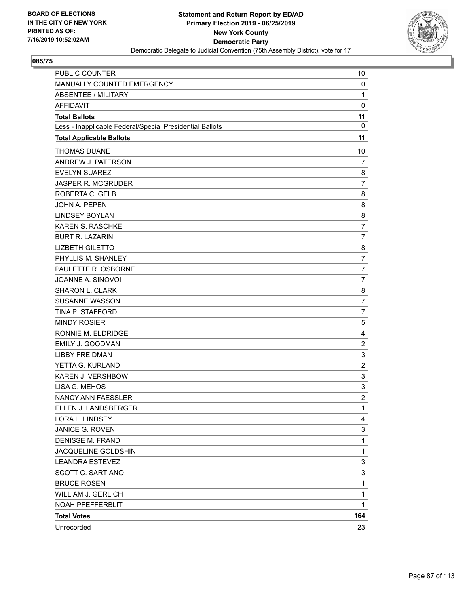

| <b>PUBLIC COUNTER</b>                                    | 10               |
|----------------------------------------------------------|------------------|
| MANUALLY COUNTED EMERGENCY                               | 0                |
| <b>ABSENTEE / MILITARY</b>                               | $\mathbf{1}$     |
| <b>AFFIDAVIT</b>                                         | $\mathbf 0$      |
| <b>Total Ballots</b>                                     | 11               |
| Less - Inapplicable Federal/Special Presidential Ballots | 0                |
| <b>Total Applicable Ballots</b>                          | 11               |
| <b>THOMAS DUANE</b>                                      | 10               |
| ANDREW J. PATERSON                                       | 7                |
| <b>EVELYN SUAREZ</b>                                     | 8                |
| <b>JASPER R. MCGRUDER</b>                                | $\overline{7}$   |
| ROBERTA C. GELB                                          | 8                |
| <b>JOHN A. PEPEN</b>                                     | 8                |
| <b>LINDSEY BOYLAN</b>                                    | 8                |
| <b>KAREN S. RASCHKE</b>                                  | $\overline{7}$   |
| <b>BURT R. LAZARIN</b>                                   | $\overline{7}$   |
| <b>LIZBETH GILETTO</b>                                   | 8                |
| PHYLLIS M. SHANLEY                                       | $\overline{7}$   |
| PAULETTE R. OSBORNE                                      | 7                |
| JOANNE A. SINOVOI                                        | $\overline{7}$   |
| SHARON L. CLARK                                          | 8                |
| <b>SUSANNE WASSON</b>                                    | $\overline{7}$   |
| TINA P. STAFFORD                                         | $\overline{7}$   |
| <b>MINDY ROSIER</b>                                      | 5                |
| RONNIE M. ELDRIDGE                                       | 4                |
| <b>EMILY J. GOODMAN</b>                                  | $\boldsymbol{2}$ |
| <b>LIBBY FREIDMAN</b>                                    | 3                |
| YETTA G. KURLAND                                         | $\overline{c}$   |
| <b>KAREN J. VERSHBOW</b>                                 | 3                |
| LISA G. MEHOS                                            | 3                |
| NANCY ANN FAESSLER                                       | $\overline{c}$   |
| ELLEN J. LANDSBERGER                                     | 1                |
| LORA L. LINDSEY                                          | 4                |
| JANICE G. ROVEN                                          | 3                |
| <b>DENISSE M. FRAND</b>                                  | $\mathbf{1}$     |
| JACQUELINE GOLDSHIN                                      | $\mathbf{1}$     |
| <b>LEANDRA ESTEVEZ</b>                                   | 3                |
| SCOTT C. SARTIANO                                        | 3                |
| <b>BRUCE ROSEN</b>                                       | $\mathbf{1}$     |
| <b>WILLIAM J. GERLICH</b>                                | $\mathbf 1$      |
| NOAH PFEFFERBLIT                                         | $\mathbf{1}$     |
| <b>Total Votes</b>                                       | 164              |
| Unrecorded                                               | 23               |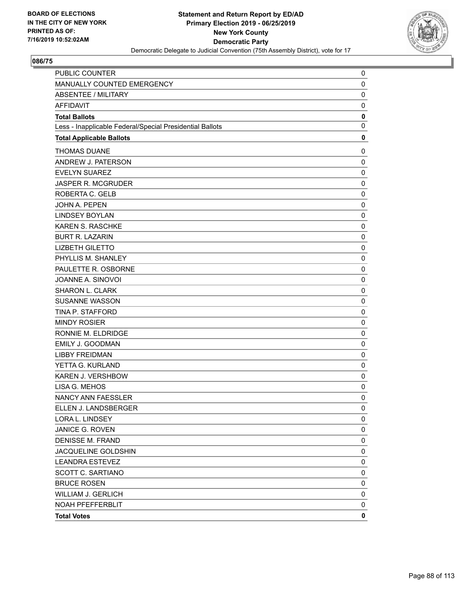

| PUBLIC COUNTER                                           | 0           |
|----------------------------------------------------------|-------------|
| MANUALLY COUNTED EMERGENCY                               | 0           |
| <b>ABSENTEE / MILITARY</b>                               | $\mathbf 0$ |
| <b>AFFIDAVIT</b>                                         | 0           |
| <b>Total Ballots</b>                                     | 0           |
| Less - Inapplicable Federal/Special Presidential Ballots | 0           |
| <b>Total Applicable Ballots</b>                          | 0           |
| <b>THOMAS DUANE</b>                                      | 0           |
| ANDREW J. PATERSON                                       | 0           |
| <b>EVELYN SUAREZ</b>                                     | $\mathbf 0$ |
| JASPER R. MCGRUDER                                       | 0           |
| ROBERTA C. GELB                                          | 0           |
| JOHN A. PEPEN                                            | $\mathbf 0$ |
| <b>LINDSEY BOYLAN</b>                                    | 0           |
| KAREN S. RASCHKE                                         | 0           |
| <b>BURT R. LAZARIN</b>                                   | $\mathbf 0$ |
| <b>LIZBETH GILETTO</b>                                   | 0           |
| PHYLLIS M. SHANLEY                                       | 0           |
| PAULETTE R. OSBORNE                                      | $\mathbf 0$ |
| JOANNE A. SINOVOI                                        | 0           |
| SHARON L. CLARK                                          | 0           |
| <b>SUSANNE WASSON</b>                                    | $\mathbf 0$ |
| TINA P. STAFFORD                                         | 0           |
| <b>MINDY ROSIER</b>                                      | 0           |
| RONNIE M. ELDRIDGE                                       | $\mathbf 0$ |
| EMILY J. GOODMAN                                         | 0           |
| <b>LIBBY FREIDMAN</b>                                    | 0           |
| YETTA G. KURLAND                                         | 0           |
| KAREN J. VERSHBOW                                        | 0           |
| LISA G. MEHOS                                            | 0           |
| <b>NANCY ANN FAESSLER</b>                                | 0           |
| ELLEN J. LANDSBERGER                                     | 0           |
| LORA L. LINDSEY                                          | 0           |
| JANICE G. ROVEN                                          | 0           |
| <b>DENISSE M. FRAND</b>                                  | 0           |
| JACQUELINE GOLDSHIN                                      | 0           |
| <b>LEANDRA ESTEVEZ</b>                                   | 0           |
| SCOTT C. SARTIANO                                        | 0           |
| <b>BRUCE ROSEN</b>                                       | 0           |
| <b>WILLIAM J. GERLICH</b>                                | 0           |
| NOAH PFEFFERBLIT                                         | 0           |
| <b>Total Votes</b>                                       | 0           |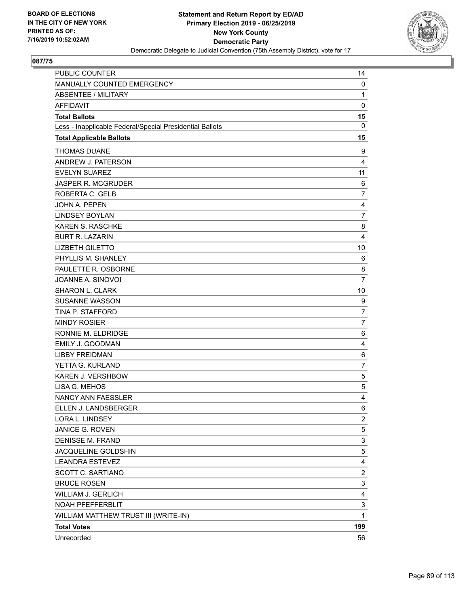

| <b>PUBLIC COUNTER</b>                                    | 14                        |
|----------------------------------------------------------|---------------------------|
| MANUALLY COUNTED EMERGENCY                               | 0                         |
| <b>ABSENTEE / MILITARY</b>                               | $\mathbf{1}$              |
| <b>AFFIDAVIT</b>                                         | $\mathbf 0$               |
| <b>Total Ballots</b>                                     | 15                        |
| Less - Inapplicable Federal/Special Presidential Ballots | $\mathbf 0$               |
| <b>Total Applicable Ballots</b>                          | 15                        |
| <b>THOMAS DUANE</b>                                      | 9                         |
| ANDREW J. PATERSON                                       | $\overline{4}$            |
| <b>EVELYN SUAREZ</b>                                     | 11                        |
| <b>JASPER R. MCGRUDER</b>                                | 6                         |
| ROBERTA C. GELB                                          | $\overline{7}$            |
| <b>JOHN A. PEPEN</b>                                     | 4                         |
| <b>LINDSEY BOYLAN</b>                                    | $\overline{7}$            |
| <b>KAREN S. RASCHKE</b>                                  | 8                         |
| <b>BURT R. LAZARIN</b>                                   | 4                         |
| <b>LIZBETH GILETTO</b>                                   | 10                        |
| PHYLLIS M. SHANLEY                                       | 6                         |
| PAULETTE R. OSBORNE                                      | 8                         |
| JOANNE A. SINOVOI                                        | $\overline{7}$            |
| <b>SHARON L. CLARK</b>                                   | 10                        |
| <b>SUSANNE WASSON</b>                                    | 9                         |
| TINA P. STAFFORD                                         | $\overline{7}$            |
| <b>MINDY ROSIER</b>                                      | $\overline{7}$            |
| RONNIE M. ELDRIDGE                                       | 6                         |
| <b>EMILY J. GOODMAN</b>                                  | 4                         |
| <b>LIBBY FREIDMAN</b>                                    | 6                         |
| YETTA G. KURLAND                                         | 7                         |
| KAREN J. VERSHBOW                                        | 5                         |
| LISA G. MEHOS                                            | 5                         |
| NANCY ANN FAESSLER                                       | 4                         |
| ELLEN J. LANDSBERGER                                     | 6                         |
| LORA L. LINDSEY                                          | $\overline{c}$            |
| JANICE G. ROVEN                                          | 5                         |
| <b>DENISSE M. FRAND</b>                                  | 3                         |
| JACQUELINE GOLDSHIN                                      | 5                         |
| <b>LEANDRA ESTEVEZ</b>                                   | 4                         |
| <b>SCOTT C. SARTIANO</b>                                 | $\overline{\mathbf{c}}$   |
| <b>BRUCE ROSEN</b>                                       | $\ensuremath{\mathsf{3}}$ |
| <b>WILLIAM J. GERLICH</b>                                | 4                         |
| NOAH PFEFFERBLIT                                         | 3                         |
| WILLIAM MATTHEW TRUST III (WRITE-IN)                     | $\mathbf{1}$              |
| <b>Total Votes</b>                                       | 199                       |
| Unrecorded                                               | 56                        |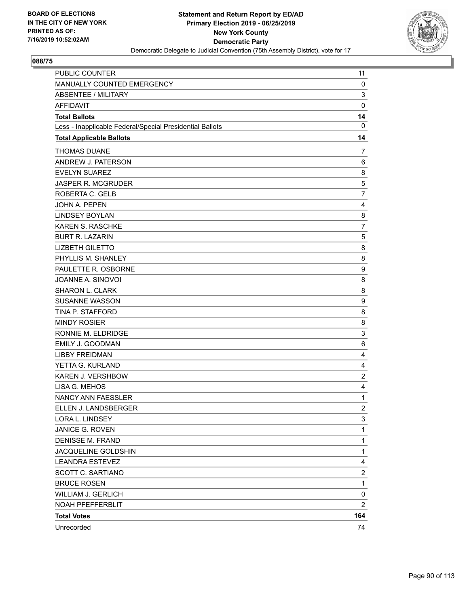

| PUBLIC COUNTER                                           | 11                      |
|----------------------------------------------------------|-------------------------|
| MANUALLY COUNTED EMERGENCY                               | 0                       |
| <b>ABSENTEE / MILITARY</b>                               | 3                       |
| <b>AFFIDAVIT</b>                                         | $\mathbf 0$             |
| <b>Total Ballots</b>                                     | 14                      |
| Less - Inapplicable Federal/Special Presidential Ballots | $\mathbf 0$             |
| <b>Total Applicable Ballots</b>                          | 14                      |
| <b>THOMAS DUANE</b>                                      | 7                       |
| ANDREW J. PATERSON                                       | 6                       |
| <b>EVELYN SUAREZ</b>                                     | 8                       |
| <b>JASPER R. MCGRUDER</b>                                | $\mathbf 5$             |
| ROBERTA C. GELB                                          | $\overline{7}$          |
| <b>JOHN A. PEPEN</b>                                     | 4                       |
| <b>LINDSEY BOYLAN</b>                                    | 8                       |
| KAREN S. RASCHKE                                         | $\overline{7}$          |
| <b>BURT R. LAZARIN</b>                                   | 5                       |
| <b>LIZBETH GILETTO</b>                                   | 8                       |
| PHYLLIS M. SHANLEY                                       | 8                       |
| PAULETTE R. OSBORNE                                      | 9                       |
| JOANNE A. SINOVOI                                        | 8                       |
| SHARON L. CLARK                                          | 8                       |
| <b>SUSANNE WASSON</b>                                    | 9                       |
| TINA P. STAFFORD                                         | 8                       |
| <b>MINDY ROSIER</b>                                      | 8                       |
| RONNIE M. ELDRIDGE                                       | 3                       |
| <b>EMILY J. GOODMAN</b>                                  | 6                       |
| <b>LIBBY FREIDMAN</b>                                    | 4                       |
| YETTA G. KURLAND                                         | 4                       |
| KAREN J. VERSHBOW                                        | $\overline{c}$          |
| LISA G. MEHOS                                            | 4                       |
| NANCY ANN FAESSLER                                       | $\mathbf{1}$            |
| ELLEN J. LANDSBERGER                                     | $\overline{\mathbf{c}}$ |
| LORA L. LINDSEY                                          | 3                       |
| JANICE G. ROVEN                                          | 1                       |
| <b>DENISSE M. FRAND</b>                                  | $\mathbf{1}$            |
| JACQUELINE GOLDSHIN                                      | $\mathbf{1}$            |
| <b>LEANDRA ESTEVEZ</b>                                   | 4                       |
| SCOTT C. SARTIANO                                        | $\overline{\mathbf{c}}$ |
| <b>BRUCE ROSEN</b>                                       | $\mathbf{1}$            |
| <b>WILLIAM J. GERLICH</b>                                | 0                       |
| NOAH PFEFFERBLIT                                         | $\overline{c}$          |
| <b>Total Votes</b>                                       | 164                     |
| Unrecorded                                               | 74                      |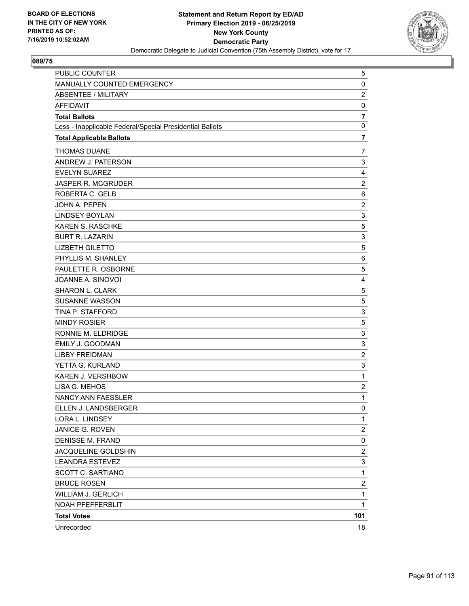

| PUBLIC COUNTER                                           | 5                       |
|----------------------------------------------------------|-------------------------|
| MANUALLY COUNTED EMERGENCY                               | 0                       |
| <b>ABSENTEE / MILITARY</b>                               | $\overline{\mathbf{c}}$ |
| <b>AFFIDAVIT</b>                                         | 0                       |
| <b>Total Ballots</b>                                     | $\overline{7}$          |
| Less - Inapplicable Federal/Special Presidential Ballots | $\mathbf 0$             |
| <b>Total Applicable Ballots</b>                          | $\overline{7}$          |
| <b>THOMAS DUANE</b>                                      | 7                       |
| ANDREW J. PATERSON                                       | 3                       |
| <b>EVELYN SUAREZ</b>                                     | 4                       |
| <b>JASPER R. MCGRUDER</b>                                | $\overline{c}$          |
| ROBERTA C. GELB                                          | 6                       |
| JOHN A. PEPEN                                            | $\overline{\mathbf{c}}$ |
| <b>LINDSEY BOYLAN</b>                                    | 3                       |
| <b>KAREN S. RASCHKE</b>                                  | 5                       |
| <b>BURT R. LAZARIN</b>                                   | 3                       |
| <b>LIZBETH GILETTO</b>                                   | 5                       |
| PHYLLIS M. SHANLEY                                       | 6                       |
| PAULETTE R. OSBORNE                                      | 5                       |
| JOANNE A. SINOVOI                                        | 4                       |
| SHARON L. CLARK                                          | 5                       |
| <b>SUSANNE WASSON</b>                                    | 5                       |
| TINA P. STAFFORD                                         | 3                       |
| <b>MINDY ROSIER</b>                                      | 5                       |
| RONNIE M. ELDRIDGE                                       | 3                       |
| EMILY J. GOODMAN                                         | 3                       |
| <b>LIBBY FREIDMAN</b>                                    | $\overline{c}$          |
| YETTA G. KURLAND                                         | 3                       |
| KAREN J. VERSHBOW                                        | $\mathbf{1}$            |
| LISA G. MEHOS                                            | $\overline{c}$          |
| <b>NANCY ANN FAESSLER</b>                                | $\mathbf{1}$            |
| ELLEN J. LANDSBERGER                                     | $\mathbf 0$             |
| LORA L. LINDSEY                                          | 1                       |
| JANICE G. ROVEN                                          | 2                       |
| <b>DENISSE M. FRAND</b>                                  | 0                       |
| JACQUELINE GOLDSHIN                                      | $\overline{\mathbf{c}}$ |
| <b>LEANDRA ESTEVEZ</b>                                   | 3                       |
| <b>SCOTT C. SARTIANO</b>                                 | $\mathbf{1}$            |
| <b>BRUCE ROSEN</b>                                       | $\overline{\mathbf{c}}$ |
| <b>WILLIAM J. GERLICH</b>                                | 1                       |
| NOAH PFEFFERBLIT                                         | $\mathbf{1}$            |
| <b>Total Votes</b>                                       | 101                     |
| Unrecorded                                               | 18                      |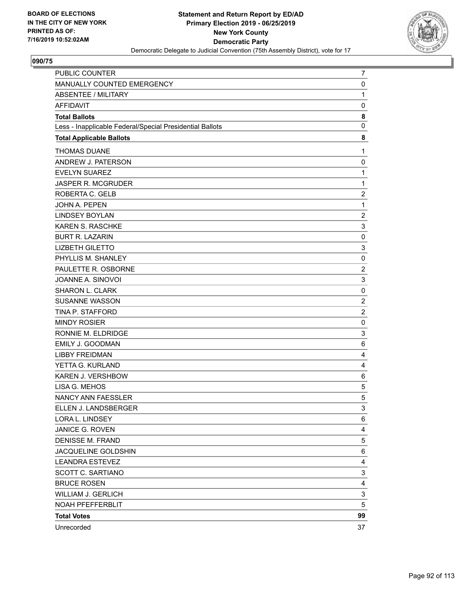

| PUBLIC COUNTER                                           | 7                       |
|----------------------------------------------------------|-------------------------|
| MANUALLY COUNTED EMERGENCY                               | 0                       |
| <b>ABSENTEE / MILITARY</b>                               | $\mathbf{1}$            |
| <b>AFFIDAVIT</b>                                         | 0                       |
| <b>Total Ballots</b>                                     | 8                       |
| Less - Inapplicable Federal/Special Presidential Ballots | $\mathbf 0$             |
| <b>Total Applicable Ballots</b>                          | 8                       |
| <b>THOMAS DUANE</b>                                      | 1                       |
| ANDREW J. PATERSON                                       | 0                       |
| <b>EVELYN SUAREZ</b>                                     | $\mathbf{1}$            |
| JASPER R. MCGRUDER                                       | $\mathbf{1}$            |
| ROBERTA C. GELB                                          | $\overline{c}$          |
| JOHN A. PEPEN                                            | $\mathbf{1}$            |
| <b>LINDSEY BOYLAN</b>                                    | $\overline{c}$          |
| <b>KAREN S. RASCHKE</b>                                  | 3                       |
| <b>BURT R. LAZARIN</b>                                   | 0                       |
| <b>LIZBETH GILETTO</b>                                   | 3                       |
| PHYLLIS M. SHANLEY                                       | 0                       |
| PAULETTE R. OSBORNE                                      | $\overline{\mathbf{c}}$ |
| JOANNE A. SINOVOI                                        | 3                       |
| SHARON L. CLARK                                          | 0                       |
| <b>SUSANNE WASSON</b>                                    | $\overline{\mathbf{c}}$ |
| TINA P. STAFFORD                                         | $\overline{2}$          |
| <b>MINDY ROSIER</b>                                      | 0                       |
| RONNIE M. ELDRIDGE                                       | 3                       |
| EMILY J. GOODMAN                                         | 6                       |
| <b>LIBBY FREIDMAN</b>                                    | 4                       |
| YETTA G. KURLAND                                         | 4                       |
| KAREN J. VERSHBOW                                        | 6                       |
| LISA G. MEHOS                                            | 5                       |
| NANCY ANN FAESSLER                                       | 5                       |
| ELLEN J. LANDSBERGER                                     | 3                       |
| LORA L. LINDSEY                                          | 6                       |
| JANICE G. ROVEN                                          | 4                       |
| <b>DENISSE M. FRAND</b>                                  | 5                       |
| JACQUELINE GOLDSHIN                                      | 6                       |
| <b>LEANDRA ESTEVEZ</b>                                   | 4                       |
| SCOTT C. SARTIANO                                        | 3                       |
| <b>BRUCE ROSEN</b>                                       | 4                       |
| <b>WILLIAM J. GERLICH</b>                                | 3                       |
| NOAH PFEFFERBLIT                                         | 5                       |
| <b>Total Votes</b>                                       | 99                      |
| Unrecorded                                               | 37                      |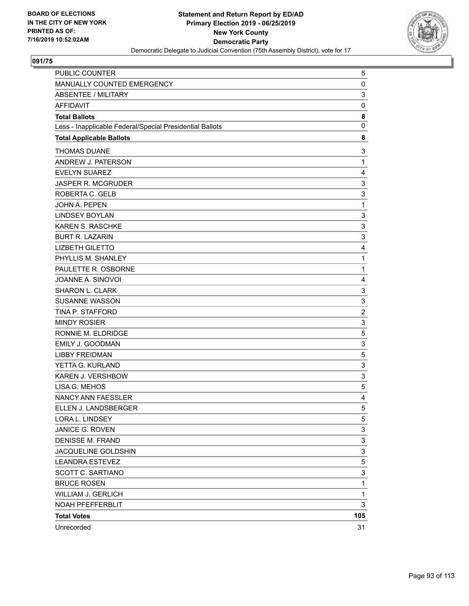

| PUBLIC COUNTER                                           | 5              |
|----------------------------------------------------------|----------------|
| MANUALLY COUNTED EMERGENCY                               | 0              |
| <b>ABSENTEE / MILITARY</b>                               | 3              |
| <b>AFFIDAVIT</b>                                         | $\pmb{0}$      |
| <b>Total Ballots</b>                                     | 8              |
| Less - Inapplicable Federal/Special Presidential Ballots | 0              |
| <b>Total Applicable Ballots</b>                          | 8              |
| <b>THOMAS DUANE</b>                                      | 3              |
| ANDREW J. PATERSON                                       | $\mathbf{1}$   |
| <b>EVELYN SUAREZ</b>                                     | 4              |
| JASPER R. MCGRUDER                                       | 3              |
| ROBERTA C. GELB                                          | 3              |
| JOHN A. PEPEN                                            | $\mathbf{1}$   |
| <b>LINDSEY BOYLAN</b>                                    | 3              |
| <b>KAREN S. RASCHKE</b>                                  | 3              |
| <b>BURT R. LAZARIN</b>                                   | 3              |
| <b>LIZBETH GILETTO</b>                                   | 4              |
| PHYLLIS M. SHANLEY                                       | $\mathbf{1}$   |
| PAULETTE R. OSBORNE                                      | $\mathbf{1}$   |
| JOANNE A. SINOVOI                                        | 4              |
| <b>SHARON L. CLARK</b>                                   | 3              |
| <b>SUSANNE WASSON</b>                                    | 3              |
| TINA P. STAFFORD                                         | $\overline{c}$ |
| <b>MINDY ROSIER</b>                                      | 3              |
| RONNIE M. ELDRIDGE                                       | 5              |
| EMILY J. GOODMAN                                         | 3              |
| <b>LIBBY FREIDMAN</b>                                    | 5              |
| YETTA G. KURLAND                                         | 3              |
| KAREN J. VERSHBOW                                        | 3              |
| LISA G. MEHOS                                            | 5              |
| NANCY ANN FAESSLER                                       | 4              |
| ELLEN J. LANDSBERGER                                     | 5              |
| LORA L. LINDSEY                                          | 5              |
| JANICE G. ROVEN                                          | 3              |
| <b>DENISSE M. FRAND</b>                                  | 3              |
| JACQUELINE GOLDSHIN                                      | 3              |
| <b>LEANDRA ESTEVEZ</b>                                   | 5              |
| SCOTT C. SARTIANO                                        | 3              |
| <b>BRUCE ROSEN</b>                                       | $\mathbf{1}$   |
| <b>WILLIAM J. GERLICH</b>                                | 1              |
| NOAH PFEFFERBLIT                                         | 3              |
| <b>Total Votes</b>                                       | 105            |
| Unrecorded                                               | 31             |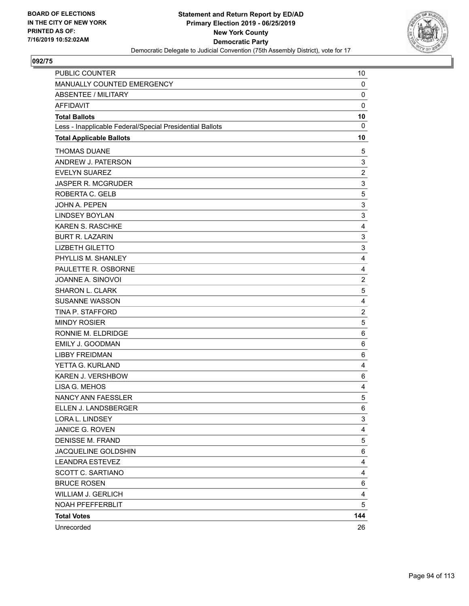

| <b>PUBLIC COUNTER</b>                                    | 10             |
|----------------------------------------------------------|----------------|
| MANUALLY COUNTED EMERGENCY                               | $\mathbf 0$    |
| <b>ABSENTEE / MILITARY</b>                               | 0              |
| <b>AFFIDAVIT</b>                                         | $\mathbf 0$    |
| <b>Total Ballots</b>                                     | 10             |
| Less - Inapplicable Federal/Special Presidential Ballots | 0              |
| <b>Total Applicable Ballots</b>                          | 10             |
| <b>THOMAS DUANE</b>                                      | 5              |
| ANDREW J. PATERSON                                       | 3              |
| <b>EVELYN SUAREZ</b>                                     | $\overline{c}$ |
| <b>JASPER R. MCGRUDER</b>                                | 3              |
| ROBERTA C. GELB                                          | 5              |
| <b>JOHN A. PEPEN</b>                                     | 3              |
| <b>LINDSEY BOYLAN</b>                                    | 3              |
| KAREN S. RASCHKE                                         | 4              |
| <b>BURT R. LAZARIN</b>                                   | 3              |
| <b>LIZBETH GILETTO</b>                                   | 3              |
| PHYLLIS M. SHANLEY                                       | 4              |
| PAULETTE R. OSBORNE                                      | $\overline{4}$ |
| JOANNE A. SINOVOI                                        | $\overline{2}$ |
| SHARON L. CLARK                                          | 5              |
| <b>SUSANNE WASSON</b>                                    | 4              |
| TINA P. STAFFORD                                         | $\overline{2}$ |
| <b>MINDY ROSIER</b>                                      | 5              |
| RONNIE M. ELDRIDGE                                       | 6              |
| <b>EMILY J. GOODMAN</b>                                  | 6              |
| <b>LIBBY FREIDMAN</b>                                    | 6              |
| YETTA G. KURLAND                                         | 4              |
| <b>KAREN J. VERSHBOW</b>                                 | 6              |
| LISA G. MEHOS                                            | 4              |
| NANCY ANN FAESSLER                                       | 5              |
| ELLEN J. LANDSBERGER                                     | 6              |
| LORA L. LINDSEY                                          | 3              |
| JANICE G. ROVEN                                          | 4              |
| <b>DENISSE M. FRAND</b>                                  | 5              |
| JACQUELINE GOLDSHIN                                      | 6              |
| <b>LEANDRA ESTEVEZ</b>                                   | 4              |
| SCOTT C. SARTIANO                                        | 4              |
| <b>BRUCE ROSEN</b>                                       | 6              |
| <b>WILLIAM J. GERLICH</b>                                | 4              |
| NOAH PFEFFERBLIT                                         | 5              |
| <b>Total Votes</b>                                       | 144            |
| Unrecorded                                               | 26             |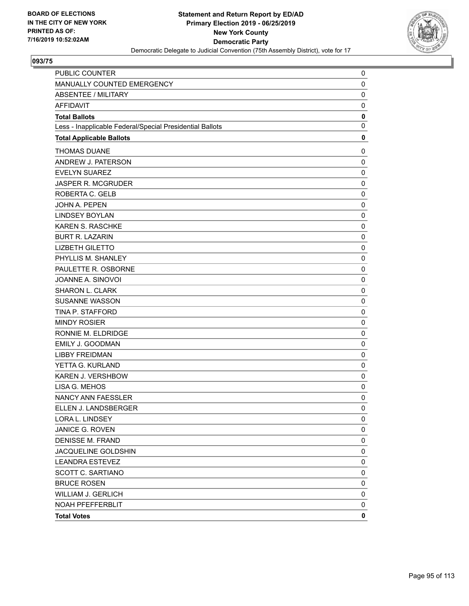

| PUBLIC COUNTER                                           | 0           |
|----------------------------------------------------------|-------------|
| MANUALLY COUNTED EMERGENCY                               | 0           |
| <b>ABSENTEE / MILITARY</b>                               | 0           |
| <b>AFFIDAVIT</b>                                         | $\mathbf 0$ |
| <b>Total Ballots</b>                                     | 0           |
| Less - Inapplicable Federal/Special Presidential Ballots | $\mathbf 0$ |
| <b>Total Applicable Ballots</b>                          | 0           |
| <b>THOMAS DUANE</b>                                      | 0           |
| ANDREW J. PATERSON                                       | $\mathbf 0$ |
| <b>EVELYN SUAREZ</b>                                     | 0           |
| <b>JASPER R. MCGRUDER</b>                                | 0           |
| ROBERTA C. GELB                                          | 0           |
| JOHN A. PEPEN                                            | 0           |
| <b>LINDSEY BOYLAN</b>                                    | $\mathbf 0$ |
| <b>KAREN S. RASCHKE</b>                                  | 0           |
| <b>BURT R. LAZARIN</b>                                   | 0           |
| <b>LIZBETH GILETTO</b>                                   | $\mathbf 0$ |
| PHYLLIS M. SHANLEY                                       | 0           |
| PAULETTE R. OSBORNE                                      | 0           |
| JOANNE A. SINOVOI                                        | $\mathbf 0$ |
| SHARON L. CLARK                                          | 0           |
| <b>SUSANNE WASSON</b>                                    | 0           |
| TINA P. STAFFORD                                         | $\mathbf 0$ |
| <b>MINDY ROSIER</b>                                      | 0           |
| RONNIE M. ELDRIDGE                                       | 0           |
| <b>EMILY J. GOODMAN</b>                                  | $\mathbf 0$ |
| <b>LIBBY FREIDMAN</b>                                    | 0           |
| YETTA G. KURLAND                                         | 0           |
| <b>KAREN J. VERSHBOW</b>                                 | $\mathbf 0$ |
| LISA G. MEHOS                                            | 0           |
| <b>NANCY ANN FAESSLER</b>                                | 0           |
| ELLEN J. LANDSBERGER                                     | 0           |
| LORA L. LINDSEY                                          | 0           |
| JANICE G. ROVEN                                          | 0           |
| <b>DENISSE M. FRAND</b>                                  | 0           |
| JACQUELINE GOLDSHIN                                      | 0           |
| <b>LEANDRA ESTEVEZ</b>                                   | 0           |
| <b>SCOTT C. SARTIANO</b>                                 | 0           |
| <b>BRUCE ROSEN</b>                                       | 0           |
| <b>WILLIAM J. GERLICH</b>                                | 0           |
| NOAH PFEFFERBLIT                                         | 0           |
| <b>Total Votes</b>                                       | 0           |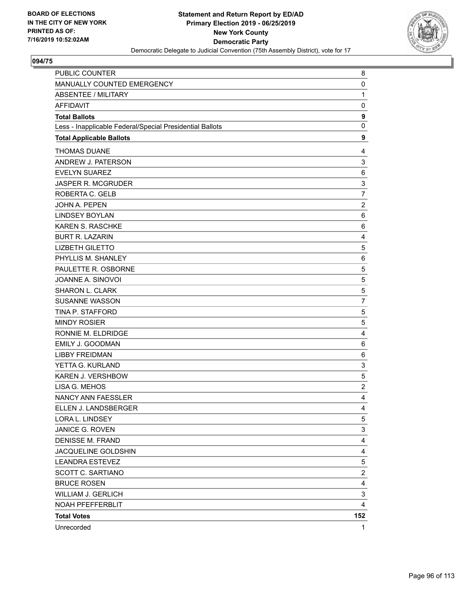

| PUBLIC COUNTER                                           | 8                       |
|----------------------------------------------------------|-------------------------|
| MANUALLY COUNTED EMERGENCY                               | 0                       |
| <b>ABSENTEE / MILITARY</b>                               | $\mathbf{1}$            |
| <b>AFFIDAVIT</b>                                         | 0                       |
| <b>Total Ballots</b>                                     | 9                       |
| Less - Inapplicable Federal/Special Presidential Ballots | $\mathbf 0$             |
| <b>Total Applicable Ballots</b>                          | 9                       |
| <b>THOMAS DUANE</b>                                      | 4                       |
| ANDREW J. PATERSON                                       | 3                       |
| <b>EVELYN SUAREZ</b>                                     | 6                       |
| JASPER R. MCGRUDER                                       | 3                       |
| ROBERTA C. GELB                                          | $\overline{7}$          |
| JOHN A. PEPEN                                            | $\overline{\mathbf{c}}$ |
| <b>LINDSEY BOYLAN</b>                                    | 6                       |
| <b>KAREN S. RASCHKE</b>                                  | 6                       |
| <b>BURT R. LAZARIN</b>                                   | 4                       |
| <b>LIZBETH GILETTO</b>                                   | 5                       |
| PHYLLIS M. SHANLEY                                       | 6                       |
| PAULETTE R. OSBORNE                                      | 5                       |
| JOANNE A. SINOVOI                                        | 5                       |
| <b>SHARON L. CLARK</b>                                   | 5                       |
| <b>SUSANNE WASSON</b>                                    | $\overline{7}$          |
| TINA P. STAFFORD                                         | 5                       |
| <b>MINDY ROSIER</b>                                      | 5                       |
| RONNIE M. ELDRIDGE                                       | 4                       |
| EMILY J. GOODMAN                                         | 6                       |
| <b>LIBBY FREIDMAN</b>                                    | 6                       |
| YETTA G. KURLAND                                         | 3                       |
| KAREN J. VERSHBOW                                        | 5                       |
| LISA G. MEHOS                                            | $\overline{c}$          |
| <b>NANCY ANN FAESSLER</b>                                | 4                       |
| ELLEN J. LANDSBERGER                                     | $\overline{4}$          |
| LORA L. LINDSEY                                          | 5                       |
| JANICE G. ROVEN                                          | 3                       |
| <b>DENISSE M. FRAND</b>                                  | 4                       |
| JACQUELINE GOLDSHIN                                      | 4                       |
| <b>LEANDRA ESTEVEZ</b>                                   | 5                       |
| SCOTT C. SARTIANO                                        | $\overline{c}$          |
| <b>BRUCE ROSEN</b>                                       | 4                       |
| <b>WILLIAM J. GERLICH</b>                                | 3                       |
| NOAH PFEFFERBLIT                                         | 4                       |
| <b>Total Votes</b>                                       | 152                     |
| Unrecorded                                               | 1                       |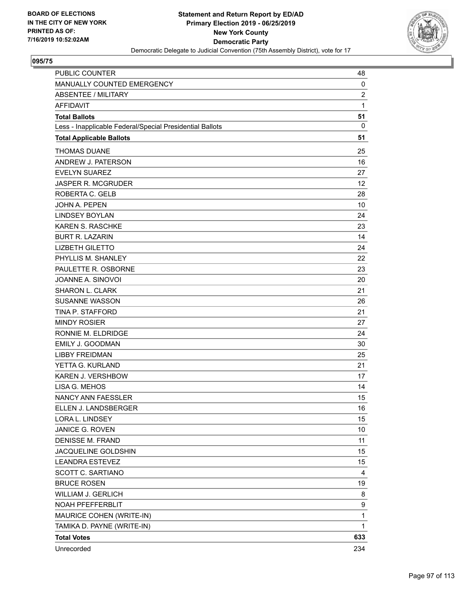

| <b>PUBLIC COUNTER</b>                                    | 48             |
|----------------------------------------------------------|----------------|
| MANUALLY COUNTED EMERGENCY                               | 0              |
| ABSENTEE / MILITARY                                      | $\overline{2}$ |
| <b>AFFIDAVIT</b>                                         | $\mathbf{1}$   |
| <b>Total Ballots</b>                                     | 51             |
| Less - Inapplicable Federal/Special Presidential Ballots | 0              |
| <b>Total Applicable Ballots</b>                          | 51             |
| <b>THOMAS DUANE</b>                                      | 25             |
| ANDREW J. PATERSON                                       | 16             |
| <b>EVELYN SUAREZ</b>                                     | 27             |
| <b>JASPER R. MCGRUDER</b>                                | 12             |
| ROBERTA C. GELB                                          | 28             |
| <b>JOHN A. PEPEN</b>                                     | 10             |
| <b>LINDSEY BOYLAN</b>                                    | 24             |
| <b>KAREN S. RASCHKE</b>                                  | 23             |
| <b>BURT R. LAZARIN</b>                                   | 14             |
| <b>LIZBETH GILETTO</b>                                   | 24             |
| PHYLLIS M. SHANLEY                                       | 22             |
| PAULETTE R. OSBORNE                                      | 23             |
| JOANNE A. SINOVOI                                        | 20             |
| SHARON L. CLARK                                          | 21             |
| <b>SUSANNE WASSON</b>                                    | 26             |
| TINA P. STAFFORD                                         | 21             |
| <b>MINDY ROSIER</b>                                      | 27             |
| RONNIE M. ELDRIDGE                                       | 24             |
| <b>EMILY J. GOODMAN</b>                                  | 30             |
| <b>LIBBY FREIDMAN</b>                                    | 25             |
| YETTA G. KURLAND                                         | 21             |
| <b>KAREN J. VERSHBOW</b>                                 | 17             |
| LISA G. MEHOS                                            | 14             |
| <b>NANCY ANN FAESSLER</b>                                | 15             |
| ELLEN J. LANDSBERGER                                     | 16             |
| LORA L. LINDSEY                                          | 15             |
| JANICE G. ROVEN                                          | 10             |
| <b>DENISSE M. FRAND</b>                                  | 11             |
| JACQUELINE GOLDSHIN                                      | 15             |
| <b>LEANDRA ESTEVEZ</b>                                   | 15             |
| SCOTT C. SARTIANO                                        | 4              |
| <b>BRUCE ROSEN</b>                                       | 19             |
| WILLIAM J. GERLICH                                       | 8              |
| NOAH PFEFFERBLIT                                         | 9              |
| MAURICE COHEN (WRITE-IN)                                 | $\mathbf{1}$   |
| TAMIKA D. PAYNE (WRITE-IN)                               | 1              |
| <b>Total Votes</b>                                       | 633            |
| Unrecorded                                               | 234            |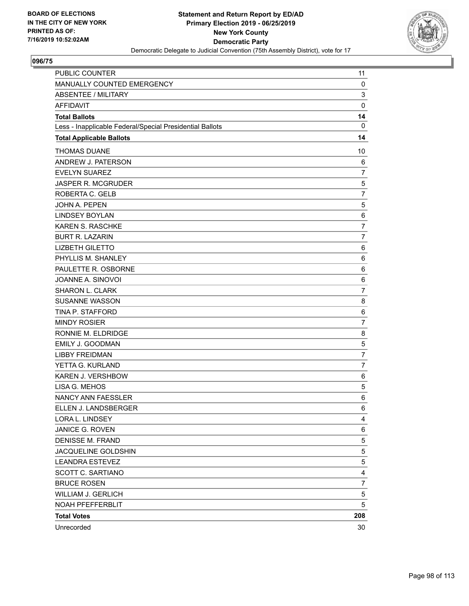

| <b>PUBLIC COUNTER</b>                                    | 11             |
|----------------------------------------------------------|----------------|
| MANUALLY COUNTED EMERGENCY                               | 0              |
| ABSENTEE / MILITARY                                      | 3              |
| <b>AFFIDAVIT</b>                                         | $\mathbf 0$    |
| <b>Total Ballots</b>                                     | 14             |
| Less - Inapplicable Federal/Special Presidential Ballots | $\mathbf 0$    |
| <b>Total Applicable Ballots</b>                          | 14             |
| <b>THOMAS DUANE</b>                                      | 10             |
| ANDREW J. PATERSON                                       | 6              |
| <b>EVELYN SUAREZ</b>                                     | $\overline{7}$ |
| <b>JASPER R. MCGRUDER</b>                                | $\mathbf 5$    |
| ROBERTA C. GELB                                          | $\overline{7}$ |
| <b>JOHN A. PEPEN</b>                                     | 5              |
| <b>LINDSEY BOYLAN</b>                                    | 6              |
| <b>KAREN S. RASCHKE</b>                                  | $\overline{7}$ |
| <b>BURT R. LAZARIN</b>                                   | $\overline{7}$ |
| <b>LIZBETH GILETTO</b>                                   | 6              |
| PHYLLIS M. SHANLEY                                       | 6              |
| PAULETTE R. OSBORNE                                      | 6              |
| JOANNE A. SINOVOI                                        | 6              |
| <b>SHARON L. CLARK</b>                                   | $\overline{7}$ |
| <b>SUSANNE WASSON</b>                                    | 8              |
| TINA P. STAFFORD                                         | 6              |
| <b>MINDY ROSIER</b>                                      | $\overline{7}$ |
| RONNIE M. ELDRIDGE                                       | 8              |
| <b>EMILY J. GOODMAN</b>                                  | $\mathbf 5$    |
| <b>LIBBY FREIDMAN</b>                                    | $\overline{7}$ |
| YETTA G. KURLAND                                         | $\overline{7}$ |
| KAREN J. VERSHBOW                                        | 6              |
| LISA G. MEHOS                                            | 5              |
| NANCY ANN FAESSLER                                       | 6              |
| ELLEN J. LANDSBERGER                                     | 6              |
| LORA L. LINDSEY                                          | 4              |
| JANICE G. ROVEN                                          | 6              |
| <b>DENISSE M. FRAND</b>                                  | 5              |
| JACQUELINE GOLDSHIN                                      | 5              |
| <b>LEANDRA ESTEVEZ</b>                                   | 5              |
| SCOTT C. SARTIANO                                        | 4              |
| <b>BRUCE ROSEN</b>                                       | $\overline{7}$ |
| WILLIAM J. GERLICH                                       | 5              |
| NOAH PFEFFERBLIT                                         | 5              |
| <b>Total Votes</b>                                       | 208            |
| Unrecorded                                               | 30             |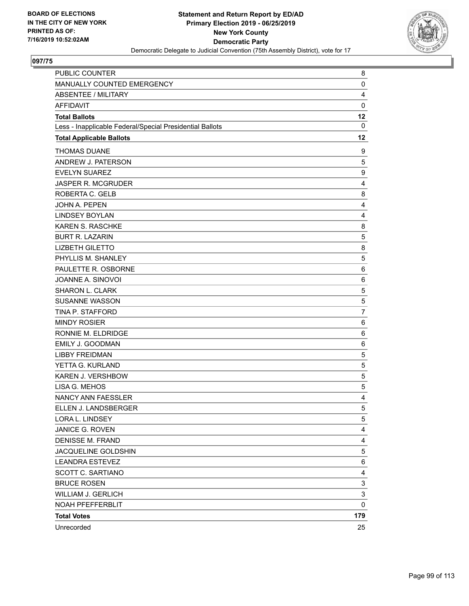

| PUBLIC COUNTER                                           | 8              |
|----------------------------------------------------------|----------------|
| MANUALLY COUNTED EMERGENCY                               | 0              |
| <b>ABSENTEE / MILITARY</b>                               | 4              |
| <b>AFFIDAVIT</b>                                         | $\mathbf 0$    |
| <b>Total Ballots</b>                                     | 12             |
| Less - Inapplicable Federal/Special Presidential Ballots | $\mathbf 0$    |
| <b>Total Applicable Ballots</b>                          | 12             |
| <b>THOMAS DUANE</b>                                      | 9              |
| ANDREW J. PATERSON                                       | 5              |
| <b>EVELYN SUAREZ</b>                                     | 9              |
| <b>JASPER R. MCGRUDER</b>                                | 4              |
| ROBERTA C. GELB                                          | 8              |
| <b>JOHN A. PEPEN</b>                                     | 4              |
| <b>LINDSEY BOYLAN</b>                                    | 4              |
| <b>KAREN S. RASCHKE</b>                                  | 8              |
| <b>BURT R. LAZARIN</b>                                   | 5              |
| <b>LIZBETH GILETTO</b>                                   | 8              |
| PHYLLIS M. SHANLEY                                       | 5              |
| PAULETTE R. OSBORNE                                      | 6              |
| JOANNE A. SINOVOI                                        | 6              |
| SHARON L. CLARK                                          | 5              |
| <b>SUSANNE WASSON</b>                                    | 5              |
| <b>TINA P. STAFFORD</b>                                  | $\overline{7}$ |
| <b>MINDY ROSIER</b>                                      | 6              |
| RONNIE M. ELDRIDGE                                       | 6              |
| <b>EMILY J. GOODMAN</b>                                  | 6              |
| <b>LIBBY FREIDMAN</b>                                    | 5              |
| YETTA G. KURLAND                                         | 5              |
| KAREN J. VERSHBOW                                        | 5              |
| LISA G. MEHOS                                            | 5              |
| <b>NANCY ANN FAESSLER</b>                                | 4              |
| ELLEN J. LANDSBERGER                                     | 5              |
| LORA L. LINDSEY                                          | 5              |
| JANICE G. ROVEN                                          | 4              |
| <b>DENISSE M. FRAND</b>                                  | 4              |
| JACQUELINE GOLDSHIN                                      | 5              |
| <b>LEANDRA ESTEVEZ</b>                                   | 6              |
| SCOTT C. SARTIANO                                        | 4              |
| <b>BRUCE ROSEN</b>                                       | 3              |
| <b>WILLIAM J. GERLICH</b>                                | 3              |
| NOAH PFEFFERBLIT                                         | 0              |
| <b>Total Votes</b>                                       | 179            |
| Unrecorded                                               | 25             |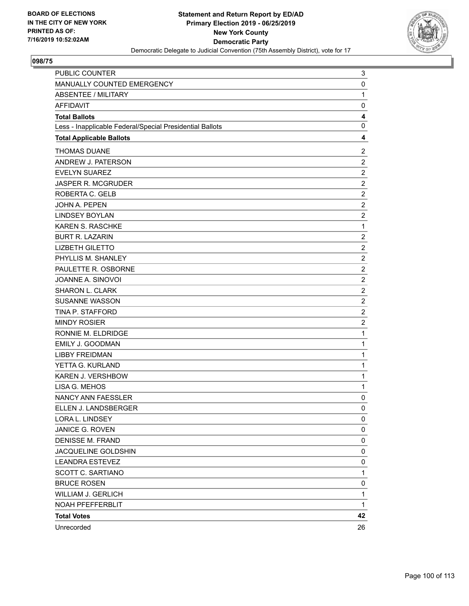

| PUBLIC COUNTER                                           | 3              |
|----------------------------------------------------------|----------------|
| MANUALLY COUNTED EMERGENCY                               | 0              |
| <b>ABSENTEE / MILITARY</b>                               | $\mathbf{1}$   |
| <b>AFFIDAVIT</b>                                         | 0              |
| <b>Total Ballots</b>                                     | 4              |
| Less - Inapplicable Federal/Special Presidential Ballots | 0              |
| <b>Total Applicable Ballots</b>                          | 4              |
| <b>THOMAS DUANE</b>                                      | $\overline{c}$ |
| ANDREW J. PATERSON                                       | $\overline{c}$ |
| <b>EVELYN SUAREZ</b>                                     | $\overline{c}$ |
| JASPER R. MCGRUDER                                       | $\overline{c}$ |
| ROBERTA C. GELB                                          | $\overline{2}$ |
| JOHN A. PEPEN                                            | $\overline{2}$ |
| <b>LINDSEY BOYLAN</b>                                    | $\overline{c}$ |
| KAREN S. RASCHKE                                         | $\mathbf 1$    |
| <b>BURT R. LAZARIN</b>                                   | $\overline{c}$ |
| <b>LIZBETH GILETTO</b>                                   | $\overline{c}$ |
| PHYLLIS M. SHANLEY                                       | $\overline{2}$ |
| PAULETTE R. OSBORNE                                      | $\overline{2}$ |
| JOANNE A. SINOVOI                                        | $\overline{c}$ |
| SHARON L. CLARK                                          | $\overline{c}$ |
| <b>SUSANNE WASSON</b>                                    | $\overline{c}$ |
| TINA P. STAFFORD                                         | $\overline{c}$ |
| <b>MINDY ROSIER</b>                                      | $\overline{c}$ |
| RONNIE M. ELDRIDGE                                       | $\mathbf{1}$   |
| EMILY J. GOODMAN                                         | $\mathbf{1}$   |
| <b>LIBBY FREIDMAN</b>                                    | $\mathbf 1$    |
| YETTA G. KURLAND                                         | $\mathbf 1$    |
| KAREN J. VERSHBOW                                        | $\mathbf{1}$   |
| LISA G. MEHOS                                            | $\mathbf 1$    |
| <b>NANCY ANN FAESSLER</b>                                | 0              |
| ELLEN J. LANDSBERGER                                     | 0              |
| LORA L. LINDSEY                                          | 0              |
| JANICE G. ROVEN                                          | 0              |
| DENISSE M. FRAND                                         | 0              |
| JACQUELINE GOLDSHIN                                      | 0              |
| <b>LEANDRA ESTEVEZ</b>                                   | 0              |
| <b>SCOTT C. SARTIANO</b>                                 | $\mathbf{1}$   |
| <b>BRUCE ROSEN</b>                                       | 0              |
| <b>WILLIAM J. GERLICH</b>                                | 1              |
| NOAH PFEFFERBLIT                                         | 1              |
| <b>Total Votes</b>                                       | 42             |
| Unrecorded                                               | 26             |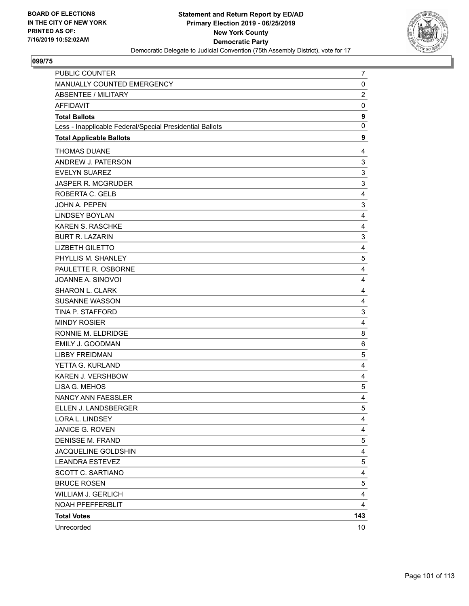

| PUBLIC COUNTER                                           | 7                       |
|----------------------------------------------------------|-------------------------|
| MANUALLY COUNTED EMERGENCY                               | 0                       |
| <b>ABSENTEE / MILITARY</b>                               | $\overline{\mathbf{c}}$ |
| <b>AFFIDAVIT</b>                                         | 0                       |
| <b>Total Ballots</b>                                     | 9                       |
| Less - Inapplicable Federal/Special Presidential Ballots | $\mathbf 0$             |
| <b>Total Applicable Ballots</b>                          | 9                       |
| <b>THOMAS DUANE</b>                                      | 4                       |
| ANDREW J. PATERSON                                       | 3                       |
| <b>EVELYN SUAREZ</b>                                     | 3                       |
| JASPER R. MCGRUDER                                       | 3                       |
| ROBERTA C. GELB                                          | 4                       |
| JOHN A. PEPEN                                            | 3                       |
| <b>LINDSEY BOYLAN</b>                                    | 4                       |
| <b>KAREN S. RASCHKE</b>                                  | 4                       |
| <b>BURT R. LAZARIN</b>                                   | 3                       |
| <b>LIZBETH GILETTO</b>                                   | 4                       |
| PHYLLIS M. SHANLEY                                       | 5                       |
| PAULETTE R. OSBORNE                                      | 4                       |
| JOANNE A. SINOVOI                                        | 4                       |
| SHARON L. CLARK                                          | 4                       |
| <b>SUSANNE WASSON</b>                                    | 4                       |
| TINA P. STAFFORD                                         | 3                       |
| <b>MINDY ROSIER</b>                                      | 4                       |
| RONNIE M. ELDRIDGE                                       | 8                       |
| EMILY J. GOODMAN                                         | 6                       |
| <b>LIBBY FREIDMAN</b>                                    | 5                       |
| YETTA G. KURLAND                                         | 4                       |
| KAREN J. VERSHBOW                                        | 4                       |
| LISA G. MEHOS                                            | 5                       |
| NANCY ANN FAESSLER                                       | 4                       |
| ELLEN J. LANDSBERGER                                     | 5                       |
| LORA L. LINDSEY                                          | 4                       |
| JANICE G. ROVEN                                          | 4                       |
| <b>DENISSE M. FRAND</b>                                  | 5                       |
| JACQUELINE GOLDSHIN                                      | 4                       |
| <b>LEANDRA ESTEVEZ</b>                                   | 5                       |
| <b>SCOTT C. SARTIANO</b>                                 | 4                       |
| <b>BRUCE ROSEN</b>                                       | $\mathbf 5$             |
| <b>WILLIAM J. GERLICH</b>                                | 4                       |
| NOAH PFEFFERBLIT                                         | 4                       |
| <b>Total Votes</b>                                       | 143                     |
| Unrecorded                                               | 10                      |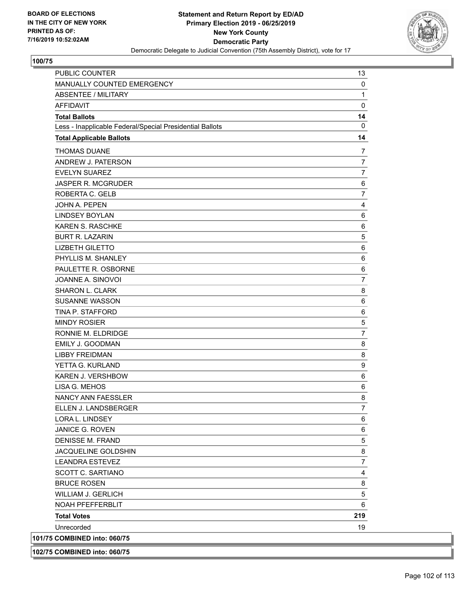

| SCOTT C. SARTIANO                                        | 4                |
|----------------------------------------------------------|------------------|
| <b>LEANDRA ESTEVEZ</b>                                   | $\boldsymbol{7}$ |
| JACQUELINE GOLDSHIN                                      | 8                |
| DENISSE M. FRAND                                         | $\mathbf 5$      |
|                                                          | 6                |
| <b>JANICE G. ROVEN</b>                                   | 6                |
| LORA L. LINDSEY                                          |                  |
| ELLEN J. LANDSBERGER                                     | 7                |
| <b>NANCY ANN FAESSLER</b>                                | 8                |
| LISA G. MEHOS                                            | 6                |
| KAREN J. VERSHBOW                                        | 6                |
| YETTA G. KURLAND                                         | 9                |
| <b>LIBBY FREIDMAN</b>                                    | 8                |
| EMILY J. GOODMAN                                         | 8                |
| RONNIE M. ELDRIDGE                                       | $\overline{7}$   |
| <b>MINDY ROSIER</b>                                      | $\sqrt{5}$       |
| TINA P. STAFFORD                                         | 6                |
| <b>SUSANNE WASSON</b>                                    | 6                |
| SHARON L. CLARK                                          | 8                |
| JOANNE A. SINOVOI                                        | 7                |
| PAULETTE R. OSBORNE                                      | 6                |
| PHYLLIS M. SHANLEY                                       | 6                |
| <b>LIZBETH GILETTO</b>                                   | 6                |
| <b>BURT R. LAZARIN</b>                                   | $\sqrt{5}$       |
| KAREN S. RASCHKE                                         | 6                |
| <b>LINDSEY BOYLAN</b>                                    | 6                |
| <b>JOHN A. PEPEN</b>                                     | 4                |
| ROBERTA C. GELB                                          | $\overline{7}$   |
| JASPER R. MCGRUDER                                       | 6                |
| <b>EVELYN SUAREZ</b>                                     | $\overline{7}$   |
| ANDREW J. PATERSON                                       | $\overline{7}$   |
| <b>THOMAS DUANE</b>                                      | 7                |
| <b>Total Applicable Ballots</b>                          | 14               |
| Less - Inapplicable Federal/Special Presidential Ballots | 0                |
| <b>Total Ballots</b>                                     | 14               |
| <b>AFFIDAVIT</b>                                         | 0                |
| ABSENTEE / MILITARY                                      | 1                |
| MANUALLY COUNTED EMERGENCY                               | 0                |
| PUBLIC COUNTER                                           | 13               |
|                                                          |                  |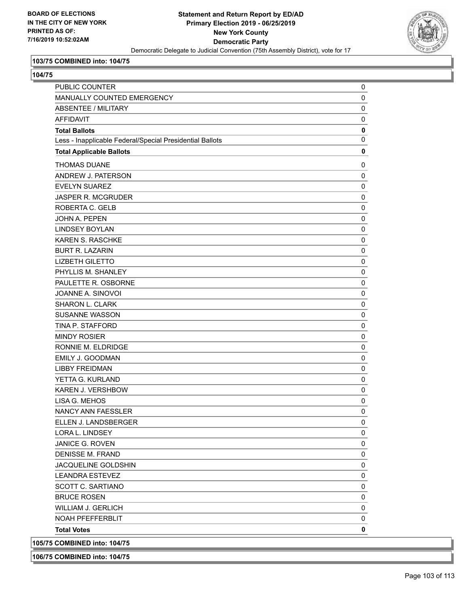

## **103/75 COMBINED into: 104/75**

**104/75** 

| .                                                        |             |
|----------------------------------------------------------|-------------|
| <b>PUBLIC COUNTER</b>                                    | 0           |
| MANUALLY COUNTED EMERGENCY                               | 0           |
| <b>ABSENTEE / MILITARY</b>                               | 0           |
| <b>AFFIDAVIT</b>                                         | 0           |
| <b>Total Ballots</b>                                     | $\mathbf 0$ |
| Less - Inapplicable Federal/Special Presidential Ballots | $\pmb{0}$   |
| <b>Total Applicable Ballots</b>                          | $\mathbf 0$ |
| <b>THOMAS DUANE</b>                                      | 0           |
| ANDREW J. PATERSON                                       | $\mathbf 0$ |
| <b>EVELYN SUAREZ</b>                                     | 0           |
| <b>JASPER R. MCGRUDER</b>                                | $\pmb{0}$   |
| ROBERTA C. GELB                                          | $\pmb{0}$   |
| JOHN A. PEPEN                                            | 0           |
| <b>LINDSEY BOYLAN</b>                                    | 0           |
| <b>KAREN S. RASCHKE</b>                                  | $\pmb{0}$   |
| <b>BURT R. LAZARIN</b>                                   | 0           |
| <b>LIZBETH GILETTO</b>                                   | $\pmb{0}$   |
| PHYLLIS M. SHANLEY                                       | 0           |
| PAULETTE R. OSBORNE                                      | 0           |
| JOANNE A. SINOVOI                                        | 0           |
| SHARON L. CLARK                                          | $\pmb{0}$   |
| <b>SUSANNE WASSON</b>                                    | 0           |
| TINA P. STAFFORD                                         | $\pmb{0}$   |
| <b>MINDY ROSIER</b>                                      | 0           |
| RONNIE M. ELDRIDGE                                       | 0           |
| EMILY J. GOODMAN                                         | 0           |
| <b>LIBBY FREIDMAN</b>                                    | 0           |
| YETTA G. KURLAND                                         | 0           |
| KAREN J. VERSHBOW                                        | $\pmb{0}$   |
| LISA G. MEHOS                                            | 0           |
| NANCY ANN FAESSLER                                       | $\mathbf 0$ |
| ELLEN J. LANDSBERGER                                     | 0           |
| <b>LORA L. LINDSEY</b>                                   | 0           |
| <b>JANICE G. ROVEN</b>                                   | 0           |
| <b>DENISSE M. FRAND</b>                                  | 0           |
| JACQUELINE GOLDSHIN                                      | 0           |
| <b>LEANDRA ESTEVEZ</b>                                   | 0           |
| SCOTT C. SARTIANO                                        | 0           |
| <b>BRUCE ROSEN</b>                                       | 0           |
| <b>WILLIAM J. GERLICH</b>                                | 0           |
| NOAH PFEFFERBLIT                                         | 0           |
| <b>Total Votes</b>                                       | $\mathbf 0$ |
| 105/75 COMBINED into: 104/75                             |             |

**106/75 COMBINED into: 104/75**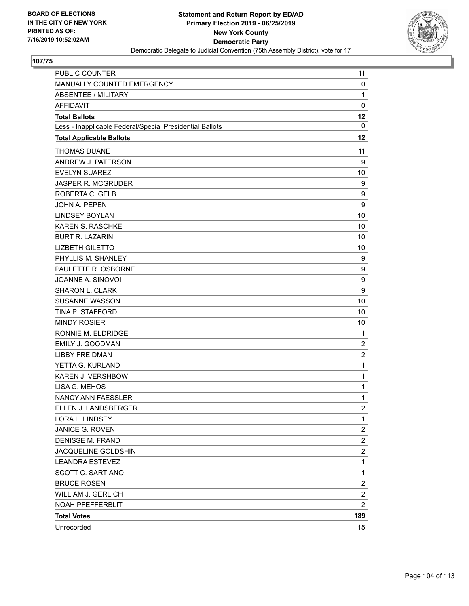

| <b>PUBLIC COUNTER</b>                                    | 11                      |
|----------------------------------------------------------|-------------------------|
| MANUALLY COUNTED EMERGENCY                               | 0                       |
| ABSENTEE / MILITARY                                      | $\mathbf{1}$            |
| <b>AFFIDAVIT</b>                                         | $\mathbf 0$             |
| <b>Total Ballots</b>                                     | 12                      |
| Less - Inapplicable Federal/Special Presidential Ballots | 0                       |
| <b>Total Applicable Ballots</b>                          | 12                      |
| <b>THOMAS DUANE</b>                                      | 11                      |
| ANDREW J. PATERSON                                       | 9                       |
| <b>EVELYN SUAREZ</b>                                     | 10                      |
| <b>JASPER R. MCGRUDER</b>                                | 9                       |
| ROBERTA C. GELB                                          | 9                       |
| JOHN A. PEPEN                                            | 9                       |
| <b>LINDSEY BOYLAN</b>                                    | 10                      |
| <b>KAREN S. RASCHKE</b>                                  | 10                      |
| <b>BURT R. LAZARIN</b>                                   | 10                      |
| <b>LIZBETH GILETTO</b>                                   | 10                      |
| PHYLLIS M. SHANLEY                                       | 9                       |
| PAULETTE R. OSBORNE                                      | 9                       |
| JOANNE A. SINOVOI                                        | $\boldsymbol{9}$        |
| SHARON L. CLARK                                          | 9                       |
| <b>SUSANNE WASSON</b>                                    | 10                      |
| TINA P. STAFFORD                                         | 10                      |
| <b>MINDY ROSIER</b>                                      | 10                      |
| RONNIE M. ELDRIDGE                                       | $\mathbf{1}$            |
| <b>EMILY J. GOODMAN</b>                                  | $\boldsymbol{2}$        |
| <b>LIBBY FREIDMAN</b>                                    | $\overline{2}$          |
| YETTA G. KURLAND                                         | $\mathbf{1}$            |
| KAREN J. VERSHBOW                                        | $\mathbf{1}$            |
| LISA G. MEHOS                                            | $\mathbf{1}$            |
| NANCY ANN FAESSLER                                       | $\mathbf{1}$            |
| ELLEN J. LANDSBERGER                                     | $\overline{\mathbf{c}}$ |
| LORA L. LINDSEY                                          | 1                       |
| JANICE G. ROVEN                                          | 2                       |
| <b>DENISSE M. FRAND</b>                                  | $\overline{\mathbf{c}}$ |
| JACQUELINE GOLDSHIN                                      | $\overline{c}$          |
| <b>LEANDRA ESTEVEZ</b>                                   | $\mathbf{1}$            |
| SCOTT C. SARTIANO                                        | $\mathbf{1}$            |
| <b>BRUCE ROSEN</b>                                       | $\overline{2}$          |
| <b>WILLIAM J. GERLICH</b>                                | $\overline{c}$          |
| NOAH PFEFFERBLIT                                         | $\overline{c}$          |
| <b>Total Votes</b>                                       | 189                     |
| Unrecorded                                               | $15\,$                  |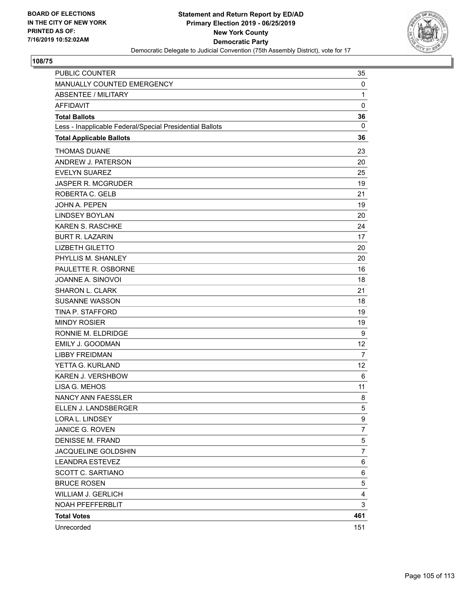

| <b>PUBLIC COUNTER</b>                                    | 35             |
|----------------------------------------------------------|----------------|
| MANUALLY COUNTED EMERGENCY                               | 0              |
| <b>ABSENTEE / MILITARY</b>                               | $\mathbf{1}$   |
| <b>AFFIDAVIT</b>                                         | 0              |
| <b>Total Ballots</b>                                     | 36             |
| Less - Inapplicable Federal/Special Presidential Ballots | 0              |
| <b>Total Applicable Ballots</b>                          | 36             |
| <b>THOMAS DUANE</b>                                      | 23             |
| ANDREW J. PATERSON                                       | 20             |
| <b>EVELYN SUAREZ</b>                                     | 25             |
| <b>JASPER R. MCGRUDER</b>                                | 19             |
| ROBERTA C. GELB                                          | 21             |
| <b>JOHN A. PEPEN</b>                                     | 19             |
| <b>LINDSEY BOYLAN</b>                                    | 20             |
| <b>KAREN S. RASCHKE</b>                                  | 24             |
| <b>BURT R. LAZARIN</b>                                   | 17             |
| <b>LIZBETH GILETTO</b>                                   | 20             |
| PHYLLIS M. SHANLEY                                       | 20             |
| PAULETTE R. OSBORNE                                      | 16             |
| JOANNE A. SINOVOI                                        | 18             |
| <b>SHARON L. CLARK</b>                                   | 21             |
| <b>SUSANNE WASSON</b>                                    | 18             |
| TINA P. STAFFORD                                         | 19             |
| <b>MINDY ROSIER</b>                                      | 19             |
| RONNIE M. ELDRIDGE                                       | 9              |
| <b>EMILY J. GOODMAN</b>                                  | 12             |
| <b>LIBBY FREIDMAN</b>                                    | 7              |
| YETTA G. KURLAND                                         | 12             |
| KAREN J. VERSHBOW                                        | 6              |
| LISA G. MEHOS                                            | 11             |
| <b>NANCY ANN FAESSLER</b>                                | 8              |
| ELLEN J. LANDSBERGER                                     | 5              |
| LORA L. LINDSEY                                          | 9              |
| JANICE G. ROVEN                                          | $\overline{7}$ |
| <b>DENISSE M. FRAND</b>                                  | $\mathbf 5$    |
| JACQUELINE GOLDSHIN                                      | $\overline{7}$ |
| <b>LEANDRA ESTEVEZ</b>                                   | 6              |
| SCOTT C. SARTIANO                                        | 6              |
| <b>BRUCE ROSEN</b>                                       | 5              |
| <b>WILLIAM J. GERLICH</b>                                | 4              |
| NOAH PFEFFERBLIT                                         | 3              |
| <b>Total Votes</b>                                       | 461            |
| Unrecorded                                               | 151            |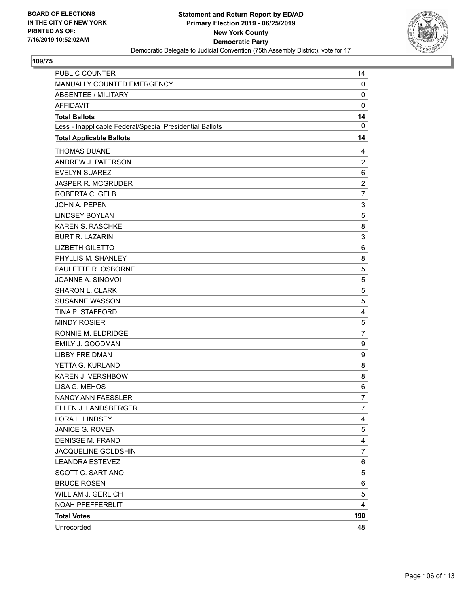

| PUBLIC COUNTER                                           | 14               |
|----------------------------------------------------------|------------------|
| MANUALLY COUNTED EMERGENCY                               | 0                |
| <b>ABSENTEE / MILITARY</b>                               | 0                |
| <b>AFFIDAVIT</b>                                         | $\mathbf 0$      |
| <b>Total Ballots</b>                                     | 14               |
| Less - Inapplicable Federal/Special Presidential Ballots | $\mathbf 0$      |
| <b>Total Applicable Ballots</b>                          | 14               |
| <b>THOMAS DUANE</b>                                      | 4                |
| ANDREW J. PATERSON                                       | $\overline{2}$   |
| <b>EVELYN SUAREZ</b>                                     | 6                |
| <b>JASPER R. MCGRUDER</b>                                | $\boldsymbol{2}$ |
| ROBERTA C. GELB                                          | $\overline{7}$   |
| <b>JOHN A. PEPEN</b>                                     | 3                |
| <b>LINDSEY BOYLAN</b>                                    | 5                |
| KAREN S. RASCHKE                                         | 8                |
| <b>BURT R. LAZARIN</b>                                   | 3                |
| <b>LIZBETH GILETTO</b>                                   | 6                |
| PHYLLIS M. SHANLEY                                       | 8                |
| PAULETTE R. OSBORNE                                      | 5                |
| JOANNE A. SINOVOI                                        | $\mathbf 5$      |
| SHARON L. CLARK                                          | 5                |
| <b>SUSANNE WASSON</b>                                    | 5                |
| TINA P. STAFFORD                                         | 4                |
| <b>MINDY ROSIER</b>                                      | 5                |
| RONNIE M. ELDRIDGE                                       | $\overline{7}$   |
| <b>EMILY J. GOODMAN</b>                                  | 9                |
| <b>LIBBY FREIDMAN</b>                                    | 9                |
| YETTA G. KURLAND                                         | 8                |
| KAREN J. VERSHBOW                                        | 8                |
| LISA G. MEHOS                                            | 6                |
| NANCY ANN FAESSLER                                       | $\overline{7}$   |
| ELLEN J. LANDSBERGER                                     | $\overline{7}$   |
| LORA L. LINDSEY                                          | 4                |
| JANICE G. ROVEN                                          | 5                |
| <b>DENISSE M. FRAND</b>                                  | 4                |
| JACQUELINE GOLDSHIN                                      | $\overline{7}$   |
| <b>LEANDRA ESTEVEZ</b>                                   | 6                |
| SCOTT C. SARTIANO                                        | 5                |
| <b>BRUCE ROSEN</b>                                       | 6                |
| <b>WILLIAM J. GERLICH</b>                                | 5                |
| NOAH PFEFFERBLIT                                         | 4                |
| <b>Total Votes</b>                                       | 190              |
| Unrecorded                                               | 48               |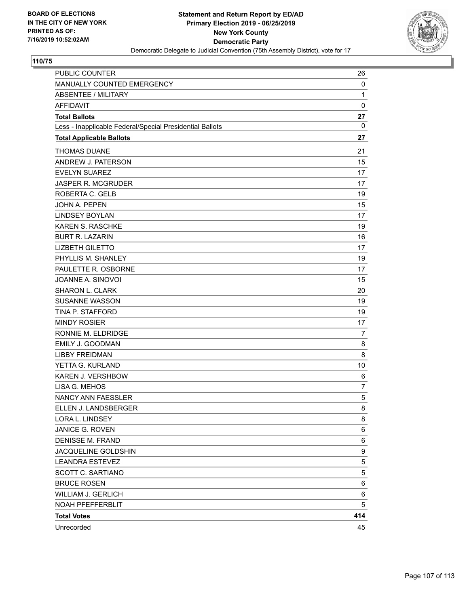

| PUBLIC COUNTER                                           | 26             |
|----------------------------------------------------------|----------------|
| MANUALLY COUNTED EMERGENCY                               | 0              |
| <b>ABSENTEE / MILITARY</b>                               | 1              |
| <b>AFFIDAVIT</b>                                         | 0              |
| <b>Total Ballots</b>                                     | 27             |
| Less - Inapplicable Federal/Special Presidential Ballots | 0              |
| <b>Total Applicable Ballots</b>                          | 27             |
| <b>THOMAS DUANE</b>                                      | 21             |
| ANDREW J. PATERSON                                       | 15             |
| <b>EVELYN SUAREZ</b>                                     | 17             |
| <b>JASPER R. MCGRUDER</b>                                | 17             |
| ROBERTA C. GELB                                          | 19             |
| JOHN A. PEPEN                                            | 15             |
| <b>LINDSEY BOYLAN</b>                                    | 17             |
| KAREN S. RASCHKE                                         | 19             |
| <b>BURT R. LAZARIN</b>                                   | 16             |
| <b>LIZBETH GILETTO</b>                                   | 17             |
| PHYLLIS M. SHANLEY                                       | 19             |
| PAULETTE R. OSBORNE                                      | 17             |
| JOANNE A. SINOVOI                                        | 15             |
| SHARON L. CLARK                                          | 20             |
| <b>SUSANNE WASSON</b>                                    | 19             |
| TINA P. STAFFORD                                         | 19             |
| <b>MINDY ROSIER</b>                                      | 17             |
| RONNIE M. ELDRIDGE                                       | $\overline{7}$ |
| EMILY J. GOODMAN                                         | 8              |
| <b>LIBBY FREIDMAN</b>                                    | 8              |
| YETTA G. KURLAND                                         | 10             |
| KAREN J. VERSHBOW                                        | 6              |
| LISA G. MEHOS                                            | $\overline{7}$ |
| <b>NANCY ANN FAESSLER</b>                                | 5              |
| ELLEN J. LANDSBERGER                                     | 8              |
| LORA L. LINDSEY                                          | 8              |
| JANICE G. ROVEN                                          | 6              |
| DENISSE M. FRAND                                         | 6              |
| JACQUELINE GOLDSHIN                                      | 9              |
| <b>LEANDRA ESTEVEZ</b>                                   | $\mathbf 5$    |
| <b>SCOTT C. SARTIANO</b>                                 | 5              |
| <b>BRUCE ROSEN</b>                                       | 6              |
| WILLIAM J. GERLICH                                       | 6              |
| NOAH PFEFFERBLIT                                         | 5              |
| <b>Total Votes</b>                                       | 414            |
| Unrecorded                                               | 45             |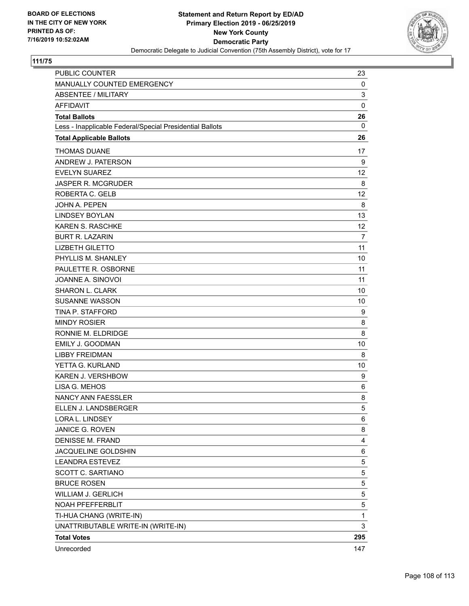

| PUBLIC COUNTER                                           | 23             |
|----------------------------------------------------------|----------------|
| MANUALLY COUNTED EMERGENCY                               | 0              |
| <b>ABSENTEE / MILITARY</b>                               | 3              |
| <b>AFFIDAVIT</b>                                         | $\mathbf 0$    |
| <b>Total Ballots</b>                                     | 26             |
| Less - Inapplicable Federal/Special Presidential Ballots | 0              |
| <b>Total Applicable Ballots</b>                          | 26             |
| <b>THOMAS DUANE</b>                                      | 17             |
| ANDREW J. PATERSON                                       | 9              |
| <b>EVELYN SUAREZ</b>                                     | 12             |
| <b>JASPER R. MCGRUDER</b>                                | 8              |
| ROBERTA C. GELB                                          | 12             |
| <b>JOHN A. PEPEN</b>                                     | 8              |
| <b>LINDSEY BOYLAN</b>                                    | 13             |
| <b>KAREN S. RASCHKE</b>                                  | 12             |
| <b>BURT R. LAZARIN</b>                                   | $\overline{7}$ |
| <b>LIZBETH GILETTO</b>                                   | 11             |
| PHYLLIS M. SHANLEY                                       | 10             |
| PAULETTE R. OSBORNE                                      | 11             |
| JOANNE A. SINOVOI                                        | 11             |
| SHARON L. CLARK                                          | 10             |
| <b>SUSANNE WASSON</b>                                    | 10             |
| TINA P. STAFFORD                                         | 9              |
| <b>MINDY ROSIER</b>                                      | 8              |
| RONNIE M. ELDRIDGE                                       | 8              |
| <b>EMILY J. GOODMAN</b>                                  | 10             |
| <b>LIBBY FREIDMAN</b>                                    | 8              |
| YETTA G. KURLAND                                         | 10             |
| <b>KAREN J. VERSHBOW</b>                                 | 9              |
| LISA G. MEHOS                                            | 6              |
| NANCY ANN FAESSLER                                       | 8              |
| ELLEN J. LANDSBERGER                                     | 5              |
| LORA L. LINDSEY                                          | 6              |
| JANICE G. ROVEN                                          | 8              |
| <b>DENISSE M. FRAND</b>                                  | 4              |
| JACQUELINE GOLDSHIN                                      | 6              |
| <b>LEANDRA ESTEVEZ</b>                                   | 5              |
| SCOTT C. SARTIANO                                        | 5              |
| <b>BRUCE ROSEN</b>                                       | 5              |
| <b>WILLIAM J. GERLICH</b>                                | 5              |
| NOAH PFEFFERBLIT                                         | 5              |
| TI-HUA CHANG (WRITE-IN)                                  | 1              |
| UNATTRIBUTABLE WRITE-IN (WRITE-IN)                       | 3              |
| <b>Total Votes</b>                                       | 295            |
| Unrecorded                                               | 147            |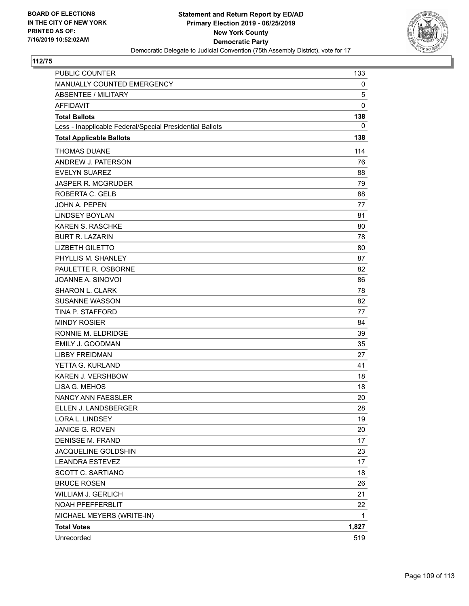

| <b>PUBLIC COUNTER</b>                                    | 133         |
|----------------------------------------------------------|-------------|
| MANUALLY COUNTED EMERGENCY                               | 0           |
| <b>ABSENTEE / MILITARY</b>                               | 5           |
| <b>AFFIDAVIT</b>                                         | $\mathbf 0$ |
| <b>Total Ballots</b>                                     | 138         |
| Less - Inapplicable Federal/Special Presidential Ballots | 0           |
| <b>Total Applicable Ballots</b>                          | 138         |
| <b>THOMAS DUANE</b>                                      | 114         |
| ANDREW J. PATERSON                                       | 76          |
| <b>EVELYN SUAREZ</b>                                     | 88          |
| <b>JASPER R. MCGRUDER</b>                                | 79          |
| ROBERTA C. GELB                                          | 88          |
| <b>JOHN A. PEPEN</b>                                     | 77          |
| <b>LINDSEY BOYLAN</b>                                    | 81          |
| <b>KAREN S. RASCHKE</b>                                  | 80          |
| <b>BURT R. LAZARIN</b>                                   | 78          |
| <b>LIZBETH GILETTO</b>                                   | 80          |
| PHYLLIS M. SHANLEY                                       | 87          |
| PAULETTE R. OSBORNE                                      | 82          |
| JOANNE A. SINOVOI                                        | 86          |
| <b>SHARON L. CLARK</b>                                   | 78          |
| <b>SUSANNE WASSON</b>                                    | 82          |
| TINA P. STAFFORD                                         | 77          |
| <b>MINDY ROSIER</b>                                      | 84          |
| RONNIE M. ELDRIDGE                                       | 39          |
| <b>EMILY J. GOODMAN</b>                                  | 35          |
| <b>LIBBY FREIDMAN</b>                                    | 27          |
| YETTA G. KURLAND                                         | 41          |
| <b>KAREN J. VERSHBOW</b>                                 | 18          |
| LISA G. MEHOS                                            | 18          |
| <b>NANCY ANN FAESSLER</b>                                | 20          |
| ELLEN J. LANDSBERGER                                     | 28          |
| LORA L. LINDSEY                                          | 19          |
| JANICE G. ROVEN                                          | 20          |
| <b>DENISSE M. FRAND</b>                                  | 17          |
| JACQUELINE GOLDSHIN                                      | 23          |
| <b>LEANDRA ESTEVEZ</b>                                   | 17          |
| SCOTT C. SARTIANO                                        | 18          |
| <b>BRUCE ROSEN</b>                                       | 26          |
| <b>WILLIAM J. GERLICH</b>                                | 21          |
| NOAH PFEFFERBLIT                                         | 22          |
| MICHAEL MEYERS (WRITE-IN)                                | 1           |
| <b>Total Votes</b>                                       | 1,827       |
| Unrecorded                                               | 519         |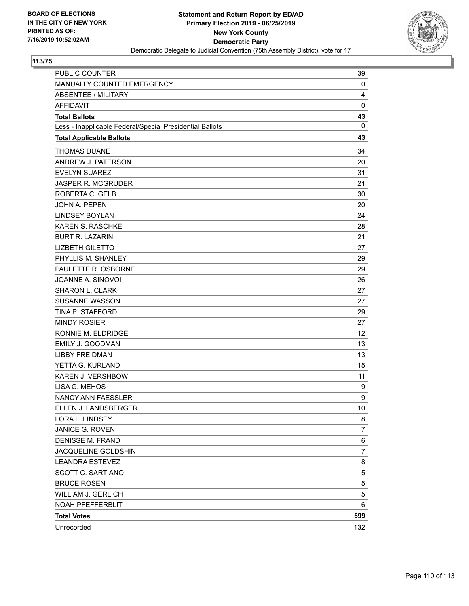

| <b>PUBLIC COUNTER</b>                                    | 39              |
|----------------------------------------------------------|-----------------|
| MANUALLY COUNTED EMERGENCY                               | 0               |
| <b>ABSENTEE / MILITARY</b>                               | 4               |
| <b>AFFIDAVIT</b>                                         | $\mathbf 0$     |
| <b>Total Ballots</b>                                     | 43              |
| Less - Inapplicable Federal/Special Presidential Ballots | $\mathbf 0$     |
| <b>Total Applicable Ballots</b>                          | 43              |
| <b>THOMAS DUANE</b>                                      | 34              |
| ANDREW J. PATERSON                                       | 20              |
| <b>EVELYN SUAREZ</b>                                     | 31              |
| <b>JASPER R. MCGRUDER</b>                                | 21              |
| ROBERTA C. GELB                                          | 30              |
| <b>JOHN A. PEPEN</b>                                     | 20              |
| <b>LINDSEY BOYLAN</b>                                    | 24              |
| <b>KAREN S. RASCHKE</b>                                  | 28              |
| <b>BURT R. LAZARIN</b>                                   | 21              |
| <b>LIZBETH GILETTO</b>                                   | 27              |
| PHYLLIS M. SHANLEY                                       | 29              |
| PAULETTE R. OSBORNE                                      | 29              |
| JOANNE A. SINOVOI                                        | 26              |
| <b>SHARON L. CLARK</b>                                   | 27              |
| <b>SUSANNE WASSON</b>                                    | 27              |
| TINA P. STAFFORD                                         | 29              |
| <b>MINDY ROSIER</b>                                      | 27              |
| RONNIE M. ELDRIDGE                                       | 12 <sup>2</sup> |
| <b>EMILY J. GOODMAN</b>                                  | 13              |
| <b>LIBBY FREIDMAN</b>                                    | 13              |
| YETTA G. KURLAND                                         | 15              |
| KAREN J. VERSHBOW                                        | 11              |
| LISA G. MEHOS                                            | 9               |
| NANCY ANN FAESSLER                                       | 9               |
| ELLEN J. LANDSBERGER                                     | 10              |
| LORA L. LINDSEY                                          | 8               |
| JANICE G. ROVEN                                          | 7               |
| <b>DENISSE M. FRAND</b>                                  | 6               |
| JACQUELINE GOLDSHIN                                      | $\overline{7}$  |
| <b>LEANDRA ESTEVEZ</b>                                   | 8               |
| SCOTT C. SARTIANO                                        | 5               |
| <b>BRUCE ROSEN</b>                                       | 5               |
| <b>WILLIAM J. GERLICH</b>                                | 5               |
| NOAH PFEFFERBLIT                                         | 6               |
| <b>Total Votes</b>                                       | 599             |
| Unrecorded                                               | 132             |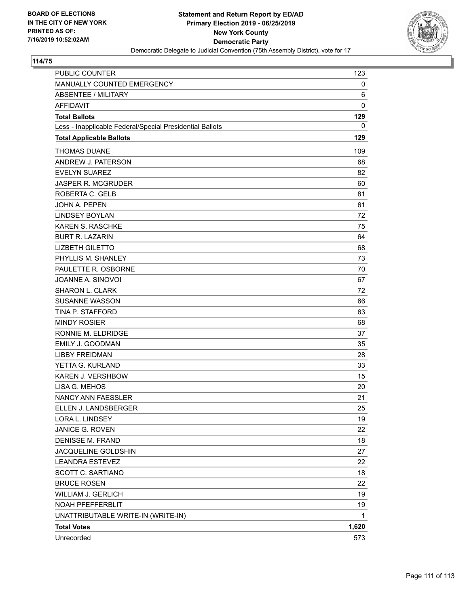

| <b>PUBLIC COUNTER</b>                                    | 123   |
|----------------------------------------------------------|-------|
| MANUALLY COUNTED EMERGENCY                               | 0     |
| ABSENTEE / MILITARY                                      | 6     |
| <b>AFFIDAVIT</b>                                         | 0     |
| <b>Total Ballots</b>                                     | 129   |
| Less - Inapplicable Federal/Special Presidential Ballots | 0     |
| <b>Total Applicable Ballots</b>                          | 129   |
| <b>THOMAS DUANE</b>                                      | 109   |
| ANDREW J. PATERSON                                       | 68    |
| <b>EVELYN SUAREZ</b>                                     | 82    |
| <b>JASPER R. MCGRUDER</b>                                | 60    |
| ROBERTA C. GELB                                          | 81    |
| JOHN A. PEPEN                                            | 61    |
| <b>LINDSEY BOYLAN</b>                                    | 72    |
| <b>KAREN S. RASCHKE</b>                                  | 75    |
| <b>BURT R. LAZARIN</b>                                   | 64    |
| <b>LIZBETH GILETTO</b>                                   | 68    |
| PHYLLIS M. SHANLEY                                       | 73    |
| PAULETTE R. OSBORNE                                      | 70    |
| JOANNE A. SINOVOI                                        | 67    |
| SHARON L. CLARK                                          | 72    |
| <b>SUSANNE WASSON</b>                                    | 66    |
| <b>TINA P. STAFFORD</b>                                  | 63    |
| <b>MINDY ROSIER</b>                                      | 68    |
| RONNIE M. ELDRIDGE                                       | 37    |
| <b>EMILY J. GOODMAN</b>                                  | 35    |
| <b>LIBBY FREIDMAN</b>                                    | 28    |
| YETTA G. KURLAND                                         | 33    |
| <b>KAREN J. VERSHBOW</b>                                 | 15    |
| LISA G. MEHOS                                            | 20    |
| <b>NANCY ANN FAESSLER</b>                                | 21    |
| ELLEN J. LANDSBERGER                                     | 25    |
| LORA L. LINDSEY                                          | 19    |
| JANICE G. ROVEN                                          | 22    |
| <b>DENISSE M. FRAND</b>                                  | 18    |
| JACQUELINE GOLDSHIN                                      | 27    |
| <b>LEANDRA ESTEVEZ</b>                                   | 22    |
| SCOTT C. SARTIANO                                        | 18    |
| <b>BRUCE ROSEN</b>                                       | 22    |
| WILLIAM J. GERLICH                                       | 19    |
| NOAH PFEFFERBLIT                                         | 19    |
| UNATTRIBUTABLE WRITE-IN (WRITE-IN)                       | 1     |
| <b>Total Votes</b>                                       | 1,620 |
| Unrecorded                                               | 573   |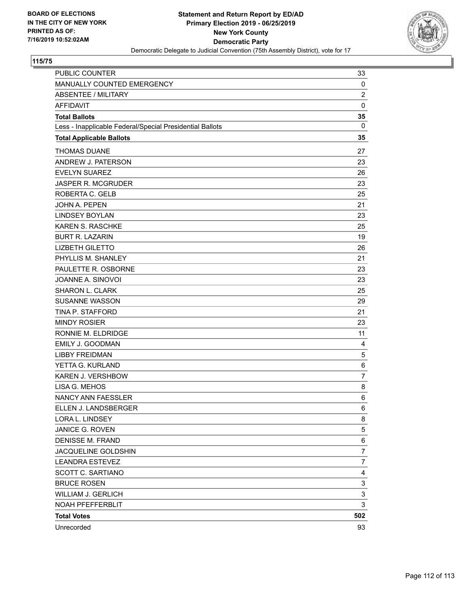

| PUBLIC COUNTER                                           | 33             |
|----------------------------------------------------------|----------------|
| MANUALLY COUNTED EMERGENCY                               | 0              |
| <b>ABSENTEE / MILITARY</b>                               | $\overline{c}$ |
| <b>AFFIDAVIT</b>                                         | $\mathbf 0$    |
| <b>Total Ballots</b>                                     | 35             |
| Less - Inapplicable Federal/Special Presidential Ballots | $\mathbf{0}$   |
| <b>Total Applicable Ballots</b>                          | 35             |
| <b>THOMAS DUANE</b>                                      | 27             |
| ANDREW J. PATERSON                                       | 23             |
| <b>EVELYN SUAREZ</b>                                     | 26             |
| <b>JASPER R. MCGRUDER</b>                                | 23             |
| ROBERTA C. GELB                                          | 25             |
| JOHN A. PEPEN                                            | 21             |
| <b>LINDSEY BOYLAN</b>                                    | 23             |
| KAREN S. RASCHKE                                         | 25             |
| <b>BURT R. LAZARIN</b>                                   | 19             |
| <b>LIZBETH GILETTO</b>                                   | 26             |
| PHYLLIS M. SHANLEY                                       | 21             |
| PAULETTE R. OSBORNE                                      | 23             |
| JOANNE A. SINOVOI                                        | 23             |
| <b>SHARON L. CLARK</b>                                   | 25             |
| <b>SUSANNE WASSON</b>                                    | 29             |
| TINA P. STAFFORD                                         | 21             |
| <b>MINDY ROSIER</b>                                      | 23             |
| RONNIE M. ELDRIDGE                                       | 11             |
| <b>EMILY J. GOODMAN</b>                                  | 4              |
| <b>LIBBY FREIDMAN</b>                                    | 5              |
| YETTA G. KURLAND                                         | 6              |
| <b>KAREN J. VERSHBOW</b>                                 | 7              |
| LISA G. MEHOS                                            | 8              |
| <b>NANCY ANN FAESSLER</b>                                | 6              |
| ELLEN J. LANDSBERGER                                     | 6              |
| LORA L. LINDSEY                                          | 8              |
| JANICE G. ROVEN                                          | 5              |
| <b>DENISSE M. FRAND</b>                                  | 6              |
| JACQUELINE GOLDSHIN                                      | 7              |
| <b>LEANDRA ESTEVEZ</b>                                   | $\overline{7}$ |
| SCOTT C. SARTIANO                                        | 4              |
| <b>BRUCE ROSEN</b>                                       | 3              |
| <b>WILLIAM J. GERLICH</b>                                | 3              |
| NOAH PFEFFERBLIT                                         | 3              |
| <b>Total Votes</b>                                       | 502            |
| Unrecorded                                               | 93             |